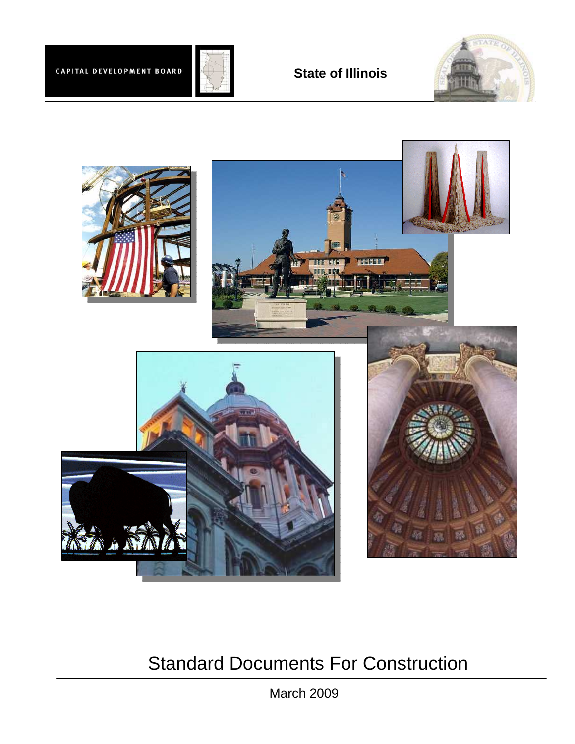





# Standard Documents For Construction

March 2009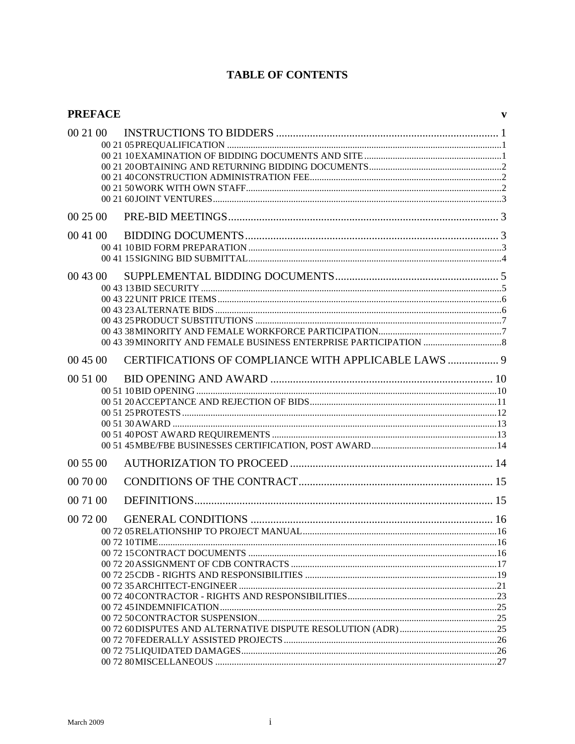# **TABLE OF CONTENTS**

| <b>PREFACE</b> |                                                      | V |
|----------------|------------------------------------------------------|---|
| 00 21 00       |                                                      |   |
| 00 25 00       |                                                      |   |
| 00 41 00       |                                                      |   |
| 00 43 00       |                                                      |   |
| 00 45 00       | CERTIFICATIONS OF COMPLIANCE WITH APPLICABLE LAWS  9 |   |
| 00 51 00       |                                                      |   |
| 00 55 00       |                                                      |   |
| 00 70 00       |                                                      |   |
| 00 71 00       |                                                      |   |
| 00 72 00       |                                                      |   |
|                |                                                      |   |
|                |                                                      |   |
|                |                                                      |   |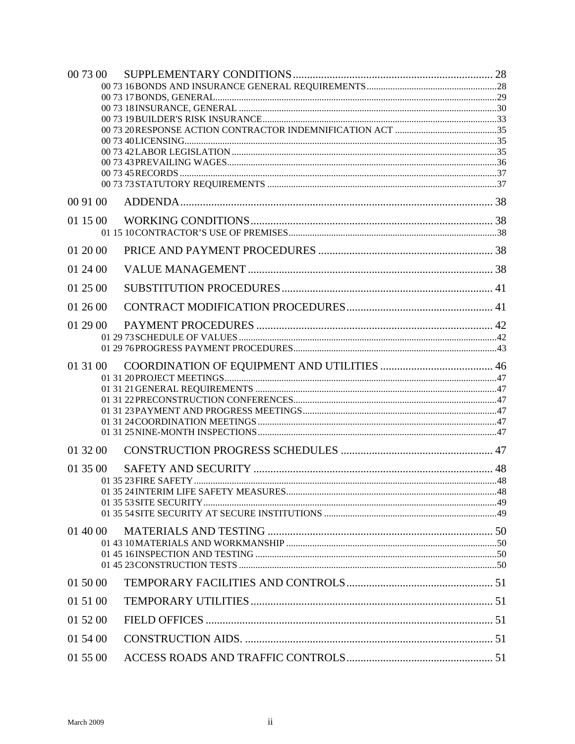| 00 73 00 |  |
|----------|--|
|          |  |
|          |  |
|          |  |
|          |  |
|          |  |
|          |  |
|          |  |
|          |  |
| 00 91 00 |  |
| 01 15 00 |  |
|          |  |
| 01 20 00 |  |
| 01 24 00 |  |
| 01 25 00 |  |
| 01 26 00 |  |
| 01 29 00 |  |
|          |  |
|          |  |
| 01 31 00 |  |
|          |  |
|          |  |
|          |  |
|          |  |
|          |  |
| 01 32 00 |  |
| 01 35 00 |  |
|          |  |
|          |  |
|          |  |
| 01 40 00 |  |
|          |  |
|          |  |
|          |  |
| 01 50 00 |  |
| 01 51 00 |  |
| 01 52 00 |  |
| 01 54 00 |  |
| 01 55 00 |  |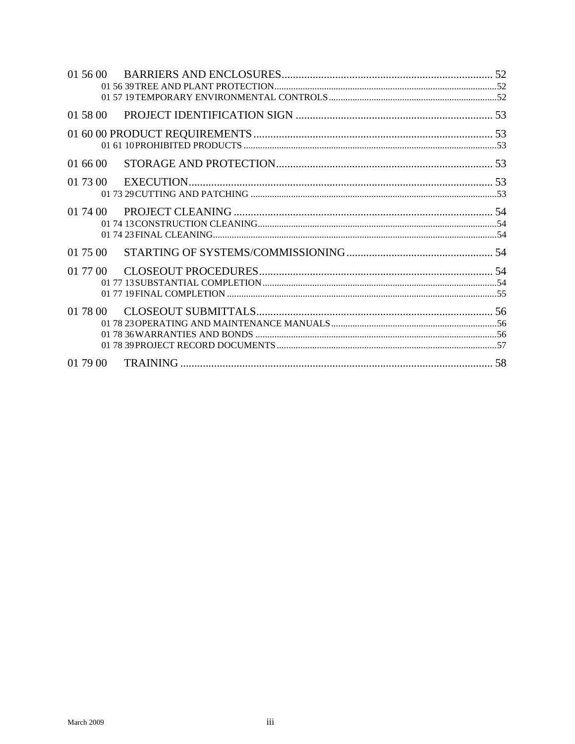| 01 56 00 |  |
|----------|--|
|          |  |
|          |  |
| 01 58 00 |  |
|          |  |
|          |  |
| 01 66 00 |  |
|          |  |
|          |  |
|          |  |
| 01 74 00 |  |
|          |  |
|          |  |
|          |  |
| 01 75 00 |  |
| 01 77 00 |  |
|          |  |
|          |  |
| 01 78 00 |  |
|          |  |
|          |  |
|          |  |
|          |  |
| 01 79 00 |  |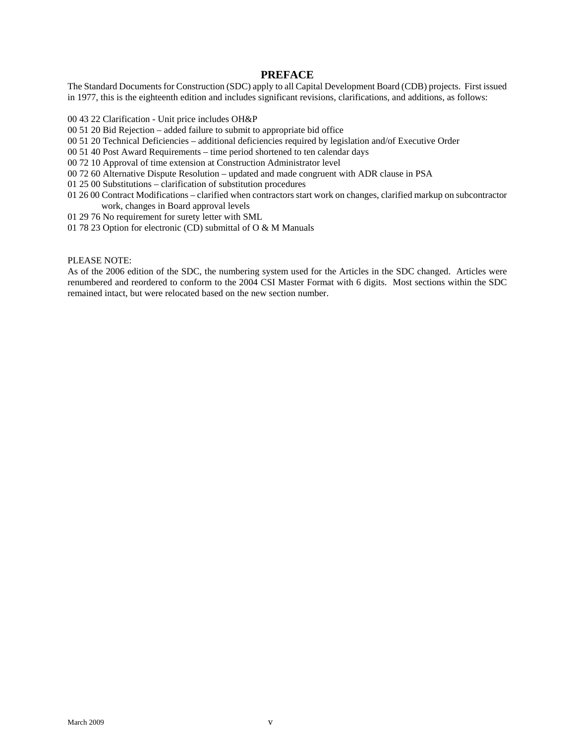# **PREFACE**

The Standard Documents for Construction (SDC) apply to all Capital Development Board (CDB) projects. First issued in 1977, this is the eighteenth edition and includes significant revisions, clarifications, and additions, as follows:

- 00 43 22 Clarification Unit price includes OH&P
- 00 51 20 Bid Rejection added failure to submit to appropriate bid office
- 00 51 20 Technical Deficiencies additional deficiencies required by legislation and/of Executive Order
- 00 51 40 Post Award Requirements time period shortened to ten calendar days
- 00 72 10 Approval of time extension at Construction Administrator level
- 00 72 60 Alternative Dispute Resolution updated and made congruent with ADR clause in PSA
- 01 25 00 Substitutions clarification of substitution procedures
- 01 26 00 Contract Modifications clarified when contractors start work on changes, clarified markup on subcontractor work, changes in Board approval levels
- 01 29 76 No requirement for surety letter with SML
- 01 78 23 Option for electronic (CD) submittal of O & M Manuals

#### PLEASE NOTE:

As of the 2006 edition of the SDC, the numbering system used for the Articles in the SDC changed. Articles were renumbered and reordered to conform to the 2004 CSI Master Format with 6 digits. Most sections within the SDC remained intact, but were relocated based on the new section number.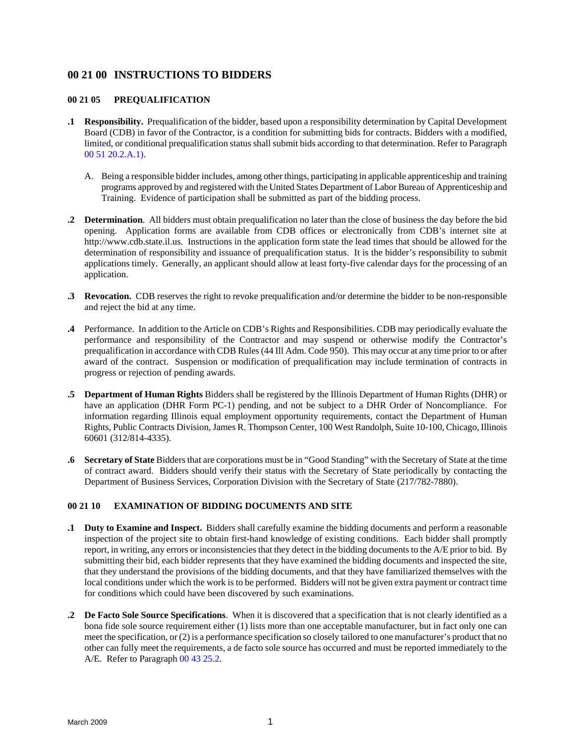# <span id="page-8-0"></span>**00 21 00 INSTRUCTIONS TO BIDDERS**

### **00 21 05 PREQUALIFICATION**

- **.1 Responsibility.** Prequalification of the bidder, based upon a responsibility determination by Capital Development Board (CDB) in favor of the Contractor, is a condition for submitting bids for contracts. Bidders with a modified, limited, or conditional prequalification status shall submit bids according to that determination. Refer to Paragraph 00 51 20.2.A.1).
	- A. Being a responsible bidder includes, among other things, participating in applicable apprenticeship and training programs approved by and registered with the United States Department of Labor Bureau of Apprenticeship and Training. Evidence of participation shall be submitted as part of the bidding process.
- **.2 Determination**. All bidders must obtain prequalification no later than the close of business the day before the bid opening. Application forms are available from CDB offices or electronically from CDB's internet site at http://www.cdb.state.il.us. Instructions in the application form state the lead times that should be allowed for the determination of responsibility and issuance of prequalification status. It is the bidder's responsibility to submit applications timely. Generally, an applicant should allow at least forty-five calendar days for the processing of an application.
- **.3 Revocation.** CDB reserves the right to revoke prequalification and/or determine the bidder to be non-responsible and reject the bid at any time.
- **.4** Performance. In addition to the Article on CDB's Rights and Responsibilities. CDB may periodically evaluate the performance and responsibility of the Contractor and may suspend or otherwise modify the Contractor's prequalification in accordance with CDB Rules (44 Ill Adm. Code 950). This may occur at any time prior to or after award of the contract. Suspension or modification of prequalification may include termination of contracts in progress or rejection of pending awards.
- **.5 Department of Human Rights** Bidders shall be registered by the Illinois Department of Human Rights (DHR) or have an application (DHR Form PC-1) pending, and not be subject to a DHR Order of Noncompliance. For information regarding Illinois equal employment opportunity requirements, contact the Department of Human Rights, Public Contracts Division, James R. Thompson Center, 100 West Randolph, Suite 10-100, Chicago, Illinois 60601 (312/814-4335).
- **.6 Secretary of State** Bidders that are corporations must be in "Good Standing" with the Secretary of State at the time of contract award. Bidders should verify their status with the Secretary of State periodically by contacting the Department of Business Services, Corporation Division with the Secretary of State (217/782-7880).

# **00 21 10 EXAMINATION OF BIDDING DOCUMENTS AND SITE**

- **.1 Duty to Examine and Inspect.** Bidders shall carefully examine the bidding documents and perform a reasonable inspection of the project site to obtain first-hand knowledge of existing conditions. Each bidder shall promptly report, in writing, any errors or inconsistencies that they detect in the bidding documents to the A/E prior to bid. By submitting their bid, each bidder represents that they have examined the bidding documents and inspected the site, that they understand the provisions of the bidding documents, and that they have familiarized themselves with the local conditions under which the work is to be performed. Bidders will not be given extra payment or contract time for conditions which could have been discovered by such examinations.
- **.2 De Facto Sole Source Specifications**. When it is discovered that a specification that is not clearly identified as a bona fide sole source requirement either (1) lists more than one acceptable manufacturer, but in fact only one can meet the specification, or (2) is a performance specification so closely tailored to one manufacturer's product that no other can fully meet the requirements, a de facto sole source has occurred and must be reported immediately to the A/E. Refer to Paragraph 00 43 25.2.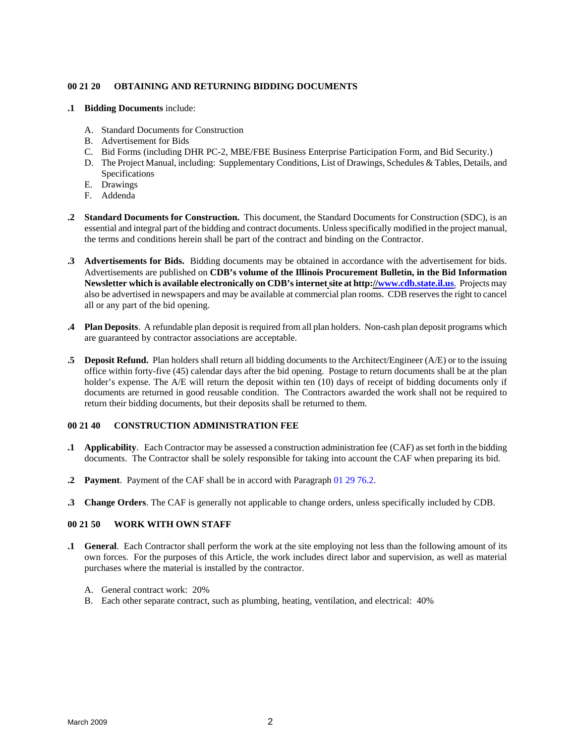### <span id="page-9-0"></span>**00 21 20 OBTAINING AND RETURNING BIDDING DOCUMENTS**

- **.1 Bidding Documents** include:
	- A. Standard Documents for Construction
	- B. Advertisement for Bids
	- C. Bid Forms (including DHR PC-2, MBE/FBE Business Enterprise Participation Form, and Bid Security.)
	- D. The Project Manual, including: Supplementary Conditions, List of Drawings, Schedules & Tables, Details, and Specifications
	- E. Drawings
	- F. Addenda
- **.2 Standard Documents for Construction.** This document, the Standard Documents for Construction (SDC), is an essential and integral part of the bidding and contract documents. Unless specifically modified in the project manual, the terms and conditions herein shall be part of the contract and binding on the Contractor.
- **.3 Advertisements for Bids.** Bidding documents may be obtained in accordance with the advertisement for bids. Advertisements are published on **CDB's volume of the Illinois Procurement Bulletin, in the Bid Information Newsletter which is available electronically on CDB's internet site at http://www.cdb.state.il.us**. Projects may also be advertised in newspapers and may be available at commercial plan rooms. CDB reserves the right to cancel all or any part of the bid opening.
- **.4 Plan Deposits**. A refundable plan deposit is required from all plan holders. Non-cash plan deposit programs which are guaranteed by contractor associations are acceptable.
- **.5 Deposit Refund.** Plan holders shall return all bidding documents to the Architect/Engineer (A/E) or to the issuing office within forty-five (45) calendar days after the bid opening. Postage to return documents shall be at the plan holder's expense. The A/E will return the deposit within ten (10) days of receipt of bidding documents only if documents are returned in good reusable condition. The Contractors awarded the work shall not be required to return their bidding documents, but their deposits shall be returned to them.

# **00 21 40 CONSTRUCTION ADMINISTRATION FEE**

- **.1 Applicability**. Each Contractor may be assessed a construction administration fee (CAF) as set forth in the bidding documents. The Contractor shall be solely responsible for taking into account the CAF when preparing its bid.
- **.2 Payment**. Payment of the CAF shall be in accord with Paragraph 01 29 76.2.
- **.3 Change Orders**. The CAF is generally not applicable to change orders, unless specifically included by CDB.

# **00 21 50 WORK WITH OWN STAFF**

- **.1 General**. Each Contractor shall perform the work at the site employing not less than the following amount of its own forces. For the purposes of this Article, the work includes direct labor and supervision, as well as material purchases where the material is installed by the contractor.
	- A. General contract work: 20%
	- B. Each other separate contract, such as plumbing, heating, ventilation, and electrical: 40%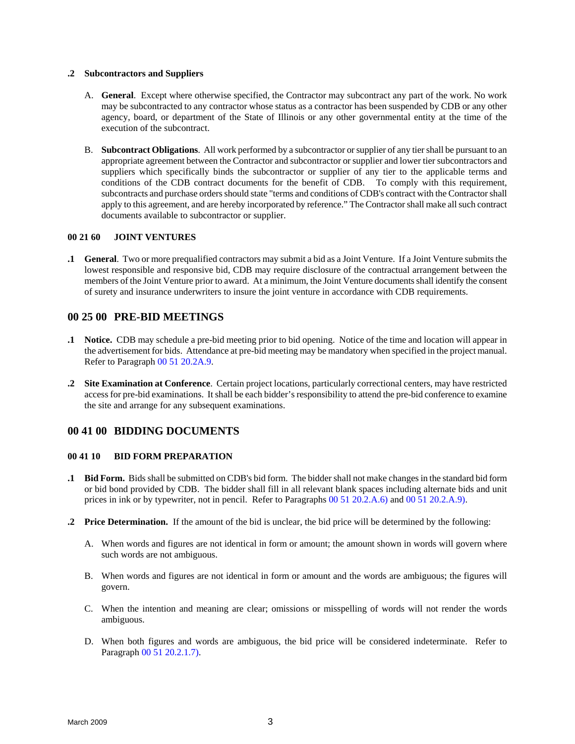#### <span id="page-10-0"></span>**.2 Subcontractors and Suppliers**

- A. **General**. Except where otherwise specified, the Contractor may subcontract any part of the work. No work may be subcontracted to any contractor whose status as a contractor has been suspended by CDB or any other agency, board, or department of the State of Illinois or any other governmental entity at the time of the execution of the subcontract.
- B. **Subcontract Obligations**. All work performed by a subcontractor or supplier of any tier shall be pursuant to an appropriate agreement between the Contractor and subcontractor or supplier and lower tier subcontractors and suppliers which specifically binds the subcontractor or supplier of any tier to the applicable terms and conditions of the CDB contract documents for the benefit of CDB. To comply with this requirement, subcontracts and purchase orders should state "terms and conditions of CDB's contract with the Contractor shall apply to this agreement, and are hereby incorporated by reference." The Contractor shall make all such contract documents available to subcontractor or supplier.

#### **00 21 60 JOINT VENTURES**

**.1 General**. Two or more prequalified contractors may submit a bid as a Joint Venture. If a Joint Venture submits the lowest responsible and responsive bid, CDB may require disclosure of the contractual arrangement between the members of the Joint Venture prior to award. At a minimum, the Joint Venture documents shall identify the consent of surety and insurance underwriters to insure the joint venture in accordance with CDB requirements.

# **00 25 00 PRE-BID MEETINGS**

- **.1 Notice.** CDB may schedule a pre-bid meeting prior to bid opening. Notice of the time and location will appear in the advertisement for bids. Attendance at pre-bid meeting may be mandatory when specified in the project manual. Refer to Paragraph 00 51 20.2A.9.
- **.2 Site Examination at Conference**. Certain project locations, particularly correctional centers, may have restricted access for pre-bid examinations. It shall be each bidder's responsibility to attend the pre-bid conference to examine the site and arrange for any subsequent examinations.

# **00 41 00 BIDDING DOCUMENTS**

# **00 41 10 BID FORM PREPARATION**

- **.1 Bid Form.** Bids shall be submitted on CDB's bid form. The bidder shall not make changes in the standard bid form or bid bond provided by CDB. The bidder shall fill in all relevant blank spaces including alternate bids and unit prices in ink or by typewriter, not in pencil. Refer to Paragraphs 00 51 20.2.A.6) and 00 51 20.2.A.9).
- **.2 Price Determination.** If the amount of the bid is unclear, the bid price will be determined by the following:
	- A. When words and figures are not identical in form or amount; the amount shown in words will govern where such words are not ambiguous.
	- B. When words and figures are not identical in form or amount and the words are ambiguous; the figures will govern.
	- C. When the intention and meaning are clear; omissions or misspelling of words will not render the words ambiguous.
	- D. When both figures and words are ambiguous, the bid price will be considered indeterminate. Refer to Paragraph 00 51 20.2.1.7).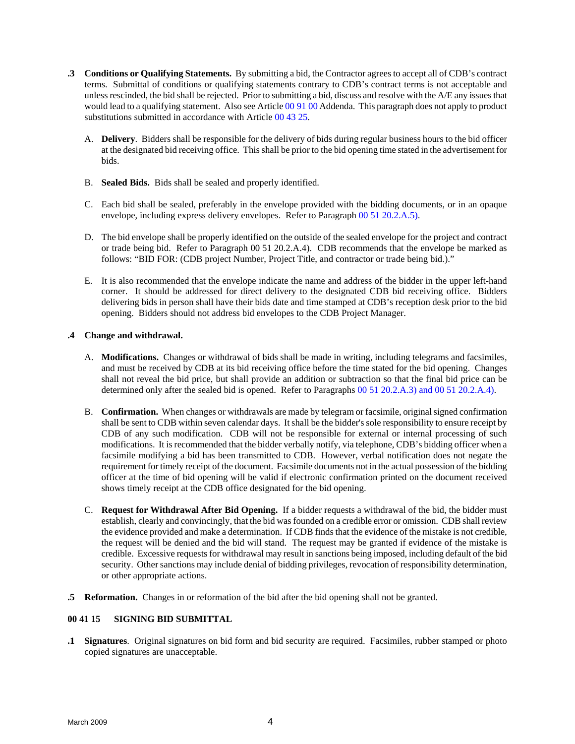- **.3 Conditions or Qualifying Statements.** By submitting a bid, the Contractor agrees to accept all of CDB's contract terms. Submittal of conditions or qualifying statements contrary to CDB's contract terms is not acceptable and unless rescinded, the bid shall be rejected. Prior to submitting a bid, discuss and resolve with the A/E any issues that would lead to a qualifying statement. Also see Article 00 91 00 Addenda. This paragraph does not apply to product substitutions submitted in accordance with Article 00 43 25.
	- A. **Delivery**. Bidders shall be responsible for the delivery of bids during regular business hours to the bid officer at the designated bid receiving office. This shall be prior to the bid opening time stated in the advertisement for bids.
	- B. **Sealed Bids.** Bids shall be sealed and properly identified.
	- C. Each bid shall be sealed, preferably in the envelope provided with the bidding documents, or in an opaque envelope, including express delivery envelopes. Refer to Paragraph 00 51 20.2.A.5).
	- D. The bid envelope shall be properly identified on the outside of the sealed envelope for the project and contract or trade being bid. Refer to Paragraph 00 51 20.2.A.4). CDB recommends that the envelope be marked as follows: "BID FOR: (CDB project Number, Project Title, and contractor or trade being bid.)."
	- E. It is also recommended that the envelope indicate the name and address of the bidder in the upper left-hand corner. It should be addressed for direct delivery to the designated CDB bid receiving office. Bidders delivering bids in person shall have their bids date and time stamped at CDB's reception desk prior to the bid opening. Bidders should not address bid envelopes to the CDB Project Manager.

#### **.4 Change and withdrawal.**

- A. **Modifications.** Changes or withdrawal of bids shall be made in writing, including telegrams and facsimiles, and must be received by CDB at its bid receiving office before the time stated for the bid opening. Changes shall not reveal the bid price, but shall provide an addition or subtraction so that the final bid price can be determined only after the sealed bid is opened. Refer to Paragraphs 00 51 20.2.A.3) and 00 51 20.2.A.4).
- B. **Confirmation.** When changes or withdrawals are made by telegram or facsimile, originalsigned confirmation shall be sent to CDB within seven calendar days. It shall be the bidder's sole responsibility to ensure receipt by CDB of any such modification. CDB will not be responsible for external or internal processing of such modifications. It is recommended that the bidder verbally notify, via telephone, CDB's bidding officer when a facsimile modifying a bid has been transmitted to CDB. However, verbal notification does not negate the requirement for timely receipt of the document. Facsimile documents not in the actual possession of the bidding officer at the time of bid opening will be valid if electronic confirmation printed on the document received shows timely receipt at the CDB office designated for the bid opening.
- C. **Request for Withdrawal After Bid Opening.** If a bidder requests a withdrawal of the bid, the bidder must establish, clearly and convincingly, that the bid was founded on a credible error or omission. CDB shall review the evidence provided and make a determination. If CDB finds that the evidence of the mistake is not credible, the request will be denied and the bid will stand. The request may be granted if evidence of the mistake is credible. Excessive requests for withdrawal may result in sanctions being imposed, including default of the bid security. Other sanctions may include denial of bidding privileges, revocation of responsibility determination, or other appropriate actions.
- **.5 Reformation.** Changes in or reformation of the bid after the bid opening shall not be granted.

#### **00 41 15 SIGNING BID SUBMITTAL**

**.1 Signatures**. Original signatures on bid form and bid security are required. Facsimiles, rubber stamped or photo copied signatures are unacceptable.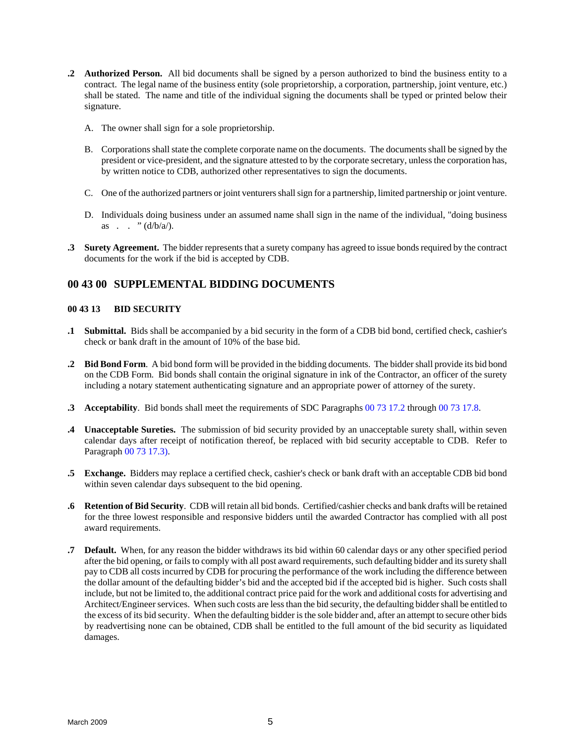- <span id="page-12-0"></span>**.2 Authorized Person.** All bid documents shall be signed by a person authorized to bind the business entity to a contract. The legal name of the business entity (sole proprietorship, a corporation, partnership, joint venture, etc.) shall be stated. The name and title of the individual signing the documents shall be typed or printed below their signature.
	- A. The owner shall sign for a sole proprietorship.
	- B. Corporations shall state the complete corporate name on the documents. The documents shall be signed by the president or vice-president, and the signature attested to by the corporate secretary, unless the corporation has, by written notice to CDB, authorized other representatives to sign the documents.
	- C. One of the authorized partners or joint venturers shall sign for a partnership, limited partnership or joint venture.
	- D. Individuals doing business under an assumed name shall sign in the name of the individual, "doing business as . . "  $(d/b/a)$ .
- **.3 Surety Agreement.** The bidder represents that a surety company has agreed to issue bonds required by the contract documents for the work if the bid is accepted by CDB.

# **00 43 00 SUPPLEMENTAL BIDDING DOCUMENTS**

# **00 43 13 BID SECURITY**

- **.1 Submittal.** Bids shall be accompanied by a bid security in the form of a CDB bid bond, certified check, cashier's check or bank draft in the amount of 10% of the base bid.
- **.2 Bid Bond Form**. A bid bond form will be provided in the bidding documents. The bidder shall provide its bid bond on the CDB Form. Bid bonds shall contain the original signature in ink of the Contractor, an officer of the surety including a notary statement authenticating signature and an appropriate power of attorney of the surety.
- **.3 Acceptability**. Bid bonds shall meet the requirements of SDC Paragraphs 00 73 17.2 through 00 73 17.8.
- **.4 Unacceptable Sureties.** The submission of bid security provided by an unacceptable surety shall, within seven calendar days after receipt of notification thereof, be replaced with bid security acceptable to CDB. Refer to Paragraph 00 73 17.3).
- **.5 Exchange.** Bidders may replace a certified check, cashier's check or bank draft with an acceptable CDB bid bond within seven calendar days subsequent to the bid opening.
- **.6 Retention of Bid Security**. CDB will retain all bid bonds. Certified/cashier checks and bank drafts will be retained for the three lowest responsible and responsive bidders until the awarded Contractor has complied with all post award requirements.
- **.7 Default.** When, for any reason the bidder withdraws its bid within 60 calendar days or any other specified period after the bid opening, or fails to comply with all post award requirements, such defaulting bidder and itssurety shall pay to CDB all costs incurred by CDB for procuring the performance of the work including the difference between the dollar amount of the defaulting bidder's bid and the accepted bid if the accepted bid is higher. Such costs shall include, but not be limited to, the additional contract price paid for the work and additional costs for advertising and Architect/Engineer services. When such costs are less than the bid security, the defaulting bidder shall be entitled to the excess of its bid security. When the defaulting bidder is the sole bidder and, after an attempt to secure other bids by readvertising none can be obtained, CDB shall be entitled to the full amount of the bid security as liquidated damages.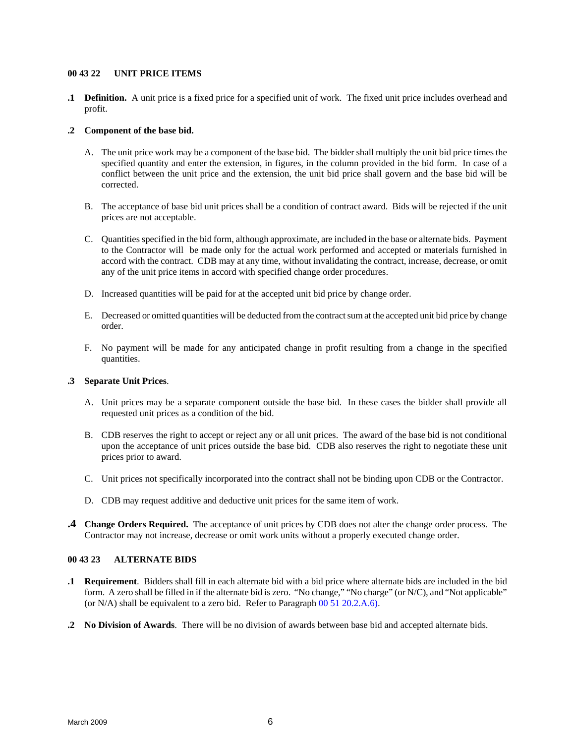#### <span id="page-13-0"></span>**00 43 22 UNIT PRICE ITEMS**

**.1 Definition.** A unit price is a fixed price for a specified unit of work. The fixed unit price includes overhead and profit.

### **.2 Component of the base bid.**

- A. The unit price work may be a component of the base bid. The bidder shall multiply the unit bid price times the specified quantity and enter the extension, in figures, in the column provided in the bid form. In case of a conflict between the unit price and the extension, the unit bid price shall govern and the base bid will be corrected.
- B. The acceptance of base bid unit prices shall be a condition of contract award. Bids will be rejected if the unit prices are not acceptable.
- C. Quantities specified in the bid form, although approximate, are included in the base or alternate bids. Payment to the Contractor will be made only for the actual work performed and accepted or materials furnished in accord with the contract. CDB may at any time, without invalidating the contract, increase, decrease, or omit any of the unit price items in accord with specified change order procedures.
- D. Increased quantities will be paid for at the accepted unit bid price by change order.
- E. Decreased or omitted quantities will be deducted from the contract sum at the accepted unit bid price by change order.
- F. No payment will be made for any anticipated change in profit resulting from a change in the specified quantities.

#### **.3 Separate Unit Prices**.

- A. Unit prices may be a separate component outside the base bid. In these cases the bidder shall provide all requested unit prices as a condition of the bid.
- B. CDB reserves the right to accept or reject any or all unit prices. The award of the base bid is not conditional upon the acceptance of unit prices outside the base bid. CDB also reserves the right to negotiate these unit prices prior to award.
- C. Unit prices not specifically incorporated into the contract shall not be binding upon CDB or the Contractor.
- D. CDB may request additive and deductive unit prices for the same item of work.
- **.4 Change Orders Required.** The acceptance of unit prices by CDB does not alter the change order process. The Contractor may not increase, decrease or omit work units without a properly executed change order.

# **00 43 23 ALTERNATE BIDS**

- **.1 Requirement**. Bidders shall fill in each alternate bid with a bid price where alternate bids are included in the bid form. A zero shall be filled in if the alternate bid is zero. "No change," "No charge" (or N/C), and "Not applicable" (or N/A) shall be equivalent to a zero bid. Refer to Paragraph 00 51 20.2.A.6).
- **.2 No Division of Awards**. There will be no division of awards between base bid and accepted alternate bids.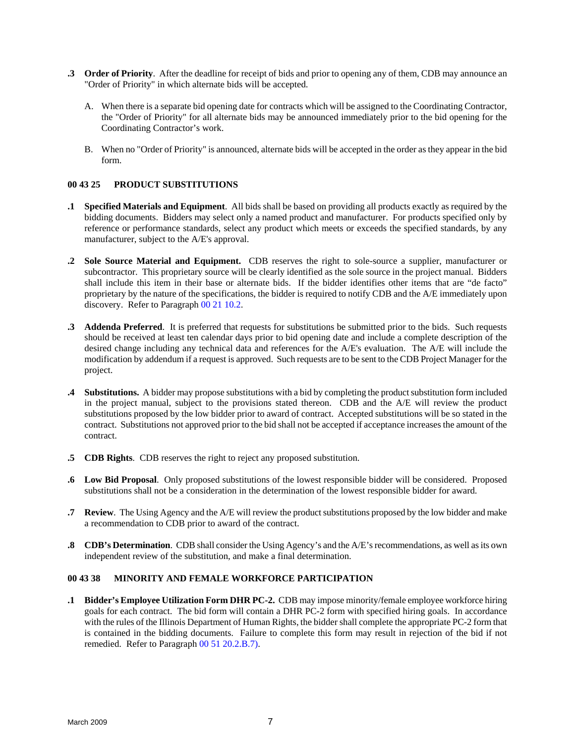- <span id="page-14-0"></span>**.3 Order of Priority**. After the deadline for receipt of bids and prior to opening any of them, CDB may announce an "Order of Priority" in which alternate bids will be accepted.
	- A. When there is a separate bid opening date for contracts which will be assigned to the Coordinating Contractor, the "Order of Priority" for all alternate bids may be announced immediately prior to the bid opening for the Coordinating Contractor's work.
	- B. When no "Order of Priority" is announced, alternate bids will be accepted in the order as they appear in the bid form.

# **00 43 25 PRODUCT SUBSTITUTIONS**

- **.1 Specified Materials and Equipment**. All bids shall be based on providing all products exactly as required by the bidding documents. Bidders may select only a named product and manufacturer. For products specified only by reference or performance standards, select any product which meets or exceeds the specified standards, by any manufacturer, subject to the A/E's approval.
- **.2 Sole Source Material and Equipment.** CDB reserves the right to sole-source a supplier, manufacturer or subcontractor. This proprietary source will be clearly identified as the sole source in the project manual. Bidders shall include this item in their base or alternate bids. If the bidder identifies other items that are "de facto" proprietary by the nature of the specifications, the bidder is required to notify CDB and the A/E immediately upon discovery. Refer to Paragraph 00 21 10.2.
- **.3 Addenda Preferred**. It is preferred that requests for substitutions be submitted prior to the bids. Such requests should be received at least ten calendar days prior to bid opening date and include a complete description of the desired change including any technical data and references for the A/E's evaluation. The A/E will include the modification by addendum if a request is approved. Such requests are to be sent to the CDB Project Manager for the project.
- **.4 Substitutions.** A bidder may propose substitutions with a bid by completing the product substitution form included in the project manual, subject to the provisions stated thereon. CDB and the A/E will review the product substitutions proposed by the low bidder prior to award of contract. Accepted substitutions will be so stated in the contract. Substitutions not approved prior to the bid shall not be accepted if acceptance increases the amount of the contract.
- **.5 CDB Rights**. CDB reserves the right to reject any proposed substitution.
- **.6 Low Bid Proposal**. Only proposed substitutions of the lowest responsible bidder will be considered. Proposed substitutions shall not be a consideration in the determination of the lowest responsible bidder for award.
- **.7 Review**. The Using Agency and the A/E will review the product substitutions proposed by the low bidder and make a recommendation to CDB prior to award of the contract.
- **.8 CDB's Determination**. CDB shall consider the Using Agency's and the A/E's recommendations, as well as its own independent review of the substitution, and make a final determination.

### **00 43 38 MINORITY AND FEMALE WORKFORCE PARTICIPATION**

**.1 Bidder's Employee Utilization Form DHR PC-2.** CDB may impose minority/female employee workforce hiring goals for each contract. The bid form will contain a DHR PC-2 form with specified hiring goals. In accordance with the rules of the Illinois Department of Human Rights, the bidder shall complete the appropriate PC-2 form that is contained in the bidding documents. Failure to complete this form may result in rejection of the bid if not remedied. Refer to Paragraph 00 51 20.2.B.7).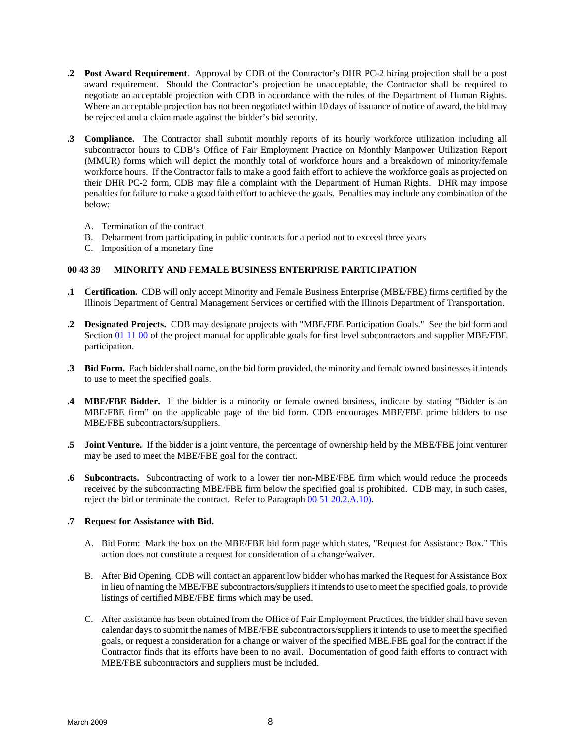- <span id="page-15-0"></span>**.2 Post Award Requirement**. Approval by CDB of the Contractor's DHR PC-2 hiring projection shall be a post award requirement. Should the Contractor's projection be unacceptable, the Contractor shall be required to negotiate an acceptable projection with CDB in accordance with the rules of the Department of Human Rights. Where an acceptable projection has not been negotiated within 10 days of issuance of notice of award, the bid may be rejected and a claim made against the bidder's bid security.
- **.3 Compliance.** The Contractor shall submit monthly reports of its hourly workforce utilization including all subcontractor hours to CDB's Office of Fair Employment Practice on Monthly Manpower Utilization Report (MMUR) forms which will depict the monthly total of workforce hours and a breakdown of minority/female workforce hours. If the Contractor fails to make a good faith effort to achieve the workforce goals as projected on their DHR PC-2 form, CDB may file a complaint with the Department of Human Rights. DHR may impose penalties for failure to make a good faith effort to achieve the goals. Penalties may include any combination of the below:
	- A. Termination of the contract
	- B. Debarment from participating in public contracts for a period not to exceed three years
	- C. Imposition of a monetary fine

#### **00 43 39 MINORITY AND FEMALE BUSINESS ENTERPRISE PARTICIPATION**

- **.1 Certification.** CDB will only accept Minority and Female Business Enterprise (MBE/FBE) firms certified by the Illinois Department of Central Management Services or certified with the Illinois Department of Transportation.
- **.2 Designated Projects.** CDB may designate projects with "MBE/FBE Participation Goals." See the bid form and Section 01 11 00 of the project manual for applicable goals for first level subcontractors and supplier MBE/FBE participation.
- **.3 Bid Form.** Each bidder shall name, on the bid form provided, the minority and female owned businesses it intends to use to meet the specified goals.
- **.4 MBE/FBE Bidder.** If the bidder is a minority or female owned business, indicate by stating "Bidder is an MBE/FBE firm" on the applicable page of the bid form. CDB encourages MBE/FBE prime bidders to use MBE/FBE subcontractors/suppliers.
- **.5 Joint Venture.** If the bidder is a joint venture, the percentage of ownership held by the MBE/FBE joint venturer may be used to meet the MBE/FBE goal for the contract.
- **.6 Subcontracts.** Subcontracting of work to a lower tier non-MBE/FBE firm which would reduce the proceeds received by the subcontracting MBE/FBE firm below the specified goal is prohibited. CDB may, in such cases, reject the bid or terminate the contract. Refer to Paragraph 00 51 20.2.A.10).

#### **.7 Request for Assistance with Bid.**

- A. Bid Form: Mark the box on the MBE/FBE bid form page which states, "Request for Assistance Box." This action does not constitute a request for consideration of a change/waiver.
- B. After Bid Opening: CDB will contact an apparent low bidder who has marked the Request for Assistance Box in lieu of naming the MBE/FBE subcontractors/suppliers it intends to use to meet the specified goals, to provide listings of certified MBE/FBE firms which may be used.
- C. After assistance has been obtained from the Office of Fair Employment Practices, the bidder shall have seven calendar days to submit the names of MBE/FBE subcontractors/suppliers it intends to use to meet the specified goals, or request a consideration for a change or waiver of the specified MBE.FBE goal for the contract if the Contractor finds that its efforts have been to no avail. Documentation of good faith efforts to contract with MBE/FBE subcontractors and suppliers must be included.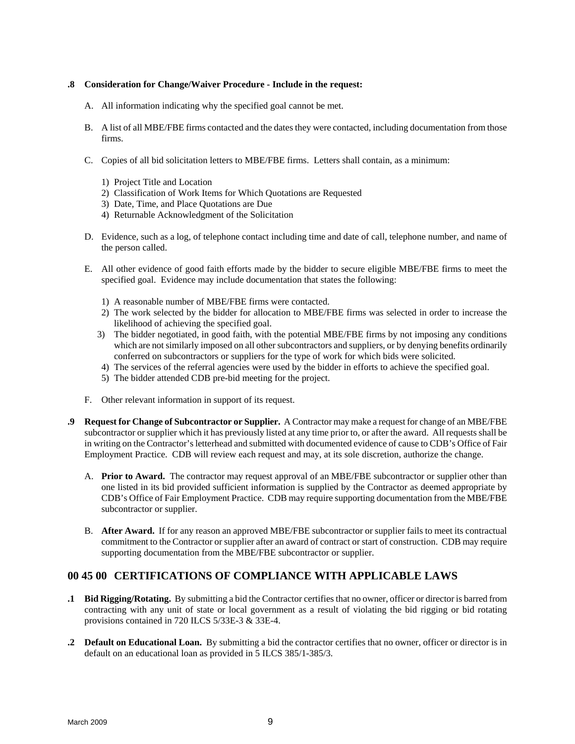#### **.8 Consideration for Change/Waiver Procedure - Include in the request:**

- A. All information indicating why the specified goal cannot be met.
- B. A list of all MBE/FBE firms contacted and the dates they were contacted, including documentation from those firms.
- C. Copies of all bid solicitation letters to MBE/FBE firms. Letters shall contain, as a minimum:
	- 1) Project Title and Location
	- 2) Classification of Work Items for Which Quotations are Requested
	- 3) Date, Time, and Place Quotations are Due
	- 4) Returnable Acknowledgment of the Solicitation
- D. Evidence, such as a log, of telephone contact including time and date of call, telephone number, and name of the person called.
- E. All other evidence of good faith efforts made by the bidder to secure eligible MBE/FBE firms to meet the specified goal. Evidence may include documentation that states the following:
	- 1) A reasonable number of MBE/FBE firms were contacted.
	- 2) The work selected by the bidder for allocation to MBE/FBE firms was selected in order to increase the likelihood of achieving the specified goal.
	- 3) The bidder negotiated, in good faith, with the potential MBE/FBE firms by not imposing any conditions which are not similarly imposed on all other subcontractors and suppliers, or by denying benefits ordinarily conferred on subcontractors or suppliers for the type of work for which bids were solicited.
	- 4) The services of the referral agencies were used by the bidder in efforts to achieve the specified goal.
	- 5) The bidder attended CDB pre-bid meeting for the project.
- F. Other relevant information in support of its request.
- **.9 Request for Change of Subcontractor or Supplier.** A Contractor may make a request for change of an MBE/FBE subcontractor or supplier which it has previously listed at any time prior to, or after the award. All requests shall be in writing on the Contractor's letterhead and submitted with documented evidence of cause to CDB's Office of Fair Employment Practice. CDB will review each request and may, at its sole discretion, authorize the change.
	- A. **Prior to Award.** The contractor may request approval of an MBE/FBE subcontractor or supplier other than one listed in its bid provided sufficient information is supplied by the Contractor as deemed appropriate by CDB's Office of Fair Employment Practice. CDB may require supporting documentation from the MBE/FBE subcontractor or supplier.
	- B. **After Award.** If for any reason an approved MBE/FBE subcontractor or supplier fails to meet its contractual commitment to the Contractor or supplier after an award of contract or start of construction. CDB may require supporting documentation from the MBE/FBE subcontractor or supplier.

# **00 45 00 CERTIFICATIONS OF COMPLIANCE WITH APPLICABLE LAWS**

- **.1 Bid Rigging/Rotating.** By submitting a bid the Contractor certifies that no owner, officer or director is barred from contracting with any unit of state or local government as a result of violating the bid rigging or bid rotating provisions contained in 720 ILCS 5/33E-3 & 33E-4.
- **.2 Default on Educational Loan.** By submitting a bid the contractor certifies that no owner, officer or director is in default on an educational loan as provided in 5 ILCS 385/1-385/3.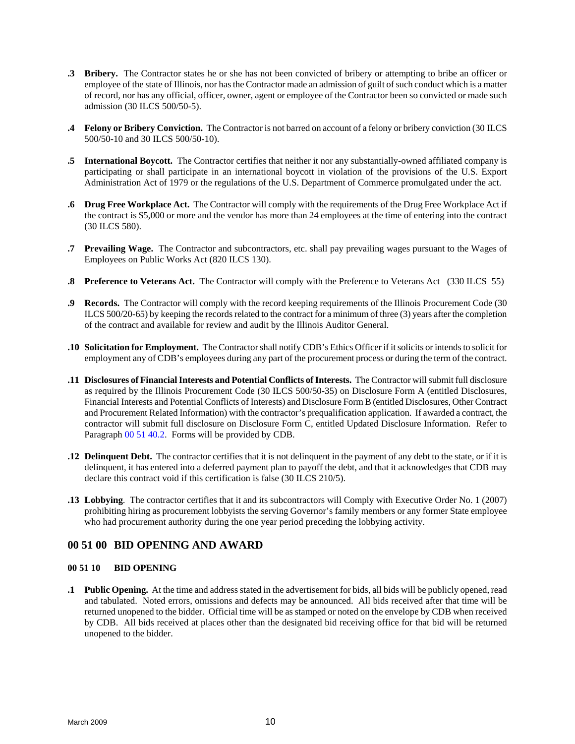- <span id="page-17-0"></span>**.3 Bribery.** The Contractor states he or she has not been convicted of bribery or attempting to bribe an officer or employee of the state of Illinois, nor has the Contractor made an admission of guilt of such conduct which is a matter of record, nor has any official, officer, owner, agent or employee of the Contractor been so convicted or made such admission (30 ILCS 500/50-5).
- **.4 Felony or Bribery Conviction.** The Contractor is not barred on account of a felony or bribery conviction (30 ILCS 500/50-10 and 30 ILCS 500/50-10).
- **.5 International Boycott.** The Contractor certifies that neither it nor any substantially-owned affiliated company is participating or shall participate in an international boycott in violation of the provisions of the U.S. Export Administration Act of 1979 or the regulations of the U.S. Department of Commerce promulgated under the act.
- **.6 Drug Free Workplace Act.** The Contractor will comply with the requirements of the Drug Free Workplace Act if the contract is \$5,000 or more and the vendor has more than 24 employees at the time of entering into the contract (30 ILCS 580).
- **.7 Prevailing Wage.** The Contractor and subcontractors, etc. shall pay prevailing wages pursuant to the Wages of Employees on Public Works Act (820 ILCS 130).
- **.8 Preference to Veterans Act.** The Contractor will comply with the Preference to Veterans Act (330 ILCS 55)
- **.9 Records.** The Contractor will comply with the record keeping requirements of the Illinois Procurement Code (30 ILCS 500/20-65) by keeping the records related to the contract for a minimum of three (3) years after the completion of the contract and available for review and audit by the Illinois Auditor General.
- **.10 Solicitation for Employment.** The Contractor shall notify CDB's Ethics Officer if it solicits or intends to solicit for employment any of CDB's employees during any part of the procurement process or during the term of the contract.
- **.11 Disclosures of Financial Interests and Potential Conflicts of Interests.** The Contractor will submit full disclosure as required by the Illinois Procurement Code (30 ILCS 500/50-35) on Disclosure Form A (entitled Disclosures, Financial Interests and Potential Conflicts of Interests) and Disclosure Form B (entitled Disclosures, Other Contract and Procurement Related Information) with the contractor's prequalification application. If awarded a contract, the contractor will submit full disclosure on Disclosure Form C, entitled Updated Disclosure Information. Refer to Paragraph 00 51 40.2. Forms will be provided by CDB.
- **.12 Delinquent Debt.** The contractor certifies that it is not delinquent in the payment of any debt to the state, or if it is delinquent, it has entered into a deferred payment plan to payoff the debt, and that it acknowledges that CDB may declare this contract void if this certification is false (30 ILCS 210/5).
- **.13 Lobbying**. The contractor certifies that it and its subcontractors will Comply with Executive Order No. 1 (2007) prohibiting hiring as procurement lobbyists the serving Governor's family members or any former State employee who had procurement authority during the one year period preceding the lobbying activity.

# **00 51 00 BID OPENING AND AWARD**

# **00 51 10 BID OPENING**

**.1 Public Opening.** At the time and address stated in the advertisement for bids, all bids will be publicly opened, read and tabulated. Noted errors, omissions and defects may be announced. All bids received after that time will be returned unopened to the bidder. Official time will be as stamped or noted on the envelope by CDB when received by CDB. All bids received at places other than the designated bid receiving office for that bid will be returned unopened to the bidder.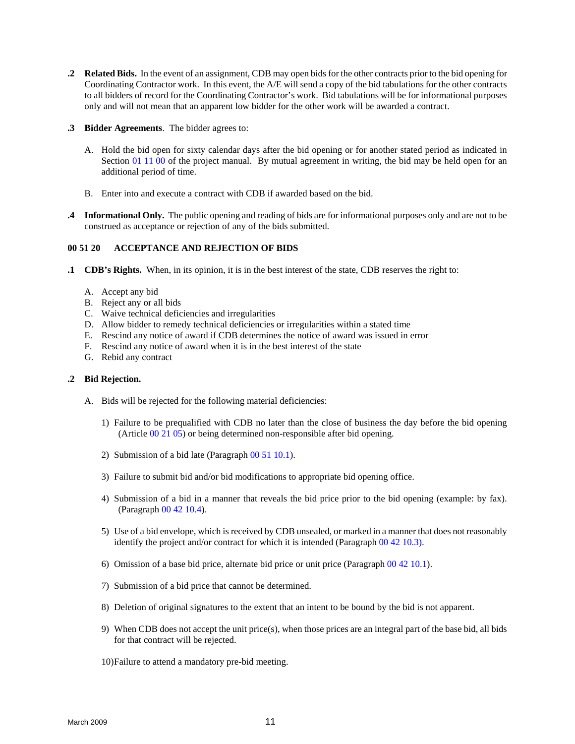- <span id="page-18-0"></span>**.2 Related Bids.** In the event of an assignment, CDB may open bids for the other contracts prior to the bid opening for Coordinating Contractor work. In this event, the A/E will send a copy of the bid tabulations for the other contracts to all bidders of record for the Coordinating Contractor's work. Bid tabulations will be for informational purposes only and will not mean that an apparent low bidder for the other work will be awarded a contract.
- **.3 Bidder Agreements**. The bidder agrees to:
	- A. Hold the bid open for sixty calendar days after the bid opening or for another stated period as indicated in Section 01 11 00 of the project manual. By mutual agreement in writing, the bid may be held open for an additional period of time.
	- B. Enter into and execute a contract with CDB if awarded based on the bid.
- **.4 Informational Only.** The public opening and reading of bids are for informational purposes only and are not to be construed as acceptance or rejection of any of the bids submitted.

#### **00 51 20 ACCEPTANCE AND REJECTION OF BIDS**

- **.1 CDB's Rights.** When, in its opinion, it is in the best interest of the state, CDB reserves the right to:
	- A. Accept any bid
	- B. Reject any or all bids
	- C. Waive technical deficiencies and irregularities
	- D. Allow bidder to remedy technical deficiencies or irregularities within a stated time
	- E. Rescind any notice of award if CDB determines the notice of award was issued in error
	- F. Rescind any notice of award when it is in the best interest of the state
	- G. Rebid any contract

#### **.2 Bid Rejection.**

- A. Bids will be rejected for the following material deficiencies:
	- 1) Failure to be prequalified with CDB no later than the close of business the day before the bid opening (Article 00 21 05) or being determined non-responsible after bid opening.
	- 2) Submission of a bid late (Paragraph 00 51 10.1).
	- 3) Failure to submit bid and/or bid modifications to appropriate bid opening office.
	- 4) Submission of a bid in a manner that reveals the bid price prior to the bid opening (example: by fax). (Paragraph 00 42 10.4).
	- 5) Use of a bid envelope, which is received by CDB unsealed, or marked in a manner that does not reasonably identify the project and/or contract for which it is intended (Paragraph 00 42 10.3).
	- 6) Omission of a base bid price, alternate bid price or unit price (Paragraph 00 42 10.1).
	- 7) Submission of a bid price that cannot be determined.
	- 8) Deletion of original signatures to the extent that an intent to be bound by the bid is not apparent.
	- 9) When CDB does not accept the unit price(s), when those prices are an integral part of the base bid, all bids for that contract will be rejected.
	- 10)Failure to attend a mandatory pre-bid meeting.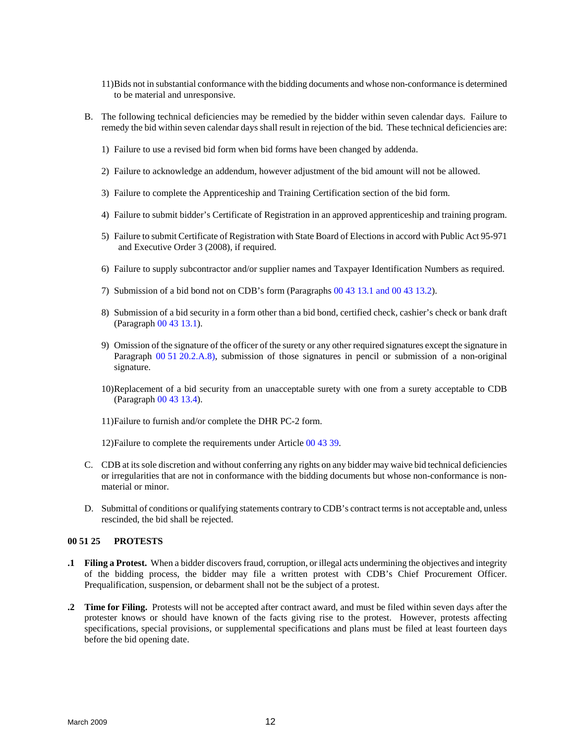- 11)Bids not in substantial conformance with the bidding documents and whose non-conformance is determined to be material and unresponsive.
- B. The following technical deficiencies may be remedied by the bidder within seven calendar days. Failure to remedy the bid within seven calendar days shall result in rejection of the bid. These technical deficiencies are:
	- 1) Failure to use a revised bid form when bid forms have been changed by addenda.
	- 2) Failure to acknowledge an addendum, however adjustment of the bid amount will not be allowed.
	- 3) Failure to complete the Apprenticeship and Training Certification section of the bid form.
	- 4) Failure to submit bidder's Certificate of Registration in an approved apprenticeship and training program.
	- 5) Failure to submit Certificate of Registration with State Board of Elections in accord with Public Act 95-971 and Executive Order 3 (2008), if required.
	- 6) Failure to supply subcontractor and/or supplier names and Taxpayer Identification Numbers as required.
	- 7) Submission of a bid bond not on CDB's form (Paragraphs 00 43 13.1 and 00 43 13.2).
	- 8) Submission of a bid security in a form other than a bid bond, certified check, cashier's check or bank draft (Paragraph 00 43 13.1).
	- 9) Omission of the signature of the officer of the surety or any other required signatures except the signature in Paragraph 00 51 20.2.A.8), submission of those signatures in pencil or submission of a non-original signature.
	- 10)Replacement of a bid security from an unacceptable surety with one from a surety acceptable to CDB (Paragraph 00 43 13.4).
	- 11)Failure to furnish and/or complete the DHR PC-2 form.
	- 12)Failure to complete the requirements under Article 00 43 39.
- C. CDB at its sole discretion and without conferring any rights on any bidder may waive bid technical deficiencies or irregularities that are not in conformance with the bidding documents but whose non-conformance is nonmaterial or minor.
- D. Submittal of conditions or qualifying statements contrary to CDB's contract terms is not acceptable and, unless rescinded, the bid shall be rejected.

#### **00 51 25 PROTESTS**

- **.1 Filing a Protest.** When a bidder discovers fraud, corruption, or illegal acts undermining the objectives and integrity of the bidding process, the bidder may file a written protest with CDB's Chief Procurement Officer. Prequalification, suspension, or debarment shall not be the subject of a protest.
- **.2 Time for Filing.** Protests will not be accepted after contract award, and must be filed within seven days after the protester knows or should have known of the facts giving rise to the protest. However, protests affecting specifications, special provisions, or supplemental specifications and plans must be filed at least fourteen days before the bid opening date.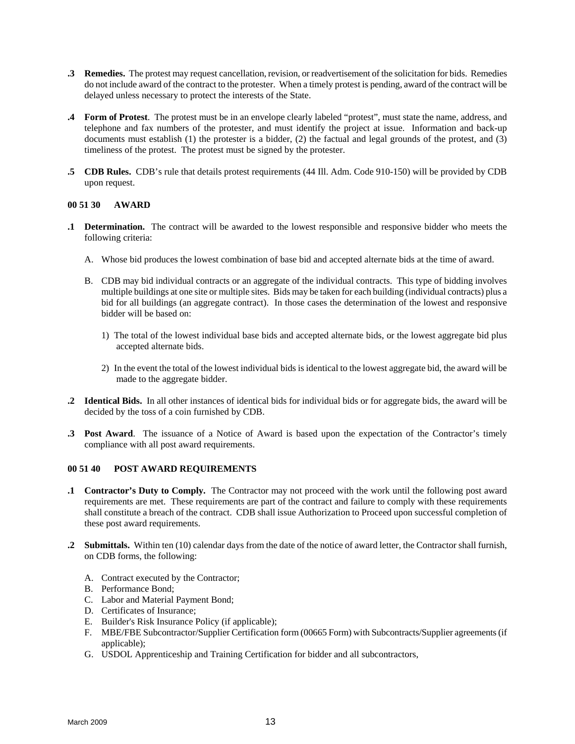- <span id="page-20-0"></span>**.3 Remedies.** The protest may request cancellation, revision, or readvertisement of the solicitation for bids. Remedies do not include award of the contract to the protester. When a timely protest is pending, award of the contract will be delayed unless necessary to protect the interests of the State.
- **.4 Form of Protest**. The protest must be in an envelope clearly labeled "protest", must state the name, address, and telephone and fax numbers of the protester, and must identify the project at issue. Information and back-up documents must establish (1) the protester is a bidder, (2) the factual and legal grounds of the protest, and (3) timeliness of the protest. The protest must be signed by the protester.
- **.5 CDB Rules.** CDB's rule that details protest requirements (44 Ill. Adm. Code 910-150) will be provided by CDB upon request.

### **00 51 30 AWARD**

- **.1 Determination.** The contract will be awarded to the lowest responsible and responsive bidder who meets the following criteria:
	- A. Whose bid produces the lowest combination of base bid and accepted alternate bids at the time of award.
	- B. CDB may bid individual contracts or an aggregate of the individual contracts. This type of bidding involves multiple buildings at one site or multiple sites. Bids may be taken for each building (individual contracts) plus a bid for all buildings (an aggregate contract). In those cases the determination of the lowest and responsive bidder will be based on:
		- 1) The total of the lowest individual base bids and accepted alternate bids, or the lowest aggregate bid plus accepted alternate bids.
		- 2) In the event the total of the lowest individual bids is identical to the lowest aggregate bid, the award will be made to the aggregate bidder.
- **.2 Identical Bids.** In all other instances of identical bids for individual bids or for aggregate bids, the award will be decided by the toss of a coin furnished by CDB.
- **.3 Post Award**. The issuance of a Notice of Award is based upon the expectation of the Contractor's timely compliance with all post award requirements.

# **00 51 40 POST AWARD REQUIREMENTS**

- **.1 Contractor's Duty to Comply.** The Contractor may not proceed with the work until the following post award requirements are met. These requirements are part of the contract and failure to comply with these requirements shall constitute a breach of the contract. CDB shall issue Authorization to Proceed upon successful completion of these post award requirements.
- **.2 Submittals.** Within ten (10) calendar days from the date of the notice of award letter, the Contractor shall furnish, on CDB forms, the following:
	- A. Contract executed by the Contractor;
	- B. Performance Bond;
	- C. Labor and Material Payment Bond;
	- D. Certificates of Insurance;
	- E. Builder's Risk Insurance Policy (if applicable);
	- F. MBE/FBE Subcontractor/Supplier Certification form (00665 Form) with Subcontracts/Supplier agreements (if applicable);
	- G. USDOL Apprenticeship and Training Certification for bidder and all subcontractors,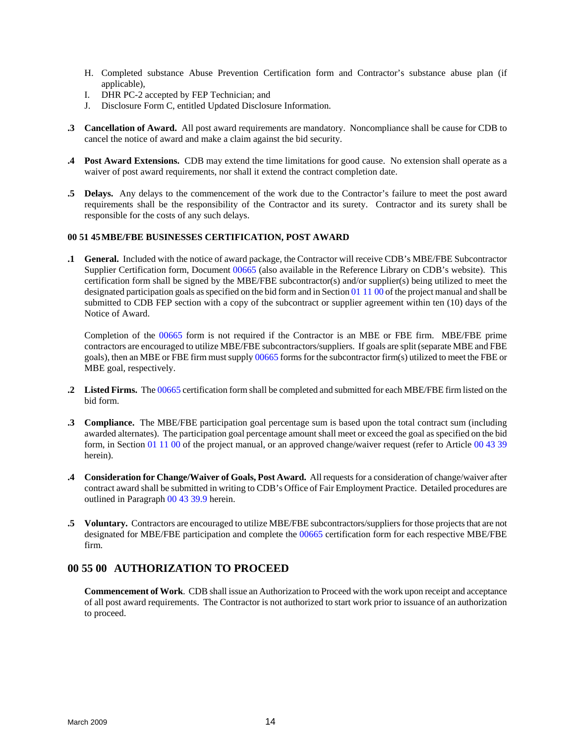- <span id="page-21-0"></span>H. Completed substance Abuse Prevention Certification form and Contractor's substance abuse plan (if applicable),
- I. DHR PC-2 accepted by FEP Technician; and
- J. Disclosure Form C, entitled Updated Disclosure Information.
- **.3 Cancellation of Award.** All post award requirements are mandatory. Noncompliance shall be cause for CDB to cancel the notice of award and make a claim against the bid security.
- **.4 Post Award Extensions.** CDB may extend the time limitations for good cause. No extension shall operate as a waiver of post award requirements, nor shall it extend the contract completion date.
- **.5 Delays.** Any delays to the commencement of the work due to the Contractor's failure to meet the post award requirements shall be the responsibility of the Contractor and its surety. Contractor and its surety shall be responsible for the costs of any such delays.

# **00 51 45 MBE/FBE BUSINESSES CERTIFICATION, POST AWARD**

**.1 General.** Included with the notice of award package, the Contractor will receive CDB's MBE/FBE Subcontractor Supplier Certification form, Document 00665 (also available in the Reference Library on CDB's website). This certification form shall be signed by the MBE/FBE subcontractor(s) and/or supplier(s) being utilized to meet the designated participation goals as specified on the bid form and in Section 01 11 00 of the project manual and shall be submitted to CDB FEP section with a copy of the subcontract or supplier agreement within ten (10) days of the Notice of Award.

Completion of the 00665 form is not required if the Contractor is an MBE or FBE firm. MBE/FBE prime contractors are encouraged to utilize MBE/FBE subcontractors/suppliers. If goals are split (separate MBE and FBE goals), then an MBE or FBE firm must supply 00665 forms for the subcontractor firm(s) utilized to meet the FBE or MBE goal, respectively.

- **.2 Listed Firms.** The 00665 certification form shall be completed and submitted for each MBE/FBE firm listed on the bid form.
- **.3 Compliance.** The MBE/FBE participation goal percentage sum is based upon the total contract sum (including awarded alternates). The participation goal percentage amount shall meet or exceed the goal as specified on the bid form, in Section 01 11 00 of the project manual, or an approved change/waiver request (refer to Article 00 43 39 herein).
- **.4 Consideration for Change/Waiver of Goals, Post Award.** All requests for a consideration of change/waiver after contract award shall be submitted in writing to CDB's Office of Fair Employment Practice. Detailed procedures are outlined in Paragraph 00 43 39.9 herein.
- **.5 Voluntary.** Contractors are encouraged to utilize MBE/FBE subcontractors/suppliers for those projects that are not designated for MBE/FBE participation and complete the 00665 certification form for each respective MBE/FBE firm.

# **00 55 00 AUTHORIZATION TO PROCEED**

**Commencement of Work**. CDB shall issue an Authorization to Proceed with the work upon receipt and acceptance of all post award requirements. The Contractor is not authorized to start work prior to issuance of an authorization to proceed.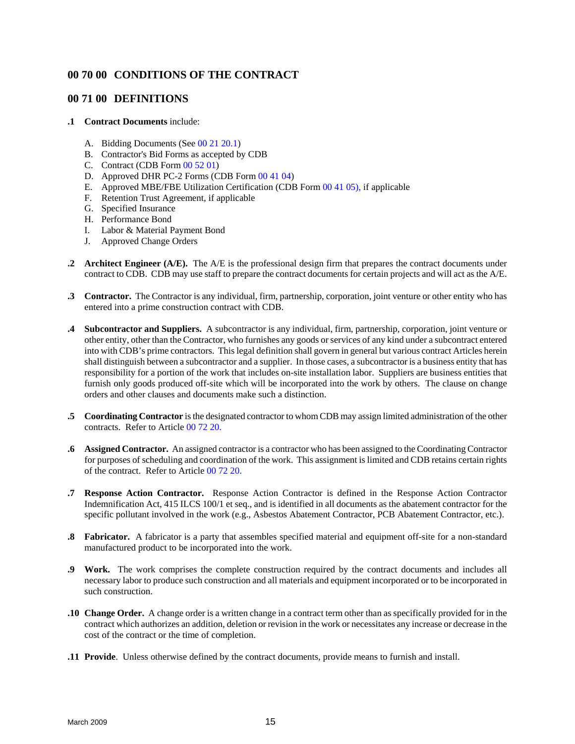# <span id="page-22-0"></span>**00 70 00 CONDITIONS OF THE CONTRACT**

# **00 71 00 DEFINITIONS**

#### **.1 Contract Documents** include:

- A. Bidding Documents (See 00 21 20.1)
- B. Contractor's Bid Forms as accepted by CDB
- C. Contract (CDB Form 00 52 01)
- D. Approved DHR PC-2 Forms (CDB Form 00 41 04)
- E. Approved MBE/FBE Utilization Certification (CDB Form 00 41 05), if applicable
- F. Retention Trust Agreement, if applicable
- G. Specified Insurance
- H. Performance Bond
- I. Labor & Material Payment Bond
- J. Approved Change Orders
- **.2 Architect Engineer (A/E).** The A/E is the professional design firm that prepares the contract documents under contract to CDB. CDB may use staff to prepare the contract documents for certain projects and will act as the A/E.
- **.3 Contractor.** The Contractor is any individual, firm, partnership, corporation, joint venture or other entity who has entered into a prime construction contract with CDB.
- **.4 Subcontractor and Suppliers.** A subcontractor is any individual, firm, partnership, corporation, joint venture or other entity, other than the Contractor, who furnishes any goods or services of any kind under a subcontract entered into with CDB's prime contractors. This legal definition shall govern in general but various contract Articles herein shall distinguish between a subcontractor and a supplier. In those cases, a subcontractor is a business entity that has responsibility for a portion of the work that includes on-site installation labor. Suppliers are business entities that furnish only goods produced off-site which will be incorporated into the work by others. The clause on change orders and other clauses and documents make such a distinction.
- **.5 Coordinating Contractor** is the designated contractor to whom CDB may assign limited administration of the other contracts. Refer to Article 00 72 20.
- **.6 Assigned Contractor.** An assigned contractor is a contractor who has been assigned to the Coordinating Contractor for purposes of scheduling and coordination of the work. This assignment is limited and CDB retains certain rights of the contract. Refer to Article 00 72 20.
- **.7 Response Action Contractor.** Response Action Contractor is defined in the Response Action Contractor Indemnification Act, 415 ILCS 100/1 et seq., and is identified in all documents as the abatement contractor for the specific pollutant involved in the work (e.g., Asbestos Abatement Contractor, PCB Abatement Contractor, etc.).
- **.8 Fabricator.** A fabricator is a party that assembles specified material and equipment off-site for a non-standard manufactured product to be incorporated into the work.
- **.9 Work.** The work comprises the complete construction required by the contract documents and includes all necessary labor to produce such construction and all materials and equipment incorporated or to be incorporated in such construction.
- **.10 Change Order.** A change order is a written change in a contract term other than as specifically provided for in the contract which authorizes an addition, deletion or revision in the work or necessitates any increase or decrease in the cost of the contract or the time of completion.
- **.11 Provide**. Unless otherwise defined by the contract documents, provide means to furnish and install.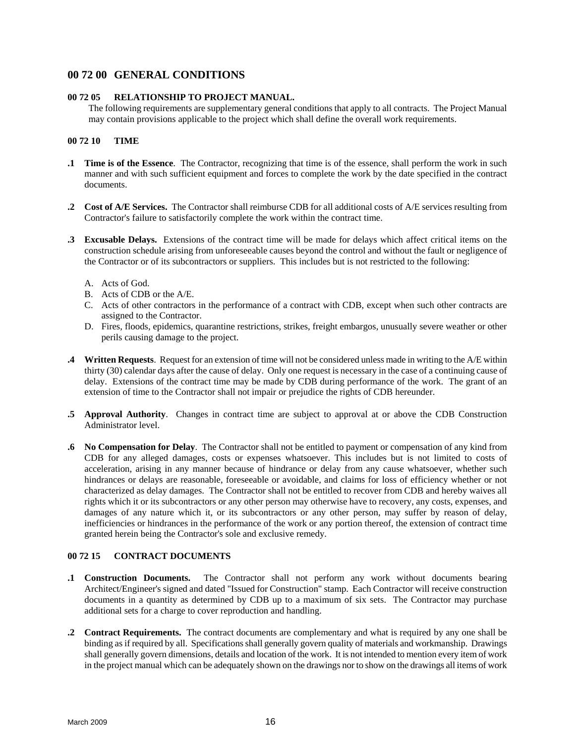# <span id="page-23-0"></span>**00 72 00 GENERAL CONDITIONS**

### **00 72 05 RELATIONSHIP TO PROJECT MANUAL.**

The following requirements are supplementary general conditions that apply to all contracts. The Project Manual may contain provisions applicable to the project which shall define the overall work requirements.

### **00 72 10 TIME**

- **.1 Time is of the Essence**. The Contractor, recognizing that time is of the essence, shall perform the work in such manner and with such sufficient equipment and forces to complete the work by the date specified in the contract documents.
- **.2 Cost of A/E Services.** The Contractor shall reimburse CDB for all additional costs of A/E services resulting from Contractor's failure to satisfactorily complete the work within the contract time.
- **.3 Excusable Delays.** Extensions of the contract time will be made for delays which affect critical items on the construction schedule arising from unforeseeable causes beyond the control and without the fault or negligence of the Contractor or of its subcontractors or suppliers. This includes but is not restricted to the following:
	- A. Acts of God.
	- B. Acts of CDB or the A/E.
	- C. Acts of other contractors in the performance of a contract with CDB, except when such other contracts are assigned to the Contractor.
	- D. Fires, floods, epidemics, quarantine restrictions, strikes, freight embargos, unusually severe weather or other perils causing damage to the project.
- **.4 Written Requests**. Request for an extension of time will not be considered unless made in writing to the A/E within thirty (30) calendar days after the cause of delay. Only one request is necessary in the case of a continuing cause of delay. Extensions of the contract time may be made by CDB during performance of the work. The grant of an extension of time to the Contractor shall not impair or prejudice the rights of CDB hereunder.
- **.5 Approval Authority**. Changes in contract time are subject to approval at or above the CDB Construction Administrator level.
- **.6 No Compensation for Delay**. The Contractor shall not be entitled to payment or compensation of any kind from CDB for any alleged damages, costs or expenses whatsoever. This includes but is not limited to costs of acceleration, arising in any manner because of hindrance or delay from any cause whatsoever, whether such hindrances or delays are reasonable, foreseeable or avoidable, and claims for loss of efficiency whether or not characterized as delay damages. The Contractor shall not be entitled to recover from CDB and hereby waives all rights which it or its subcontractors or any other person may otherwise have to recovery, any costs, expenses, and damages of any nature which it, or its subcontractors or any other person, may suffer by reason of delay, inefficiencies or hindrances in the performance of the work or any portion thereof, the extension of contract time granted herein being the Contractor's sole and exclusive remedy.

# **00 72 15 CONTRACT DOCUMENTS**

- **.1 Construction Documents.** The Contractor shall not perform any work without documents bearing Architect/Engineer's signed and dated "Issued for Construction" stamp. Each Contractor will receive construction documents in a quantity as determined by CDB up to a maximum of six sets. The Contractor may purchase additional sets for a charge to cover reproduction and handling.
- **.2 Contract Requirements.** The contract documents are complementary and what is required by any one shall be binding as if required by all. Specifications shall generally govern quality of materials and workmanship. Drawings shall generally govern dimensions, details and location of the work. It is not intended to mention every item of work in the project manual which can be adequately shown on the drawings nor to show on the drawings all items of work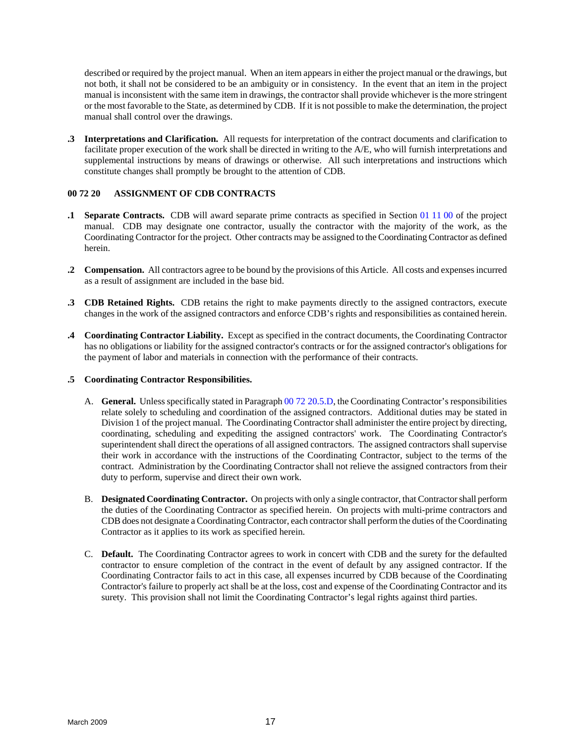<span id="page-24-0"></span>described or required by the project manual. When an item appears in either the project manual or the drawings, but not both, it shall not be considered to be an ambiguity or in consistency. In the event that an item in the project manual is inconsistent with the same item in drawings, the contractor shall provide whichever is the more stringent or the most favorable to the State, as determined by CDB. If it is not possible to make the determination, the project manual shall control over the drawings.

**.3 Interpretations and Clarification.** All requests for interpretation of the contract documents and clarification to facilitate proper execution of the work shall be directed in writing to the A/E, who will furnish interpretations and supplemental instructions by means of drawings or otherwise. All such interpretations and instructions which constitute changes shall promptly be brought to the attention of CDB.

# **00 72 20 ASSIGNMENT OF CDB CONTRACTS**

- **1 Separate Contracts.** CDB will award separate prime contracts as specified in Section 01 11 00 of the project manual. CDB may designate one contractor, usually the contractor with the majority of the work, as the Coordinating Contractor for the project. Other contracts may be assigned to the Coordinating Contractor as defined herein.
- **2 Compensation.** All contractors agree to be bound by the provisions of this Article. All costs and expenses incurred as a result of assignment are included in the base bid.
- **.3 CDB Retained Rights.** CDB retains the right to make payments directly to the assigned contractors, execute changes in the work of the assigned contractors and enforce CDB's rights and responsibilities as contained herein.
- **.4 Coordinating Contractor Liability.** Except as specified in the contract documents, the Coordinating Contractor has no obligations or liability for the assigned contractor's contracts or for the assigned contractor's obligations for the payment of labor and materials in connection with the performance of their contracts.

# **.5 Coordinating Contractor Responsibilities.**

- A. **General.** Unless specifically stated in Paragraph 00 72 20.5.D, the Coordinating Contractor's responsibilities relate solely to scheduling and coordination of the assigned contractors. Additional duties may be stated in Division 1 of the project manual. The Coordinating Contractor shall administer the entire project by directing, coordinating, scheduling and expediting the assigned contractors' work. The Coordinating Contractor's superintendent shall direct the operations of all assigned contractors. The assigned contractors shall supervise their work in accordance with the instructions of the Coordinating Contractor, subject to the terms of the contract. Administration by the Coordinating Contractor shall not relieve the assigned contractors from their duty to perform, supervise and direct their own work.
- B. **Designated Coordinating Contractor.** On projects with only a single contractor, that Contractorshall perform the duties of the Coordinating Contractor as specified herein. On projects with multi-prime contractors and CDB does not designate a Coordinating Contractor, each contractor shall perform the duties of the Coordinating Contractor as it applies to its work as specified herein.
- C. **Default.** The Coordinating Contractor agrees to work in concert with CDB and the surety for the defaulted contractor to ensure completion of the contract in the event of default by any assigned contractor. If the Coordinating Contractor fails to act in this case, all expenses incurred by CDB because of the Coordinating Contractor's failure to properly act shall be at the loss, cost and expense of the Coordinating Contractor and its surety. This provision shall not limit the Coordinating Contractor's legal rights against third parties.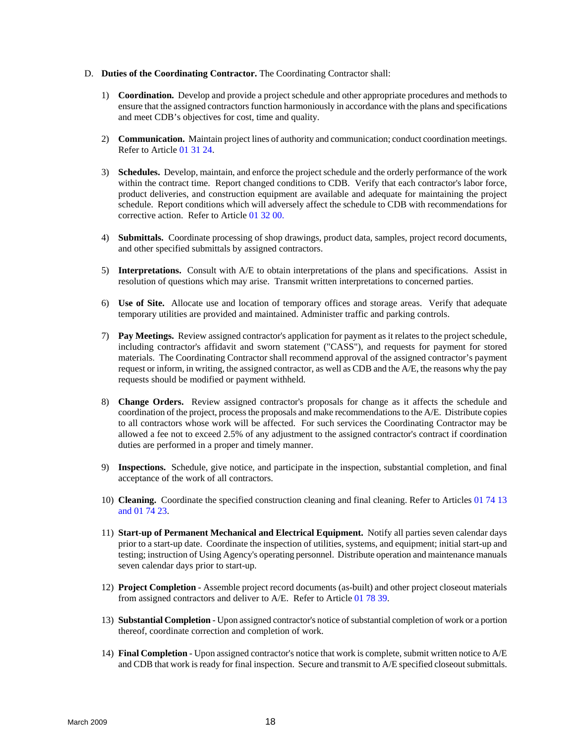- D. **Duties of the Coordinating Contractor.** The Coordinating Contractor shall:
	- 1) **Coordination.** Develop and provide a project schedule and other appropriate procedures and methods to ensure that the assigned contractors function harmoniously in accordance with the plans and specifications and meet CDB's objectives for cost, time and quality.
	- 2) **Communication.** Maintain project lines of authority and communication; conduct coordination meetings. Refer to Article 01 31 24.
	- 3) **Schedules.** Develop, maintain, and enforce the project schedule and the orderly performance of the work within the contract time. Report changed conditions to CDB. Verify that each contractor's labor force, product deliveries, and construction equipment are available and adequate for maintaining the project schedule. Report conditions which will adversely affect the schedule to CDB with recommendations for corrective action. Refer to Article 01 32 00.
	- 4) **Submittals.** Coordinate processing of shop drawings, product data, samples, project record documents, and other specified submittals by assigned contractors.
	- 5) **Interpretations.** Consult with A/E to obtain interpretations of the plans and specifications. Assist in resolution of questions which may arise. Transmit written interpretations to concerned parties.
	- 6) **Use of Site.** Allocate use and location of temporary offices and storage areas. Verify that adequate temporary utilities are provided and maintained. Administer traffic and parking controls.
	- 7) **Pay Meetings.** Review assigned contractor's application for payment as it relates to the project schedule, including contractor's affidavit and sworn statement ("CASS"), and requests for payment for stored materials. The Coordinating Contractor shall recommend approval of the assigned contractor's payment request or inform, in writing, the assigned contractor, as well as CDB and the A/E, the reasons why the pay requests should be modified or payment withheld.
	- 8) **Change Orders.** Review assigned contractor's proposals for change as it affects the schedule and coordination of the project, process the proposals and make recommendations to the A/E. Distribute copies to all contractors whose work will be affected. For such services the Coordinating Contractor may be allowed a fee not to exceed 2.5% of any adjustment to the assigned contractor's contract if coordination duties are performed in a proper and timely manner.
	- 9) **Inspections.** Schedule, give notice, and participate in the inspection, substantial completion, and final acceptance of the work of all contractors.
	- 10) **Cleaning.** Coordinate the specified construction cleaning and final cleaning. Refer to Articles 01 74 13 and 01 74 23.
	- 11) **Start-up of Permanent Mechanical and Electrical Equipment.** Notify all parties seven calendar days prior to a start-up date. Coordinate the inspection of utilities, systems, and equipment; initial start-up and testing; instruction of Using Agency's operating personnel. Distribute operation and maintenance manuals seven calendar days prior to start-up.
	- 12) **Project Completion** Assemble project record documents (as-built) and other project closeout materials from assigned contractors and deliver to A/E. Refer to Article 01 78 39.
	- 13) **Substantial Completion** Upon assigned contractor's notice of substantial completion of work or a portion thereof, coordinate correction and completion of work.
	- 14) **Final Completion** Upon assigned contractor's notice that work is complete, submit written notice to A/E and CDB that work is ready for final inspection. Secure and transmit to A/E specified closeout submittals.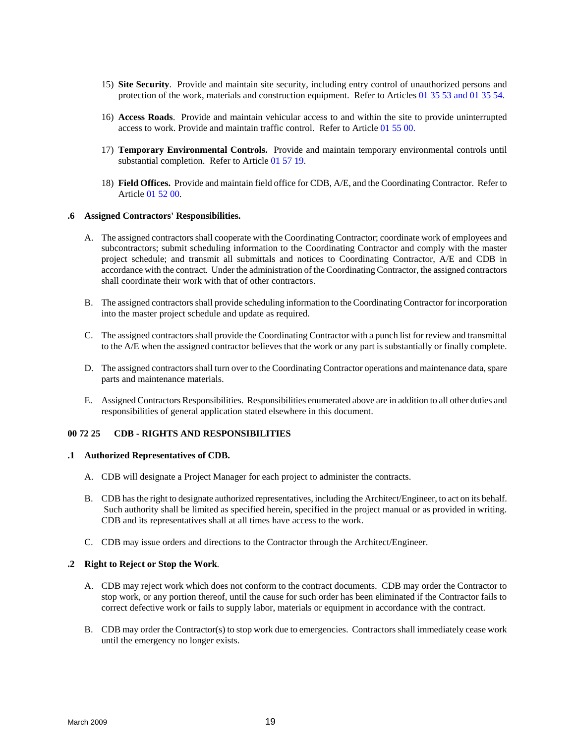- 15) **Site Security**. Provide and maintain site security, including entry control of unauthorized persons and protection of the work, materials and construction equipment. Refer to Articles 01 35 53 and 01 35 54.
- 16) **Access Roads**. Provide and maintain vehicular access to and within the site to provide uninterrupted access to work. Provide and maintain traffic control. Refer to Article 01 55 00.
- 17) **Temporary Environmental Controls.** Provide and maintain temporary environmental controls until substantial completion. Refer to Article 01 57 19.
- 18) **Field Offices.** Provide and maintain field office for CDB, A/E, and the Coordinating Contractor. Refer to Article 01 52 00.

#### **.6 Assigned Contractors' Responsibilities.**

- A. The assigned contractors shall cooperate with the Coordinating Contractor; coordinate work of employees and subcontractors; submit scheduling information to the Coordinating Contractor and comply with the master project schedule; and transmit all submittals and notices to Coordinating Contractor, A/E and CDB in accordance with the contract. Under the administration of the Coordinating Contractor, the assigned contractors shall coordinate their work with that of other contractors.
- B. The assigned contractors shall provide scheduling information to the Coordinating Contractor for incorporation into the master project schedule and update as required.
- C. The assigned contractors shall provide the Coordinating Contractor with a punch list for review and transmittal to the A/E when the assigned contractor believes that the work or any part is substantially or finally complete.
- D. The assigned contractors shall turn over to the Coordinating Contractor operations and maintenance data, spare parts and maintenance materials.
- E. Assigned Contractors Responsibilities. Responsibilities enumerated above are in addition to all other duties and responsibilities of general application stated elsewhere in this document.

#### **00 72 25 CDB - RIGHTS AND RESPONSIBILITIES**

#### **.1 Authorized Representatives of CDB.**

- A. CDB will designate a Project Manager for each project to administer the contracts.
- B. CDB has the right to designate authorized representatives, including the Architect/Engineer, to act on its behalf. Such authority shall be limited as specified herein, specified in the project manual or as provided in writing. CDB and its representatives shall at all times have access to the work.
- C. CDB may issue orders and directions to the Contractor through the Architect/Engineer.

#### **.2 Right to Reject or Stop the Work**.

- A. CDB may reject work which does not conform to the contract documents. CDB may order the Contractor to stop work, or any portion thereof, until the cause for such order has been eliminated if the Contractor fails to correct defective work or fails to supply labor, materials or equipment in accordance with the contract.
- B. CDB may order the Contractor(s) to stop work due to emergencies. Contractors shall immediately cease work until the emergency no longer exists.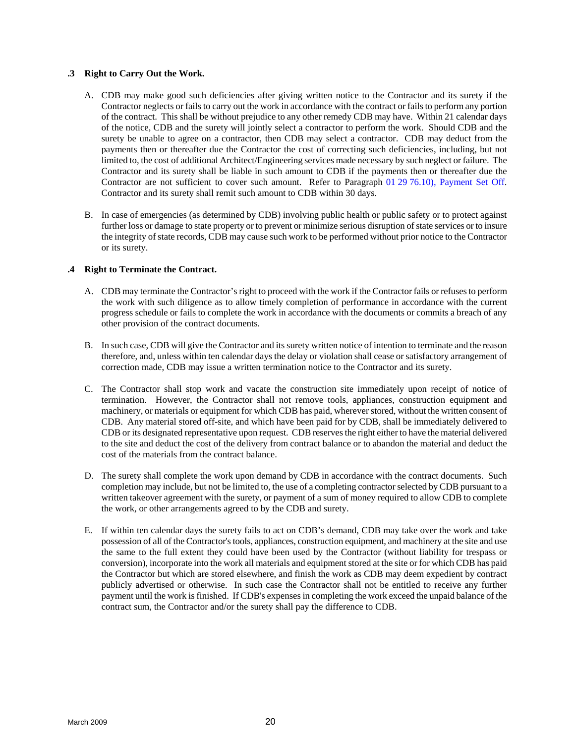#### <span id="page-27-0"></span>**.3 Right to Carry Out the Work.**

- A. CDB may make good such deficiencies after giving written notice to the Contractor and its surety if the Contractor neglects or fails to carry out the work in accordance with the contract or fails to perform any portion of the contract. This shall be without prejudice to any other remedy CDB may have. Within 21 calendar days of the notice, CDB and the surety will jointly select a contractor to perform the work. Should CDB and the surety be unable to agree on a contractor, then CDB may select a contractor. CDB may deduct from the payments then or thereafter due the Contractor the cost of correcting such deficiencies, including, but not limited to, the cost of additional Architect/Engineering services made necessary by such neglect or failure. The Contractor and its surety shall be liable in such amount to CDB if the payments then or thereafter due the Contractor are not sufficient to cover such amount. Refer to Paragraph 01 29 76.10), Payment Set Off. Contractor and its surety shall remit such amount to CDB within 30 days.
- B. In case of emergencies (as determined by CDB) involving public health or public safety or to protect against further loss or damage to state property or to prevent or minimize serious disruption of state services or to insure the integrity of state records, CDB may cause such work to be performed without prior notice to the Contractor or its surety.

#### **.4 Right to Terminate the Contract.**

- A. CDB may terminate the Contractor's right to proceed with the work if the Contractor fails or refusesto perform the work with such diligence as to allow timely completion of performance in accordance with the current progress schedule or fails to complete the work in accordance with the documents or commits a breach of any other provision of the contract documents.
- B. In such case, CDB will give the Contractor and its surety written notice of intention to terminate and the reason therefore, and, unless within ten calendar days the delay or violation shall cease or satisfactory arrangement of correction made, CDB may issue a written termination notice to the Contractor and its surety.
- C. The Contractor shall stop work and vacate the construction site immediately upon receipt of notice of termination. However, the Contractor shall not remove tools, appliances, construction equipment and machinery, or materials or equipment for which CDB has paid, wherever stored, without the written consent of CDB. Any material stored off-site, and which have been paid for by CDB, shall be immediately delivered to CDB or its designated representative upon request. CDB reserves the right either to have the material delivered to the site and deduct the cost of the delivery from contract balance or to abandon the material and deduct the cost of the materials from the contract balance.
- D. The surety shall complete the work upon demand by CDB in accordance with the contract documents. Such completion may include, but not be limited to, the use of a completing contractor selected by CDB pursuant to a written takeover agreement with the surety, or payment of a sum of money required to allow CDB to complete the work, or other arrangements agreed to by the CDB and surety.
- E. If within ten calendar days the surety fails to act on CDB's demand, CDB may take over the work and take possession of all of the Contractor's tools, appliances, construction equipment, and machinery at the site and use the same to the full extent they could have been used by the Contractor (without liability for trespass or conversion), incorporate into the work all materials and equipment stored at the site or for which CDB has paid the Contractor but which are stored elsewhere, and finish the work as CDB may deem expedient by contract publicly advertised or otherwise. In such case the Contractor shall not be entitled to receive any further payment until the work is finished. If CDB's expensesin completing the work exceed the unpaid balance of the contract sum, the Contractor and/or the surety shall pay the difference to CDB.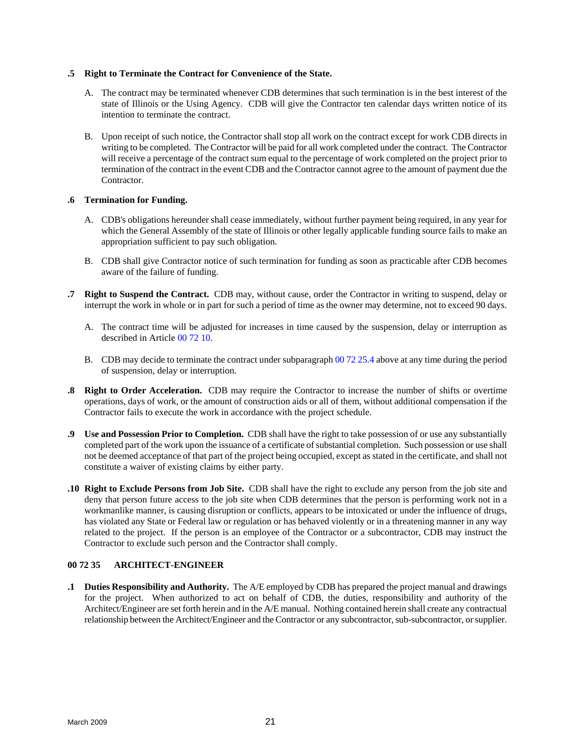#### **.5 Right to Terminate the Contract for Convenience of the State.**

- A. The contract may be terminated whenever CDB determines that such termination is in the best interest of the state of Illinois or the Using Agency. CDB will give the Contractor ten calendar days written notice of its intention to terminate the contract.
- B. Upon receipt of such notice, the Contractor shall stop all work on the contract except for work CDB directs in writing to be completed. The Contractor will be paid for all work completed under the contract. The Contractor will receive a percentage of the contract sum equal to the percentage of work completed on the project prior to termination of the contract in the event CDB and the Contractor cannot agree to the amount of payment due the Contractor.

# **.6 Termination for Funding.**

- A. CDB's obligations hereunder shall cease immediately, without further payment being required, in any year for which the General Assembly of the state of Illinois or other legally applicable funding source fails to make an appropriation sufficient to pay such obligation.
- B. CDB shall give Contractor notice of such termination for funding as soon as practicable after CDB becomes aware of the failure of funding.
- **.7 Right to Suspend the Contract.** CDB may, without cause, order the Contractor in writing to suspend, delay or interrupt the work in whole or in part for such a period of time as the owner may determine, not to exceed 90 days.
	- A. The contract time will be adjusted for increases in time caused by the suspension, delay or interruption as described in Article 00 72 10.
	- B. CDB may decide to terminate the contract under subparagraph 00 72 25.4 above at any time during the period of suspension, delay or interruption.
- **.8 Right to Order Acceleration.** CDB may require the Contractor to increase the number of shifts or overtime operations, days of work, or the amount of construction aids or all of them, without additional compensation if the Contractor fails to execute the work in accordance with the project schedule.
- **.9 Use and Possession Prior to Completion.** CDB shall have the right to take possession of or use any substantially completed part of the work upon the issuance of a certificate of substantial completion. Such possession or use shall not be deemed acceptance of that part of the project being occupied, except as stated in the certificate, and shall not constitute a waiver of existing claims by either party.
- **.10 Right to Exclude Persons from Job Site.** CDB shall have the right to exclude any person from the job site and deny that person future access to the job site when CDB determines that the person is performing work not in a workmanlike manner, is causing disruption or conflicts, appears to be intoxicated or under the influence of drugs, has violated any State or Federal law or regulation or has behaved violently or in a threatening manner in any way related to the project. If the person is an employee of the Contractor or a subcontractor, CDB may instruct the Contractor to exclude such person and the Contractor shall comply.

# **00 72 35 ARCHITECT-ENGINEER**

**.1 Duties Responsibility and Authority.** The A/E employed by CDB has prepared the project manual and drawings for the project. When authorized to act on behalf of CDB, the duties, responsibility and authority of the Architect/Engineer are set forth herein and in the A/E manual. Nothing contained herein shall create any contractual relationship between the Architect/Engineer and the Contractor or any subcontractor, sub-subcontractor, or supplier.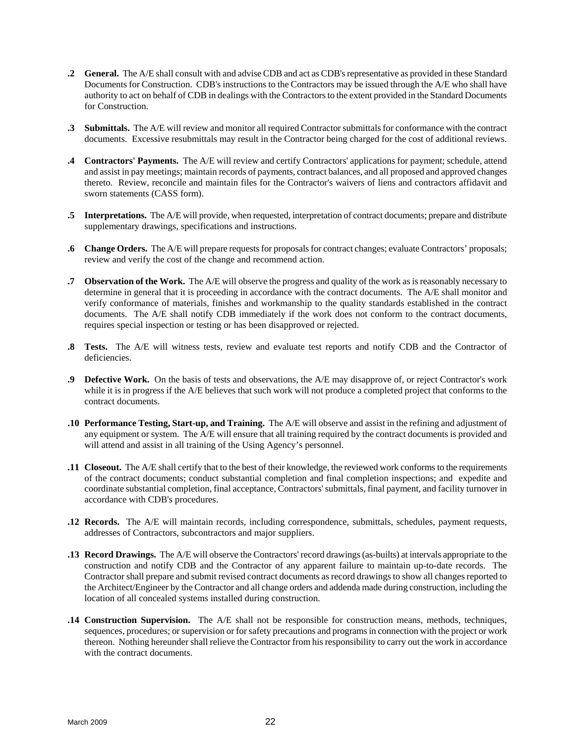- <span id="page-29-0"></span>**.2 General.** The A/E shall consult with and advise CDB and act as CDB's representative as provided in these Standard Documents for Construction. CDB's instructions to the Contractors may be issued through the A/E who shall have authority to act on behalf of CDB in dealings with the Contractors to the extent provided in the Standard Documents for Construction.
- **.3 Submittals.** The A/E will review and monitor all required Contractor submittals for conformance with the contract documents. Excessive resubmittals may result in the Contractor being charged for the cost of additional reviews.
- **.4 Contractors' Payments.** The A/E will review and certify Contractors' applications for payment; schedule, attend and assist in pay meetings; maintain records of payments, contract balances, and all proposed and approved changes thereto. Review, reconcile and maintain files for the Contractor's waivers of liens and contractors affidavit and sworn statements (CASS form).
- **.5 Interpretations.** The A/E will provide, when requested, interpretation of contract documents; prepare and distribute supplementary drawings, specifications and instructions.
- **.6 Change Orders.** The A/E will prepare requests for proposals for contract changes; evaluate Contractors' proposals; review and verify the cost of the change and recommend action.
- **.7 Observation of the Work.** The A/E will observe the progress and quality of the work as is reasonably necessary to determine in general that it is proceeding in accordance with the contract documents. The A/E shall monitor and verify conformance of materials, finishes and workmanship to the quality standards established in the contract documents. The A/E shall notify CDB immediately if the work does not conform to the contract documents, requires special inspection or testing or has been disapproved or rejected.
- **.8 Tests.** The A/E will witness tests, review and evaluate test reports and notify CDB and the Contractor of deficiencies.
- **.9 Defective Work.** On the basis of tests and observations, the A/E may disapprove of, or reject Contractor's work while it is in progress if the A/E believes that such work will not produce a completed project that conforms to the contract documents.
- **.10 Performance Testing, Start-up, and Training.** The A/E will observe and assist in the refining and adjustment of any equipment or system. The A/E will ensure that all training required by the contract documents is provided and will attend and assist in all training of the Using Agency's personnel.
- **.11 Closeout.** The A/E shall certify that to the best of their knowledge, the reviewed work conforms to the requirements of the contract documents; conduct substantial completion and final completion inspections; and expedite and coordinate substantial completion, final acceptance, Contractors' submittals, final payment, and facility turnover in accordance with CDB's procedures.
- **.12 Records.** The A/E will maintain records, including correspondence, submittals, schedules, payment requests, addresses of Contractors, subcontractors and major suppliers.
- **.13 Record Drawings.** The A/E will observe the Contractors' record drawings (as-builts) at intervals appropriate to the construction and notify CDB and the Contractor of any apparent failure to maintain up-to-date records. The Contractor shall prepare and submit revised contract documents as record drawings to show all changes reported to the Architect/Engineer by the Contractor and all change orders and addenda made during construction, including the location of all concealed systems installed during construction.
- **.14 Construction Supervision.** The A/E shall not be responsible for construction means, methods, techniques, sequences, procedures; or supervision or for safety precautions and programs in connection with the project or work thereon. Nothing hereunder shall relieve the Contractor from his responsibility to carry out the work in accordance with the contract documents.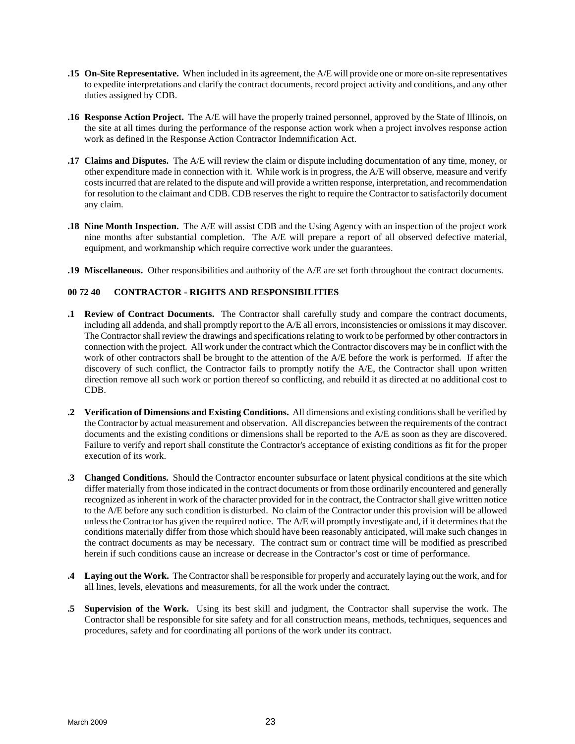- <span id="page-30-0"></span>**.15 On-Site Representative.** When included in its agreement, the A/E will provide one or more on-site representatives to expedite interpretations and clarify the contract documents, record project activity and conditions, and any other duties assigned by CDB.
- **.16 Response Action Project.** The A/E will have the properly trained personnel, approved by the State of Illinois, on the site at all times during the performance of the response action work when a project involves response action work as defined in the Response Action Contractor Indemnification Act.
- **.17 Claims and Disputes.** The A/E will review the claim or dispute including documentation of any time, money, or other expenditure made in connection with it. While work is in progress, the A/E will observe, measure and verify costs incurred that are related to the dispute and will provide a written response, interpretation, and recommendation for resolution to the claimant and CDB. CDB reserves the right to require the Contractor to satisfactorily document any claim.
- **.18 Nine Month Inspection.** The A/E will assist CDB and the Using Agency with an inspection of the project work nine months after substantial completion. The A/E will prepare a report of all observed defective material, equipment, and workmanship which require corrective work under the guarantees.
- **.19 Miscellaneous.** Other responsibilities and authority of the A/E are set forth throughout the contract documents.

# **00 72 40 CONTRACTOR - RIGHTS AND RESPONSIBILITIES**

- **.1 Review of Contract Documents.** The Contractor shall carefully study and compare the contract documents, including all addenda, and shall promptly report to the A/E all errors, inconsistencies or omissions it may discover. The Contractor shall review the drawings and specifications relating to work to be performed by other contractors in connection with the project. All work under the contract which the Contractor discovers may be in conflict with the work of other contractors shall be brought to the attention of the A/E before the work is performed. If after the discovery of such conflict, the Contractor fails to promptly notify the A/E, the Contractor shall upon written direction remove all such work or portion thereof so conflicting, and rebuild it as directed at no additional cost to CDB.
- **.2 Verification of Dimensions and Existing Conditions.** All dimensions and existing conditionsshall be verified by the Contractor by actual measurement and observation. All discrepancies between the requirements of the contract documents and the existing conditions or dimensions shall be reported to the A/E as soon as they are discovered. Failure to verify and report shall constitute the Contractor's acceptance of existing conditions as fit for the proper execution of its work.
- **.3 Changed Conditions.** Should the Contractor encounter subsurface or latent physical conditions at the site which differ materially from those indicated in the contract documents or from those ordinarily encountered and generally recognized as inherent in work of the character provided for in the contract, the Contractor shall give written notice to the A/E before any such condition is disturbed. No claim of the Contractor under this provision will be allowed unless the Contractor has given the required notice. The A/E will promptly investigate and, if it determines that the conditions materially differ from those which should have been reasonably anticipated, will make such changes in the contract documents as may be necessary. The contract sum or contract time will be modified as prescribed herein if such conditions cause an increase or decrease in the Contractor's cost or time of performance.
- **.4 Laying out the Work.** The Contractor shall be responsible for properly and accurately laying out the work, and for all lines, levels, elevations and measurements, for all the work under the contract.
- **.5 Supervision of the Work.** Using its best skill and judgment, the Contractor shall supervise the work. The Contractor shall be responsible for site safety and for all construction means, methods, techniques, sequences and procedures, safety and for coordinating all portions of the work under its contract.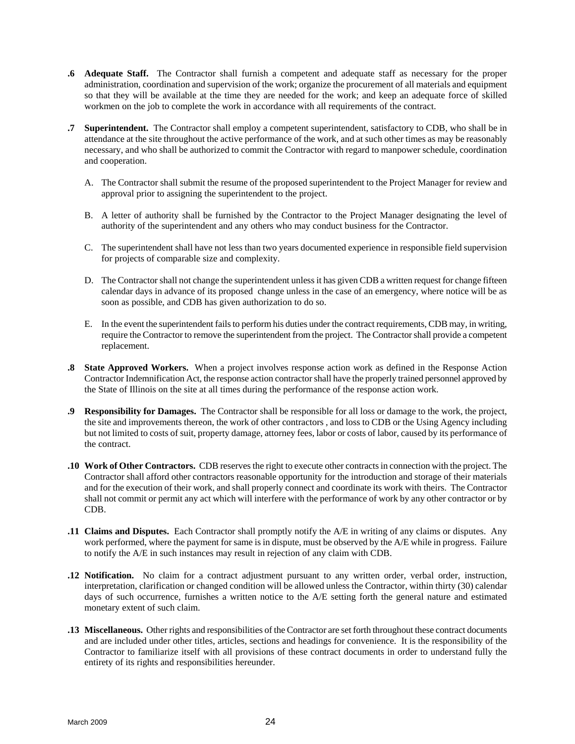- **.6 Adequate Staff.** The Contractor shall furnish a competent and adequate staff as necessary for the proper administration, coordination and supervision of the work; organize the procurement of all materials and equipment so that they will be available at the time they are needed for the work; and keep an adequate force of skilled workmen on the job to complete the work in accordance with all requirements of the contract.
- **.7 Superintendent.** The Contractor shall employ a competent superintendent, satisfactory to CDB, who shall be in attendance at the site throughout the active performance of the work, and at such other times as may be reasonably necessary, and who shall be authorized to commit the Contractor with regard to manpower schedule, coordination and cooperation.
	- A. The Contractor shall submit the resume of the proposed superintendent to the Project Manager for review and approval prior to assigning the superintendent to the project.
	- B. A letter of authority shall be furnished by the Contractor to the Project Manager designating the level of authority of the superintendent and any others who may conduct business for the Contractor.
	- C. The superintendent shall have not less than two years documented experience in responsible field supervision for projects of comparable size and complexity.
	- D. The Contractor shall not change the superintendent unless it has given CDB a written request for change fifteen calendar days in advance of its proposed change unless in the case of an emergency, where notice will be as soon as possible, and CDB has given authorization to do so.
	- E. In the event the superintendent fails to perform his duties under the contract requirements, CDB may, in writing, require the Contractor to remove the superintendent from the project. The Contractor shall provide a competent replacement.
- **.8 State Approved Workers.** When a project involves response action work as defined in the Response Action Contractor Indemnification Act, the response action contractor shall have the properly trained personnel approved by the State of Illinois on the site at all times during the performance of the response action work.
- **.9 Responsibility for Damages.** The Contractor shall be responsible for all loss or damage to the work, the project, the site and improvements thereon, the work of other contractors , and loss to CDB or the Using Agency including but not limited to costs of suit, property damage, attorney fees, labor or costs of labor, caused by its performance of the contract.
- **.10 Work of Other Contractors.** CDB reserves the right to execute other contracts in connection with the project. The Contractor shall afford other contractors reasonable opportunity for the introduction and storage of their materials and for the execution of their work, and shall properly connect and coordinate its work with theirs. The Contractor shall not commit or permit any act which will interfere with the performance of work by any other contractor or by CDB.
- **.11 Claims and Disputes.** Each Contractor shall promptly notify the A/E in writing of any claims or disputes. Any work performed, where the payment for same is in dispute, must be observed by the A/E while in progress. Failure to notify the A/E in such instances may result in rejection of any claim with CDB.
- **.12 Notification.** No claim for a contract adjustment pursuant to any written order, verbal order, instruction, interpretation, clarification or changed condition will be allowed unless the Contractor, within thirty (30) calendar days of such occurrence, furnishes a written notice to the A/E setting forth the general nature and estimated monetary extent of such claim.
- **.13 Miscellaneous.** Other rights and responsibilities of the Contractor are set forth throughout these contract documents and are included under other titles, articles, sections and headings for convenience. It is the responsibility of the Contractor to familiarize itself with all provisions of these contract documents in order to understand fully the entirety of its rights and responsibilities hereunder.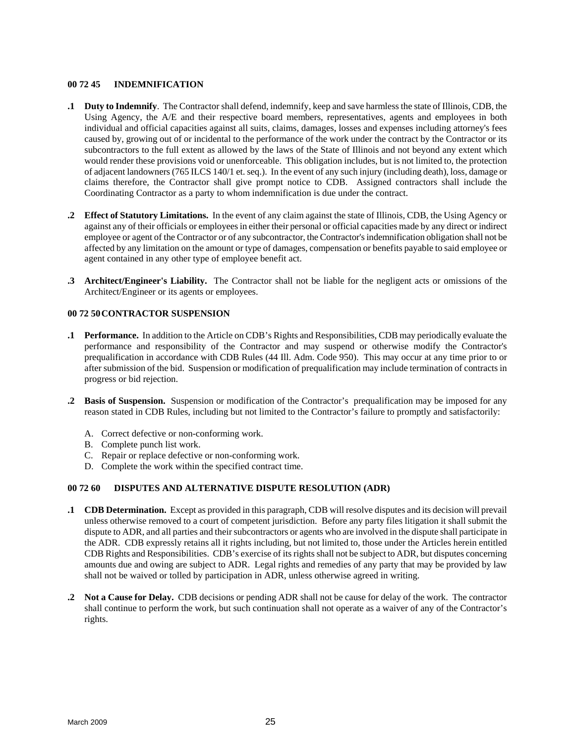### <span id="page-32-0"></span>**00 72 45 INDEMNIFICATION**

- **.1 Duty to Indemnify**. The Contractor shall defend, indemnify, keep and save harmless the state of Illinois, CDB, the Using Agency, the A/E and their respective board members, representatives, agents and employees in both individual and official capacities against all suits, claims, damages, losses and expenses including attorney's fees caused by, growing out of or incidental to the performance of the work under the contract by the Contractor or its subcontractors to the full extent as allowed by the laws of the State of Illinois and not beyond any extent which would render these provisions void or unenforceable. This obligation includes, but is not limited to, the protection of adjacent landowners (765 ILCS 140/1 et. seq.). In the event of any such injury (including death), loss, damage or claims therefore, the Contractor shall give prompt notice to CDB. Assigned contractors shall include the Coordinating Contractor as a party to whom indemnification is due under the contract.
- **.2 Effect of Statutory Limitations.** In the event of any claim against the state of Illinois, CDB, the Using Agency or against any of their officials or employees in either their personal or official capacities made by any direct or indirect employee or agent of the Contractor or of any subcontractor, the Contractor's indemnification obligation shall not be affected by any limitation on the amount or type of damages, compensation or benefits payable to said employee or agent contained in any other type of employee benefit act.
- **.3 Architect/Engineer's Liability.** The Contractor shall not be liable for the negligent acts or omissions of the Architect/Engineer or its agents or employees.

#### **00 72 50 CONTRACTOR SUSPENSION**

- **.1 Performance.** In addition to the Article on CDB's Rights and Responsibilities, CDB may periodically evaluate the performance and responsibility of the Contractor and may suspend or otherwise modify the Contractor's prequalification in accordance with CDB Rules (44 Ill. Adm. Code 950). This may occur at any time prior to or after submission of the bid. Suspension or modification of prequalification may include termination of contracts in progress or bid rejection.
- **.2 Basis of Suspension.** Suspension or modification of the Contractor's prequalification may be imposed for any reason stated in CDB Rules, including but not limited to the Contractor's failure to promptly and satisfactorily:
	- A. Correct defective or non-conforming work.
	- B. Complete punch list work.
	- C. Repair or replace defective or non-conforming work.
	- D. Complete the work within the specified contract time.

# **00 72 60 DISPUTES AND ALTERNATIVE DISPUTE RESOLUTION (ADR)**

- **.1 CDB Determination.** Except as provided in this paragraph, CDB will resolve disputes and its decision will prevail unless otherwise removed to a court of competent jurisdiction. Before any party files litigation it shall submit the dispute to ADR, and all parties and their subcontractors or agents who are involved in the dispute shall participate in the ADR. CDB expressly retains all it rights including, but not limited to, those under the Articles herein entitled CDB Rights and Responsibilities. CDB's exercise of its rights shall not be subject to ADR, but disputes concerning amounts due and owing are subject to ADR. Legal rights and remedies of any party that may be provided by law shall not be waived or tolled by participation in ADR, unless otherwise agreed in writing.
- **.2 Not a Cause for Delay.** CDB decisions or pending ADR shall not be cause for delay of the work. The contractor shall continue to perform the work, but such continuation shall not operate as a waiver of any of the Contractor's rights.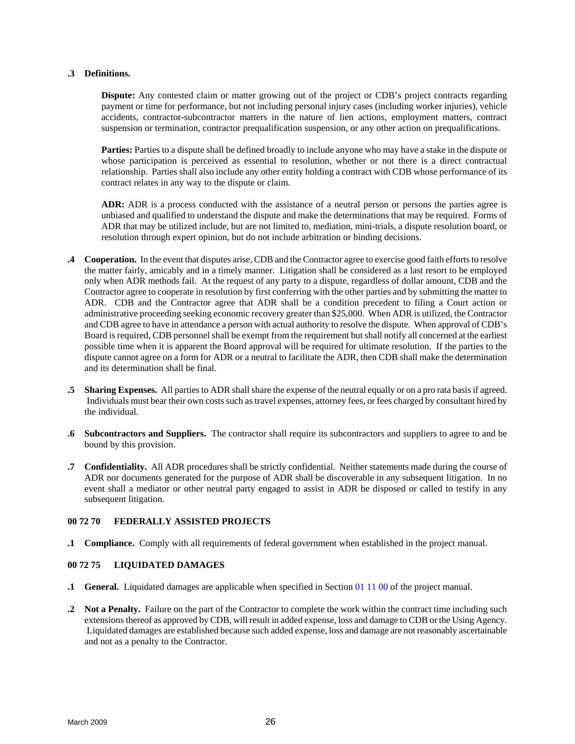#### <span id="page-33-0"></span>**.3 Definitions.**

**Dispute:** Any contested claim or matter growing out of the project or CDB's project contracts regarding payment or time for performance, but not including personal injury cases (including worker injuries), vehicle accidents, contractor-subcontractor matters in the nature of lien actions, employment matters, contract suspension or termination, contractor prequalification suspension, or any other action on prequalifications.

**Parties:** Parties to a dispute shall be defined broadly to include anyone who may have a stake in the dispute or whose participation is perceived as essential to resolution, whether or not there is a direct contractual relationship. Parties shall also include any other entity holding a contract with CDB whose performance of its contract relates in any way to the dispute or claim.

**ADR:** ADR is a process conducted with the assistance of a neutral person or persons the parties agree is unbiased and qualified to understand the dispute and make the determinations that may be required. Forms of ADR that may be utilized include, but are not limited to, mediation, mini-trials, a dispute resolution board, or resolution through expert opinion, but do not include arbitration or binding decisions.

- **.4 Cooperation.** In the event that disputes arise, CDB and the Contractor agree to exercise good faith efforts to resolve the matter fairly, amicably and in a timely manner. Litigation shall be considered as a last resort to be employed only when ADR methods fail. At the request of any party to a dispute, regardless of dollar amount, CDB and the Contractor agree to cooperate in resolution by first conferring with the other parties and by submitting the matter to ADR. CDB and the Contractor agree that ADR shall be a condition precedent to filing a Court action or administrative proceeding seeking economic recovery greater than \$25,000. When ADR is utilized, the Contractor and CDB agree to have in attendance a person with actual authority to resolve the dispute. When approval of CDB's Board is required, CDB personnel shall be exempt from the requirement but shall notify all concerned at the earliest possible time when it is apparent the Board approval will be required for ultimate resolution. If the parties to the dispute cannot agree on a form for ADR or a neutral to facilitate the ADR, then CDB shall make the determination and its determination shall be final.
- **.5 Sharing Expenses.** All parties to ADR shall share the expense of the neutral equally or on a pro rata basis if agreed. Individuals must bear their own costs such as travel expenses, attorney fees, or fees charged by consultant hired by the individual.
- **.6 Subcontractors and Suppliers.** The contractor shall require its subcontractors and suppliers to agree to and be bound by this provision.
- **.7 Confidentiality.** All ADR procedures shall be strictly confidential. Neither statements made during the course of ADR nor documents generated for the purpose of ADR shall be discoverable in any subsequent litigation. In no event shall a mediator or other neutral party engaged to assist in ADR be disposed or called to testify in any subsequent litigation.

# **00 72 70 FEDERALLY ASSISTED PROJECTS**

**.1 Compliance.** Comply with all requirements of federal government when established in the project manual.

# **00 72 75 LIQUIDATED DAMAGES**

- **1 General.** Liquidated damages are applicable when specified in Section 01 11 00 of the project manual.
- **.2 Not a Penalty.** Failure on the part of the Contractor to complete the work within the contract time including such extensions thereof as approved by CDB, will result in added expense, loss and damage to CDB or the Using Agency. Liquidated damages are established because such added expense, loss and damage are not reasonably ascertainable and not as a penalty to the Contractor.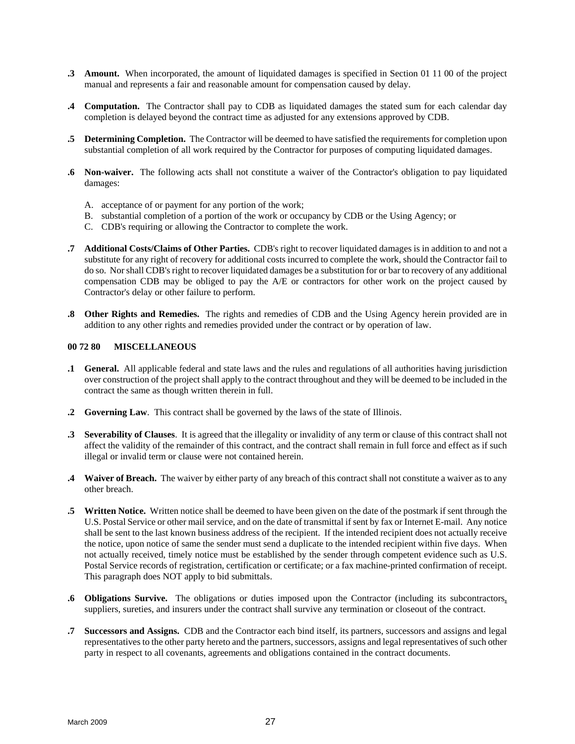- <span id="page-34-0"></span>**.3 Amount.** When incorporated, the amount of liquidated damages is specified in Section 01 11 00 of the project manual and represents a fair and reasonable amount for compensation caused by delay.
- **.4 Computation.** The Contractor shall pay to CDB as liquidated damages the stated sum for each calendar day completion is delayed beyond the contract time as adjusted for any extensions approved by CDB.
- **.5 Determining Completion.** The Contractor will be deemed to have satisfied the requirements for completion upon substantial completion of all work required by the Contractor for purposes of computing liquidated damages.
- **.6 Non-waiver.** The following acts shall not constitute a waiver of the Contractor's obligation to pay liquidated damages:
	- A. acceptance of or payment for any portion of the work;
	- B. substantial completion of a portion of the work or occupancy by CDB or the Using Agency; or
	- C. CDB's requiring or allowing the Contractor to complete the work.
- **.7 Additional Costs/Claims of Other Parties.** CDB's right to recover liquidated damages is in addition to and not a substitute for any right of recovery for additional costs incurred to complete the work, should the Contractor fail to do so. Nor shall CDB's right to recover liquidated damages be a substitution for or bar to recovery of any additional compensation CDB may be obliged to pay the A/E or contractors for other work on the project caused by Contractor's delay or other failure to perform.
- **.8 Other Rights and Remedies.** The rights and remedies of CDB and the Using Agency herein provided are in addition to any other rights and remedies provided under the contract or by operation of law.

#### **00 72 80 MISCELLANEOUS**

- **.1 General.** All applicable federal and state laws and the rules and regulations of all authorities having jurisdiction over construction of the project shall apply to the contract throughout and they will be deemed to be included in the contract the same as though written therein in full.
- **.2 Governing Law**. This contract shall be governed by the laws of the state of Illinois.
- **.3 Severability of Clauses**. It is agreed that the illegality or invalidity of any term or clause of this contract shall not affect the validity of the remainder of this contract, and the contract shall remain in full force and effect as if such illegal or invalid term or clause were not contained herein.
- **.4 Waiver of Breach.** The waiver by either party of any breach of this contract shall not constitute a waiver as to any other breach.
- **.5 Written Notice.** Written notice shall be deemed to have been given on the date of the postmark if sent through the U.S. Postal Service or other mail service, and on the date of transmittal if sent by fax or Internet E-mail. Any notice shall be sent to the last known business address of the recipient. If the intended recipient does not actually receive the notice, upon notice of same the sender must send a duplicate to the intended recipient within five days. When not actually received, timely notice must be established by the sender through competent evidence such as U.S. Postal Service records of registration, certification or certificate; or a fax machine-printed confirmation of receipt. This paragraph does NOT apply to bid submittals.
- **.6 Obligations Survive.** The obligations or duties imposed upon the Contractor (including its subcontractors, suppliers, sureties, and insurers under the contract shall survive any termination or closeout of the contract.
- **.7 Successors and Assigns.** CDB and the Contractor each bind itself, its partners, successors and assigns and legal representatives to the other party hereto and the partners, successors, assigns and legal representatives ofsuch other party in respect to all covenants, agreements and obligations contained in the contract documents.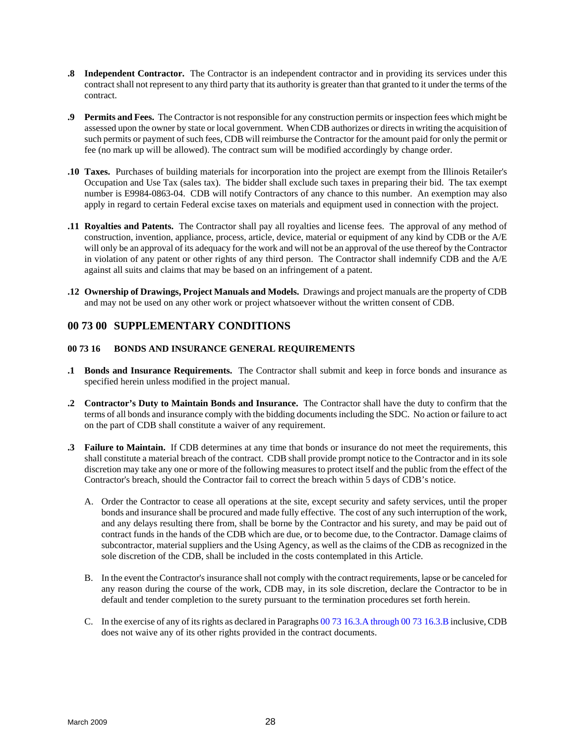- <span id="page-35-0"></span>**.8 Independent Contractor.** The Contractor is an independent contractor and in providing its services under this contract shall not represent to any third party that its authority is greater than that granted to it under the terms of the contract.
- **.9 Permits and Fees.** The Contractor is not responsible for any construction permits or inspection fees which might be assessed upon the owner by state or local government. When CDB authorizes or directs in writing the acquisition of such permits or payment of such fees, CDB will reimburse the Contractor for the amount paid for only the permit or fee (no mark up will be allowed). The contract sum will be modified accordingly by change order.
- **.10 Taxes.** Purchases of building materials for incorporation into the project are exempt from the Illinois Retailer's Occupation and Use Tax (sales tax). The bidder shall exclude such taxes in preparing their bid. The tax exempt number is E9984-0863-04. CDB will notify Contractors of any chance to this number. An exemption may also apply in regard to certain Federal excise taxes on materials and equipment used in connection with the project.
- **.11 Royalties and Patents.** The Contractor shall pay all royalties and license fees. The approval of any method of construction, invention, appliance, process, article, device, material or equipment of any kind by CDB or the A/E will only be an approval of its adequacy for the work and will not be an approval of the use thereof by the Contractor in violation of any patent or other rights of any third person. The Contractor shall indemnify CDB and the A/E against all suits and claims that may be based on an infringement of a patent.
- **.12 Ownership of Drawings, Project Manuals and Models.** Drawings and project manuals are the property of CDB and may not be used on any other work or project whatsoever without the written consent of CDB.

# **00 73 00 SUPPLEMENTARY CONDITIONS**

# **00 73 16 BONDS AND INSURANCE GENERAL REQUIREMENTS**

- **.1 Bonds and Insurance Requirements.** The Contractor shall submit and keep in force bonds and insurance as specified herein unless modified in the project manual.
- **.2 Contractor's Duty to Maintain Bonds and Insurance.** The Contractor shall have the duty to confirm that the terms of all bonds and insurance comply with the bidding documents including the SDC. No action or failure to act on the part of CDB shall constitute a waiver of any requirement.
- **.3 Failure to Maintain.** If CDB determines at any time that bonds or insurance do not meet the requirements, this shall constitute a material breach of the contract. CDB shall provide prompt notice to the Contractor and in its sole discretion may take any one or more of the following measures to protect itself and the public from the effect of the Contractor's breach, should the Contractor fail to correct the breach within 5 days of CDB's notice.
	- A. Order the Contractor to cease all operations at the site, except security and safety services, until the proper bonds and insurance shall be procured and made fully effective. The cost of any such interruption of the work, and any delays resulting there from, shall be borne by the Contractor and his surety, and may be paid out of contract funds in the hands of the CDB which are due, or to become due, to the Contractor. Damage claims of subcontractor, material suppliers and the Using Agency, as well as the claims of the CDB as recognized in the sole discretion of the CDB, shall be included in the costs contemplated in this Article.
	- B. In the event the Contractor's insurance shall not comply with the contract requirements, lapse or be canceled for any reason during the course of the work, CDB may, in its sole discretion, declare the Contractor to be in default and tender completion to the surety pursuant to the termination procedures set forth herein.
	- C. In the exercise of any of its rights as declared in Paragraphs 00 73 16.3.A through 00 73 16.3.B inclusive, CDB does not waive any of its other rights provided in the contract documents.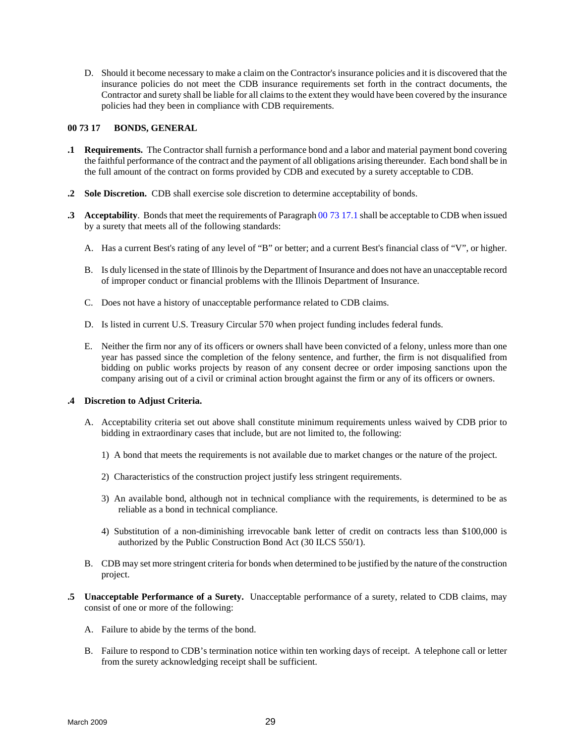<span id="page-36-0"></span>D. Should it become necessary to make a claim on the Contractor's insurance policies and it is discovered that the insurance policies do not meet the CDB insurance requirements set forth in the contract documents, the Contractor and surety shall be liable for all claims to the extent they would have been covered by the insurance policies had they been in compliance with CDB requirements.

#### **00 73 17 BONDS, GENERAL**

- **.1 Requirements.** The Contractor shall furnish a performance bond and a labor and material payment bond covering the faithful performance of the contract and the payment of all obligations arising thereunder. Each bond shall be in the full amount of the contract on forms provided by CDB and executed by a surety acceptable to CDB.
- **.2 Sole Discretion.** CDB shall exercise sole discretion to determine acceptability of bonds.
- **.3 Acceptability**. Bonds that meet the requirements of Paragraph 00 73 17.1 shall be acceptable to CDB when issued by a surety that meets all of the following standards:
	- A. Has a current Best's rating of any level of "B" or better; and a current Best's financial class of "V", or higher.
	- B. Is duly licensed in the state of Illinois by the Department of Insurance and does not have an unacceptable record of improper conduct or financial problems with the Illinois Department of Insurance.
	- C. Does not have a history of unacceptable performance related to CDB claims.
	- D. Is listed in current U.S. Treasury Circular 570 when project funding includes federal funds.
	- E. Neither the firm nor any of its officers or owners shall have been convicted of a felony, unless more than one year has passed since the completion of the felony sentence, and further, the firm is not disqualified from bidding on public works projects by reason of any consent decree or order imposing sanctions upon the company arising out of a civil or criminal action brought against the firm or any of its officers or owners.

# **.4 Discretion to Adjust Criteria.**

- A. Acceptability criteria set out above shall constitute minimum requirements unless waived by CDB prior to bidding in extraordinary cases that include, but are not limited to, the following:
	- 1) A bond that meets the requirements is not available due to market changes or the nature of the project.
	- 2) Characteristics of the construction project justify less stringent requirements.
	- 3) An available bond, although not in technical compliance with the requirements, is determined to be as reliable as a bond in technical compliance.
	- 4) Substitution of a non-diminishing irrevocable bank letter of credit on contracts less than \$100,000 is authorized by the Public Construction Bond Act (30 ILCS 550/1).
- B. CDB may set more stringent criteria for bonds when determined to be justified by the nature of the construction project.
- **.5 Unacceptable Performance of a Surety.** Unacceptable performance of a surety, related to CDB claims, may consist of one or more of the following:
	- A. Failure to abide by the terms of the bond.
	- B. Failure to respond to CDB's termination notice within ten working days of receipt. A telephone call or letter from the surety acknowledging receipt shall be sufficient.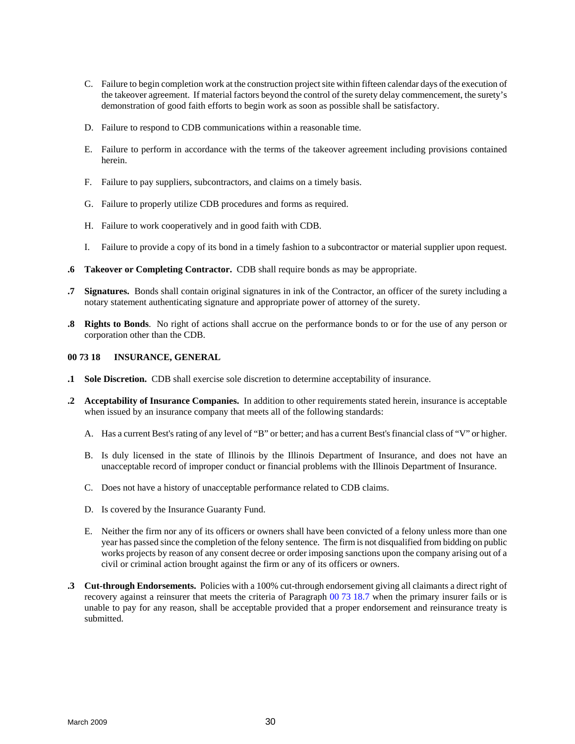- <span id="page-37-0"></span>C. Failure to begin completion work at the construction project site within fifteen calendar days of the execution of the takeover agreement. If material factors beyond the control of the surety delay commencement, the surety's demonstration of good faith efforts to begin work as soon as possible shall be satisfactory.
- D. Failure to respond to CDB communications within a reasonable time.
- E. Failure to perform in accordance with the terms of the takeover agreement including provisions contained herein.
- F. Failure to pay suppliers, subcontractors, and claims on a timely basis.
- G. Failure to properly utilize CDB procedures and forms as required.
- H. Failure to work cooperatively and in good faith with CDB.
- I. Failure to provide a copy of its bond in a timely fashion to a subcontractor or material supplier upon request.
- **.6 Takeover or Completing Contractor.** CDB shall require bonds as may be appropriate.
- **.7 Signatures.** Bonds shall contain original signatures in ink of the Contractor, an officer of the surety including a notary statement authenticating signature and appropriate power of attorney of the surety.
- **.8 Rights to Bonds**. No right of actions shall accrue on the performance bonds to or for the use of any person or corporation other than the CDB.

#### **00 73 18 INSURANCE, GENERAL**

- **.1 Sole Discretion.** CDB shall exercise sole discretion to determine acceptability of insurance.
- **.2 Acceptability of Insurance Companies.** In addition to other requirements stated herein, insurance is acceptable when issued by an insurance company that meets all of the following standards:
	- A. Has a current Best's rating of any level of "B" or better; and has a current Best's financial class of "V" or higher.
	- B. Is duly licensed in the state of Illinois by the Illinois Department of Insurance, and does not have an unacceptable record of improper conduct or financial problems with the Illinois Department of Insurance.
	- C. Does not have a history of unacceptable performance related to CDB claims.
	- D. Is covered by the Insurance Guaranty Fund.
	- E. Neither the firm nor any of its officers or owners shall have been convicted of a felony unless more than one year has passed since the completion of the felony sentence. The firm is not disqualified from bidding on public works projects by reason of any consent decree or order imposing sanctions upon the company arising out of a civil or criminal action brought against the firm or any of its officers or owners.
- **.3 Cut-through Endorsements.** Policies with a 100% cut-through endorsement giving all claimants a direct right of recovery against a reinsurer that meets the criteria of Paragraph 00 73 18.7 when the primary insurer fails or is unable to pay for any reason, shall be acceptable provided that a proper endorsement and reinsurance treaty is submitted.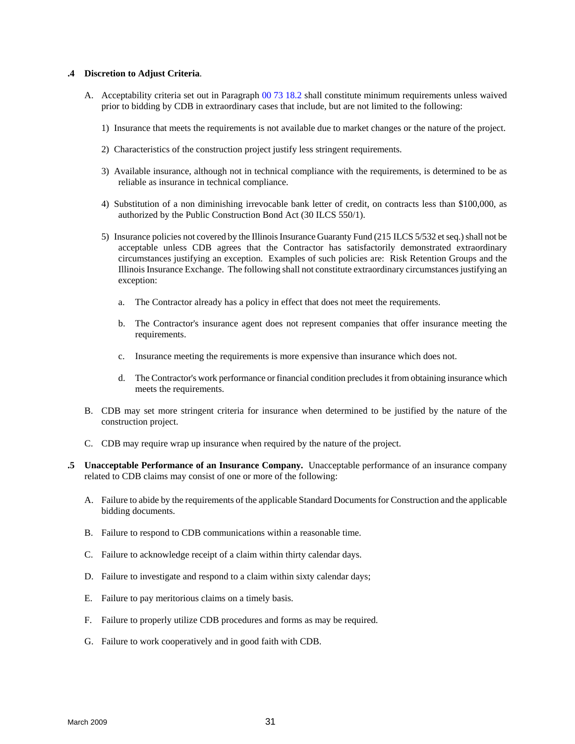#### **.4 Discretion to Adjust Criteria**.

- A. Acceptability criteria set out in Paragraph 00 73 18.2 shall constitute minimum requirements unless waived prior to bidding by CDB in extraordinary cases that include, but are not limited to the following:
	- 1) Insurance that meets the requirements is not available due to market changes or the nature of the project.
	- 2) Characteristics of the construction project justify less stringent requirements.
	- 3) Available insurance, although not in technical compliance with the requirements, is determined to be as reliable as insurance in technical compliance.
	- 4) Substitution of a non diminishing irrevocable bank letter of credit, on contracts less than \$100,000, as authorized by the Public Construction Bond Act (30 ILCS 550/1).
	- 5) Insurance policies not covered by the Illinois Insurance Guaranty Fund (215 ILCS 5/532 et seq.) shall not be acceptable unless CDB agrees that the Contractor has satisfactorily demonstrated extraordinary circumstances justifying an exception. Examples of such policies are: Risk Retention Groups and the Illinois Insurance Exchange. The following shall not constitute extraordinary circumstances justifying an exception:
		- a. The Contractor already has a policy in effect that does not meet the requirements.
		- b. The Contractor's insurance agent does not represent companies that offer insurance meeting the requirements.
		- c. Insurance meeting the requirements is more expensive than insurance which does not.
		- d. The Contractor's work performance or financial condition precludes it from obtaining insurance which meets the requirements.
- B. CDB may set more stringent criteria for insurance when determined to be justified by the nature of the construction project.
- C. CDB may require wrap up insurance when required by the nature of the project.
- **.5 Unacceptable Performance of an Insurance Company.** Unacceptable performance of an insurance company related to CDB claims may consist of one or more of the following:
	- A. Failure to abide by the requirements of the applicable Standard Documents for Construction and the applicable bidding documents.
	- B. Failure to respond to CDB communications within a reasonable time.
	- C. Failure to acknowledge receipt of a claim within thirty calendar days.
	- D. Failure to investigate and respond to a claim within sixty calendar days;
	- E. Failure to pay meritorious claims on a timely basis.
	- F. Failure to properly utilize CDB procedures and forms as may be required.
	- G. Failure to work cooperatively and in good faith with CDB.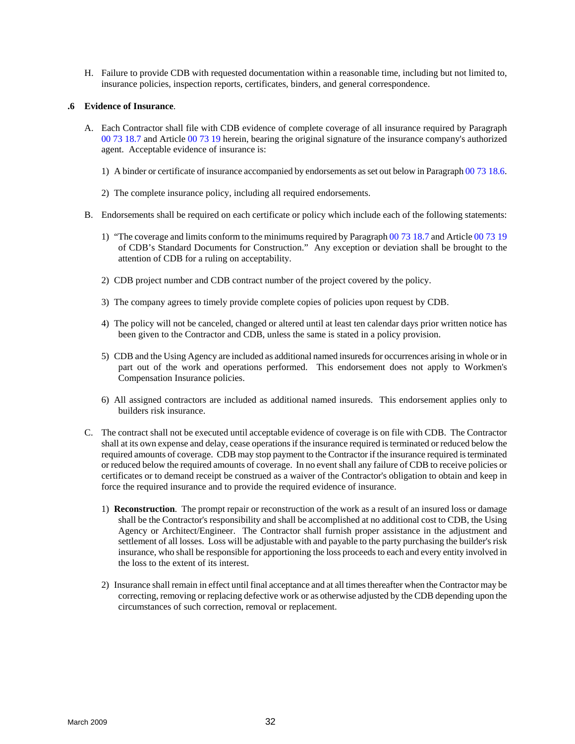H. Failure to provide CDB with requested documentation within a reasonable time, including but not limited to, insurance policies, inspection reports, certificates, binders, and general correspondence.

#### **.6 Evidence of Insurance**.

- A. Each Contractor shall file with CDB evidence of complete coverage of all insurance required by Paragraph 00 73 18.7 and Article 00 73 19 herein, bearing the original signature of the insurance company's authorized agent. Acceptable evidence of insurance is:
	- 1) A binder or certificate of insurance accompanied by endorsements as set out below in Paragraph 00 73 18.6.
	- 2) The complete insurance policy, including all required endorsements.
- B. Endorsements shall be required on each certificate or policy which include each of the following statements:
	- 1) "The coverage and limits conform to the minimums required by Paragraph 00 73 18.7 and Article 00 73 19 of CDB's Standard Documents for Construction." Any exception or deviation shall be brought to the attention of CDB for a ruling on acceptability.
	- 2) CDB project number and CDB contract number of the project covered by the policy.
	- 3) The company agrees to timely provide complete copies of policies upon request by CDB.
	- 4) The policy will not be canceled, changed or altered until at least ten calendar days prior written notice has been given to the Contractor and CDB, unless the same is stated in a policy provision.
	- 5) CDB and the Using Agency are included as additional named insureds for occurrences arising in whole or in part out of the work and operations performed. This endorsement does not apply to Workmen's Compensation Insurance policies.
	- 6) All assigned contractors are included as additional named insureds. This endorsement applies only to builders risk insurance.
- C. The contract shall not be executed until acceptable evidence of coverage is on file with CDB. The Contractor shall at its own expense and delay, cease operations if the insurance required is terminated or reduced below the required amounts of coverage. CDB may stop payment to the Contractor if the insurance required is terminated or reduced below the required amounts of coverage. In no event shall any failure of CDB to receive policies or certificates or to demand receipt be construed as a waiver of the Contractor's obligation to obtain and keep in force the required insurance and to provide the required evidence of insurance.
	- 1) **Reconstruction**. The prompt repair or reconstruction of the work as a result of an insured loss or damage shall be the Contractor's responsibility and shall be accomplished at no additional cost to CDB, the Using Agency or Architect/Engineer. The Contractor shall furnish proper assistance in the adjustment and settlement of all losses. Loss will be adjustable with and payable to the party purchasing the builder's risk insurance, who shall be responsible for apportioning the loss proceeds to each and every entity involved in the loss to the extent of its interest.
	- 2) Insurance shall remain in effect until final acceptance and at all times thereafter when the Contractor may be correcting, removing or replacing defective work or as otherwise adjusted by the CDB depending upon the circumstances of such correction, removal or replacement.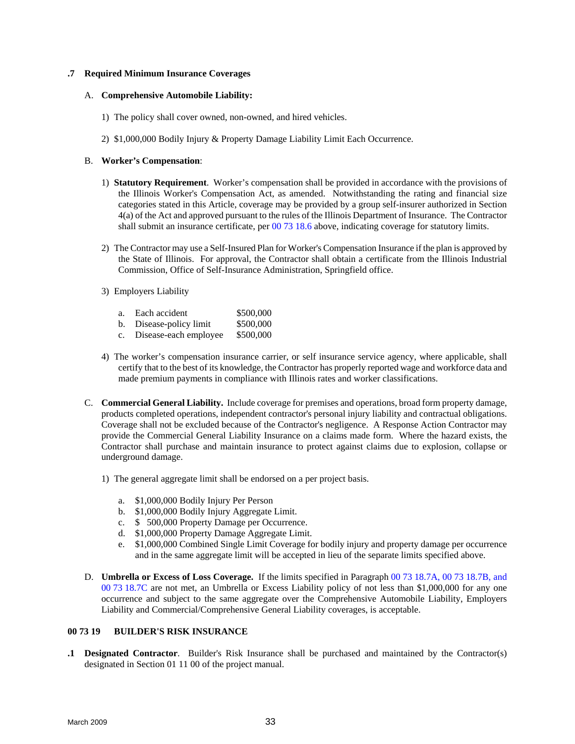### **.7 Required Minimum Insurance Coverages**

#### A. **Comprehensive Automobile Liability:**

- 1) The policy shall cover owned, non-owned, and hired vehicles.
- 2) \$1,000,000 Bodily Injury & Property Damage Liability Limit Each Occurrence.

#### B. **Worker's Compensation**:

- 1) **Statutory Requirement**. Worker's compensation shall be provided in accordance with the provisions of the Illinois Worker's Compensation Act, as amended. Notwithstanding the rating and financial size categories stated in this Article, coverage may be provided by a group self-insurer authorized in Section 4(a) of the Act and approved pursuant to the rules of the Illinois Department of Insurance. The Contractor shall submit an insurance certificate, per 00 73 18.6 above, indicating coverage for statutory limits.
- 2) The Contractor may use a Self-Insured Plan for Worker's Compensation Insurance if the plan is approved by the State of Illinois. For approval, the Contractor shall obtain a certificate from the Illinois Industrial Commission, Office of Self-Insurance Administration, Springfield office.
- 3) Employers Liability

| \$500,000 |
|-----------|
|           |

| Disease-policy limit | \$500,000 |
|----------------------|-----------|
|----------------------|-----------|

- c. Disease-each employee \$500,000
- 4) The worker's compensation insurance carrier, or self insurance service agency, where applicable, shall certify that to the best of its knowledge, the Contractor has properly reported wage and workforce data and made premium payments in compliance with Illinois rates and worker classifications.
- C. **Commercial General Liability.** Include coverage for premises and operations, broad form property damage, products completed operations, independent contractor's personal injury liability and contractual obligations. Coverage shall not be excluded because of the Contractor's negligence. A Response Action Contractor may provide the Commercial General Liability Insurance on a claims made form. Where the hazard exists, the Contractor shall purchase and maintain insurance to protect against claims due to explosion, collapse or underground damage.
	- 1) The general aggregate limit shall be endorsed on a per project basis.
		- a. \$1,000,000 Bodily Injury Per Person
		- b. \$1,000,000 Bodily Injury Aggregate Limit.
		- c. \$ 500,000 Property Damage per Occurrence.
		- d. \$1,000,000 Property Damage Aggregate Limit.
		- e. \$1,000,000 Combined Single Limit Coverage for bodily injury and property damage per occurrence and in the same aggregate limit will be accepted in lieu of the separate limits specified above.
- D. **Umbrella or Excess of Loss Coverage.** If the limits specified in Paragraph 00 73 18.7A, 00 73 18.7B, and 00 73 18.7C are not met, an Umbrella or Excess Liability policy of not less than \$1,000,000 for any one occurrence and subject to the same aggregate over the Comprehensive Automobile Liability, Employers Liability and Commercial/Comprehensive General Liability coverages, is acceptable.

# **00 73 19 BUILDER'S RISK INSURANCE**

**.1 Designated Contractor**. Builder's Risk Insurance shall be purchased and maintained by the Contractor(s) designated in Section 01 11 00 of the project manual.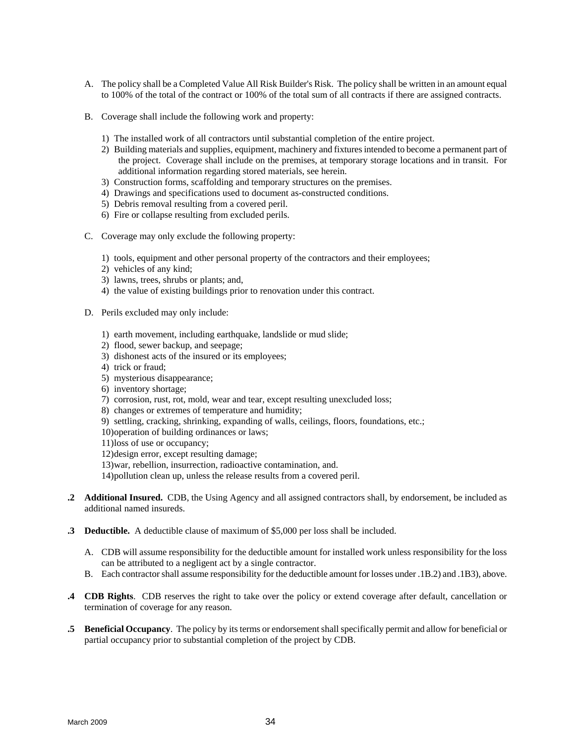- <span id="page-41-0"></span>A. The policy shall be a Completed Value All Risk Builder's Risk. The policy shall be written in an amount equal to 100% of the total of the contract or 100% of the total sum of all contracts if there are assigned contracts.
- B. Coverage shall include the following work and property:
	- 1) The installed work of all contractors until substantial completion of the entire project.
	- 2) Building materials and supplies, equipment, machinery and fixtures intended to become a permanent part of the project. Coverage shall include on the premises, at temporary storage locations and in transit. For additional information regarding stored materials, see herein.
	- 3) Construction forms, scaffolding and temporary structures on the premises.
	- 4) Drawings and specifications used to document as-constructed conditions.
	- 5) Debris removal resulting from a covered peril.
	- 6) Fire or collapse resulting from excluded perils.
- C. Coverage may only exclude the following property:
	- 1) tools, equipment and other personal property of the contractors and their employees;
	- 2) vehicles of any kind;
	- 3) lawns, trees, shrubs or plants; and,
	- 4) the value of existing buildings prior to renovation under this contract.
- D. Perils excluded may only include:
	- 1) earth movement, including earthquake, landslide or mud slide;
	- 2) flood, sewer backup, and seepage;
	- 3) dishonest acts of the insured or its employees;
	- 4) trick or fraud;
	- 5) mysterious disappearance;
	- 6) inventory shortage;
	- 7) corrosion, rust, rot, mold, wear and tear, except resulting unexcluded loss;
	- 8) changes or extremes of temperature and humidity;
	- 9) settling, cracking, shrinking, expanding of walls, ceilings, floors, foundations, etc.;
	- 10)operation of building ordinances or laws;
	- 11)loss of use or occupancy;
	- 12)design error, except resulting damage;
	- 13)war, rebellion, insurrection, radioactive contamination, and.
	- 14)pollution clean up, unless the release results from a covered peril.
- **.2 Additional Insured.** CDB, the Using Agency and all assigned contractors shall, by endorsement, be included as additional named insureds.
- **.3 Deductible.** A deductible clause of maximum of \$5,000 per loss shall be included.
	- A. CDB will assume responsibility for the deductible amount for installed work unless responsibility for the loss can be attributed to a negligent act by a single contractor.
	- B. Each contractor shall assume responsibility for the deductible amount for losses under .1B.2) and .1B3), above.
- **.4 CDB Rights**. CDB reserves the right to take over the policy or extend coverage after default, cancellation or termination of coverage for any reason.
- **.5 Beneficial Occupancy**. The policy by its terms or endorsement shall specifically permit and allow for beneficial or partial occupancy prior to substantial completion of the project by CDB.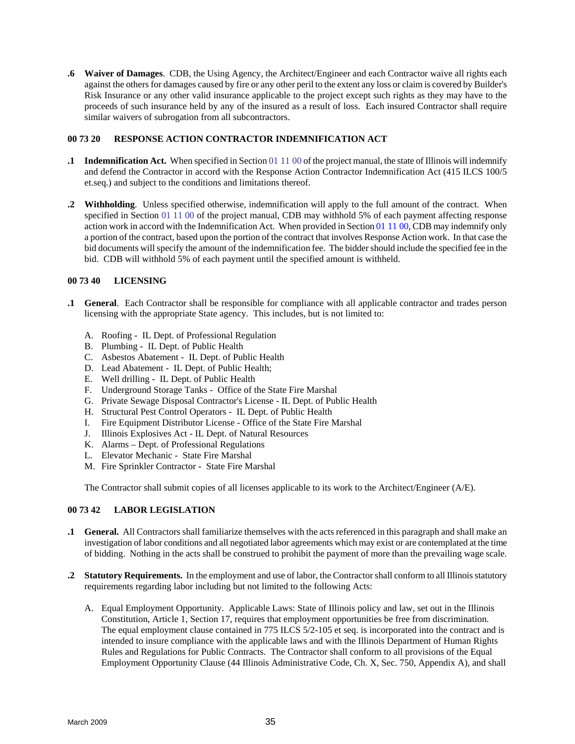<span id="page-42-0"></span>**.6 Waiver of Damages**. CDB, the Using Agency, the Architect/Engineer and each Contractor waive all rights each against the others for damages caused by fire or any other peril to the extent any loss or claim is covered by Builder's Risk Insurance or any other valid insurance applicable to the project except such rights as they may have to the proceeds of such insurance held by any of the insured as a result of loss. Each insured Contractor shall require similar waivers of subrogation from all subcontractors.

# **00 73 20 RESPONSE ACTION CONTRACTOR INDEMNIFICATION ACT**

- **11 Indemnification Act.** When specified in Section 01 11 00 of the project manual, the state of Illinois will indemnify and defend the Contractor in accord with the Response Action Contractor Indemnification Act (415 ILCS 100/5 et.seq.) and subject to the conditions and limitations thereof.
- **.2 Withholding**. Unless specified otherwise, indemnification will apply to the full amount of the contract. When specified in Section 01 11 00 of the project manual, CDB may withhold 5% of each payment affecting response action work in accord with the Indemnification Act. When provided in Section 01 11 00, CDB may indemnify only a portion of the contract, based upon the portion of the contract that involves Response Action work. In that case the bid documents will specify the amount of the indemnification fee. The bidder should include the specified fee in the bid. CDB will withhold 5% of each payment until the specified amount is withheld.

#### **00 73 40 LICENSING**

- **.1 General**. Each Contractor shall be responsible for compliance with all applicable contractor and trades person licensing with the appropriate State agency. This includes, but is not limited to:
	- A. Roofing IL Dept. of Professional Regulation
	- B. Plumbing IL Dept. of Public Health
	- C. Asbestos Abatement IL Dept. of Public Health
	- D. Lead Abatement IL Dept. of Public Health;
	- E. Well drilling IL Dept. of Public Health
	- F. Underground Storage Tanks Office of the State Fire Marshal
	- G. Private Sewage Disposal Contractor's License IL Dept. of Public Health
	- H. Structural Pest Control Operators IL Dept. of Public Health
	- I. Fire Equipment Distributor License Office of the State Fire Marshal
	- J. Illinois Explosives Act IL Dept. of Natural Resources
	- K. Alarms Dept. of Professional Regulations
	- L. Elevator Mechanic State Fire Marshal
	- M. Fire Sprinkler Contractor State Fire Marshal

The Contractor shall submit copies of all licenses applicable to its work to the Architect/Engineer (A/E).

# **00 73 42 LABOR LEGISLATION**

- **.1 General.** All Contractors shall familiarize themselves with the acts referenced in this paragraph and shall make an investigation of labor conditions and all negotiated labor agreements which may exist or are contemplated at the time of bidding. Nothing in the acts shall be construed to prohibit the payment of more than the prevailing wage scale.
- **.2 Statutory Requirements.** In the employment and use of labor, the Contractor shall conform to all Illinois statutory requirements regarding labor including but not limited to the following Acts:
	- A. Equal Employment Opportunity. Applicable Laws: State of Illinois policy and law, set out in the Illinois Constitution, Article 1, Section 17, requires that employment opportunities be free from discrimination. The equal employment clause contained in 775 ILCS 5/2-105 et seq. is incorporated into the contract and is intended to insure compliance with the applicable laws and with the Illinois Department of Human Rights Rules and Regulations for Public Contracts. The Contractor shall conform to all provisions of the Equal Employment Opportunity Clause (44 Illinois Administrative Code, Ch. X, Sec. 750, Appendix A), and shall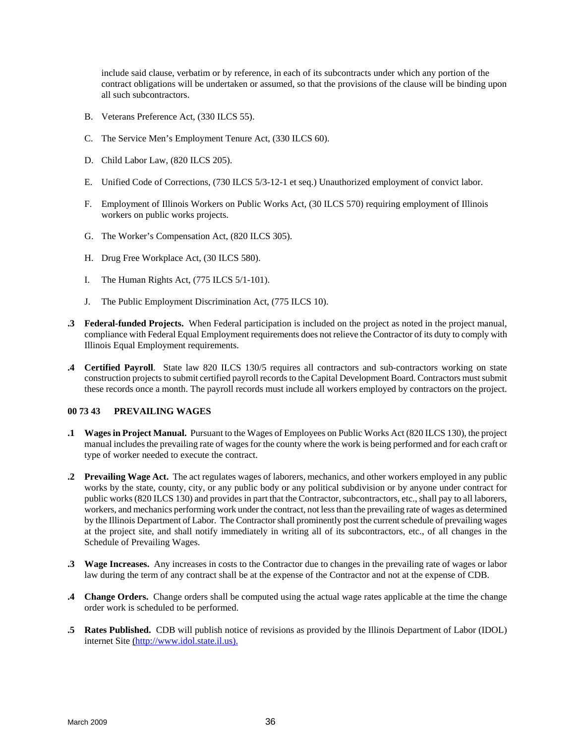<span id="page-43-0"></span>include said clause, verbatim or by reference, in each of its subcontracts under which any portion of the contract obligations will be undertaken or assumed, so that the provisions of the clause will be binding upon all such subcontractors.

- B. Veterans Preference Act, (330 ILCS 55).
- C. The Service Men's Employment Tenure Act, (330 ILCS 60).
- D. Child Labor Law, (820 ILCS 205).
- E. Unified Code of Corrections, (730 ILCS 5/3-12-1 et seq.) Unauthorized employment of convict labor.
- F. Employment of Illinois Workers on Public Works Act, (30 ILCS 570) requiring employment of Illinois workers on public works projects.
- G. The Worker's Compensation Act, (820 ILCS 305).
- H. Drug Free Workplace Act, (30 ILCS 580).
- I. The Human Rights Act, (775 ILCS 5/1-101).
- J. The Public Employment Discrimination Act, (775 ILCS 10).
- **.3 Federal-funded Projects.** When Federal participation is included on the project as noted in the project manual, compliance with Federal Equal Employment requirements does not relieve the Contractor of its duty to comply with Illinois Equal Employment requirements.
- **.4 Certified Payroll**. State law 820 ILCS 130/5 requires all contractors and sub-contractors working on state construction projects to submit certified payroll records to the Capital Development Board. Contractors must submit these records once a month. The payroll records must include all workers employed by contractors on the project.

# **00 73 43 PREVAILING WAGES**

- **.1 Wages in Project Manual.** Pursuant to the Wages of Employees on Public Works Act (820 ILCS 130), the project manual includes the prevailing rate of wages for the county where the work is being performed and for each craft or type of worker needed to execute the contract.
- **.2 Prevailing Wage Act.** The act regulates wages of laborers, mechanics, and other workers employed in any public works by the state, county, city, or any public body or any political subdivision or by anyone under contract for public works (820 ILCS 130) and provides in part that the Contractor, subcontractors, etc., shall pay to all laborers, workers, and mechanics performing work under the contract, not less than the prevailing rate of wages as determined by the Illinois Department of Labor. The Contractor shall prominently post the current schedule of prevailing wages at the project site, and shall notify immediately in writing all of its subcontractors, etc., of all changes in the Schedule of Prevailing Wages.
- **.3 Wage Increases.** Any increases in costs to the Contractor due to changes in the prevailing rate of wages or labor law during the term of any contract shall be at the expense of the Contractor and not at the expense of CDB.
- **.4 Change Orders.** Change orders shall be computed using the actual wage rates applicable at the time the change order work is scheduled to be performed.
- **.5 Rates Published.** CDB will publish notice of revisions as provided by the Illinois Department of Labor (IDOL) internet Site (http://www.idol.state.il.us).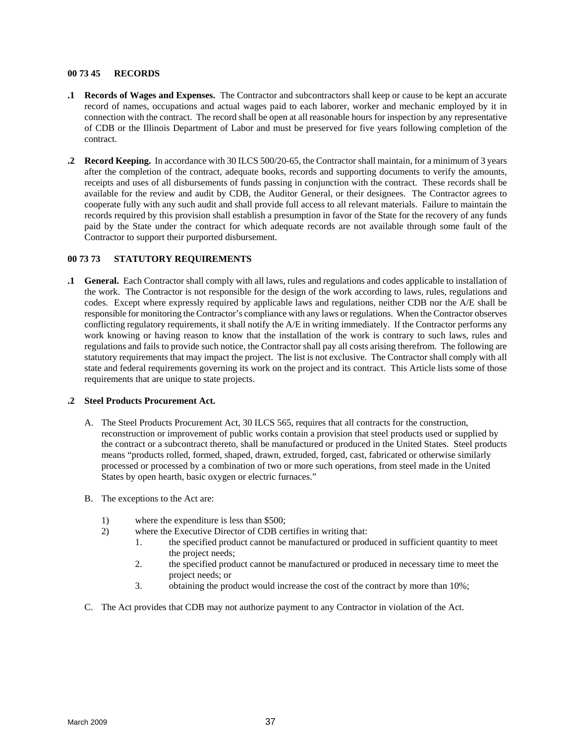#### <span id="page-44-0"></span>**00 73 45 RECORDS**

- **.1 Records of Wages and Expenses.** The Contractor and subcontractors shall keep or cause to be kept an accurate record of names, occupations and actual wages paid to each laborer, worker and mechanic employed by it in connection with the contract. The record shall be open at all reasonable hours for inspection by any representative of CDB or the Illinois Department of Labor and must be preserved for five years following completion of the contract.
- **.2 Record Keeping.** In accordance with 30 ILCS 500/20-65, the Contractor shall maintain, for a minimum of 3 years after the completion of the contract, adequate books, records and supporting documents to verify the amounts, receipts and uses of all disbursements of funds passing in conjunction with the contract. These records shall be available for the review and audit by CDB, the Auditor General, or their designees. The Contractor agrees to cooperate fully with any such audit and shall provide full access to all relevant materials. Failure to maintain the records required by this provision shall establish a presumption in favor of the State for the recovery of any funds paid by the State under the contract for which adequate records are not available through some fault of the Contractor to support their purported disbursement.

# **00 73 73 STATUTORY REQUIREMENTS**

**.1 General.** Each Contractor shall comply with all laws, rules and regulations and codes applicable to installation of the work. The Contractor is not responsible for the design of the work according to laws, rules, regulations and codes. Except where expressly required by applicable laws and regulations, neither CDB nor the A/E shall be responsible for monitoring the Contractor's compliance with any laws or regulations. When the Contractor observes conflicting regulatory requirements, it shall notify the A/E in writing immediately. If the Contractor performs any work knowing or having reason to know that the installation of the work is contrary to such laws, rules and regulations and fails to provide such notice, the Contractor shall pay all costs arising therefrom. The following are statutory requirements that may impact the project. The list is not exclusive. The Contractor shall comply with all state and federal requirements governing its work on the project and its contract. This Article lists some of those requirements that are unique to state projects.

# **.2 Steel Products Procurement Act.**

- A. The Steel Products Procurement Act, 30 ILCS 565, requires that all contracts for the construction, reconstruction or improvement of public works contain a provision that steel products used or supplied by the contract or a subcontract thereto, shall be manufactured or produced in the United States. Steel products means "products rolled, formed, shaped, drawn, extruded, forged, cast, fabricated or otherwise similarly processed or processed by a combination of two or more such operations, from steel made in the United States by open hearth, basic oxygen or electric furnaces."
- B. The exceptions to the Act are:
	- 1) where the expenditure is less than \$500;
	- 2) where the Executive Director of CDB certifies in writing that:
		- 1. the specified product cannot be manufactured or produced in sufficient quantity to meet the project needs;
		- 2. the specified product cannot be manufactured or produced in necessary time to meet the project needs; or
		- 3. obtaining the product would increase the cost of the contract by more than 10%;
- C. The Act provides that CDB may not authorize payment to any Contractor in violation of the Act.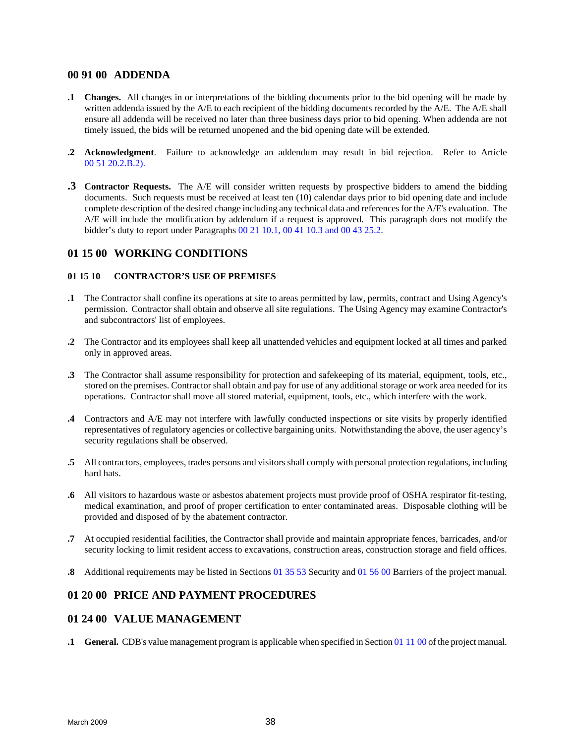# <span id="page-45-0"></span>**00 91 00 ADDENDA**

- **.1 Changes.** All changes in or interpretations of the bidding documents prior to the bid opening will be made by written addenda issued by the A/E to each recipient of the bidding documents recorded by the A/E. The A/E shall ensure all addenda will be received no later than three business days prior to bid opening. When addenda are not timely issued, the bids will be returned unopened and the bid opening date will be extended.
- **.2 Acknowledgment**. Failure to acknowledge an addendum may result in bid rejection. Refer to Article 00 51 20.2.B.2).
- **.3 Contractor Requests.** The A/E will consider written requests by prospective bidders to amend the bidding documents. Such requests must be received at least ten (10) calendar days prior to bid opening date and include complete description of the desired change including any technical data and references for the  $A/E$ 's evaluation. The A/E will include the modification by addendum if a request is approved. This paragraph does not modify the bidder's duty to report under Paragraphs 00 21 10.1, 00 41 10.3 and 00 43 25.2.

# **01 15 00 WORKING CONDITIONS**

# **01 15 10 CONTRACTOR'S USE OF PREMISES**

- **.1** The Contractor shall confine its operations at site to areas permitted by law, permits, contract and Using Agency's permission. Contractor shall obtain and observe all site regulations. The Using Agency may examine Contractor's and subcontractors' list of employees.
- **.2** The Contractor and its employees shall keep all unattended vehicles and equipment locked at all times and parked only in approved areas.
- **.3** The Contractor shall assume responsibility for protection and safekeeping of its material, equipment, tools, etc., stored on the premises. Contractor shall obtain and pay for use of any additional storage or work area needed for its operations. Contractor shall move all stored material, equipment, tools, etc., which interfere with the work.
- **.4** Contractors and A/E may not interfere with lawfully conducted inspections or site visits by properly identified representatives of regulatory agencies or collective bargaining units. Notwithstanding the above, the user agency's security regulations shall be observed.
- **.5** All contractors, employees, trades persons and visitors shall comply with personal protection regulations, including hard hats.
- **.6** All visitors to hazardous waste or asbestos abatement projects must provide proof of OSHA respirator fit-testing, medical examination, and proof of proper certification to enter contaminated areas. Disposable clothing will be provided and disposed of by the abatement contractor.
- **.7** At occupied residential facilities, the Contractor shall provide and maintain appropriate fences, barricades, and/or security locking to limit resident access to excavations, construction areas, construction storage and field offices.
- **.8** Additional requirements may be listed in Sections 01 35 53 Security and 01 56 00 Barriers of the project manual.

# **01 20 00 PRICE AND PAYMENT PROCEDURES**

# **01 24 00 VALUE MANAGEMENT**

**.1 General.** CDB's value management program is applicable when specified in Section 01 11 00 of the project manual.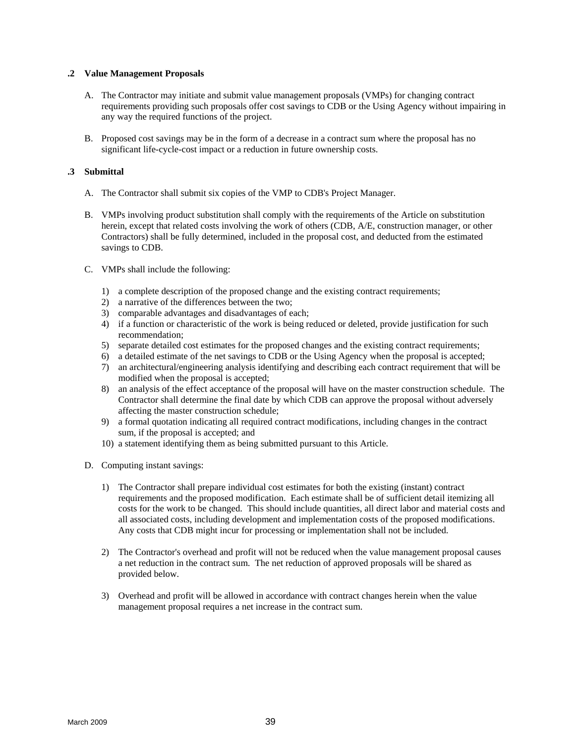### <span id="page-46-0"></span>**.2 Value Management Proposals**

- A. The Contractor may initiate and submit value management proposals (VMPs) for changing contract requirements providing such proposals offer cost savings to CDB or the Using Agency without impairing in any way the required functions of the project.
- B. Proposed cost savings may be in the form of a decrease in a contract sum where the proposal has no significant life-cycle-cost impact or a reduction in future ownership costs.

#### **.3 Submittal**

- A. The Contractor shall submit six copies of the VMP to CDB's Project Manager.
- B. VMPs involving product substitution shall comply with the requirements of the Article on substitution herein, except that related costs involving the work of others (CDB, A/E, construction manager, or other Contractors) shall be fully determined, included in the proposal cost, and deducted from the estimated savings to CDB.
- C. VMPs shall include the following:
	- 1) a complete description of the proposed change and the existing contract requirements;
	- 2) a narrative of the differences between the two;
	- 3) comparable advantages and disadvantages of each;
	- 4) if a function or characteristic of the work is being reduced or deleted, provide justification for such recommendation;
	- 5) separate detailed cost estimates for the proposed changes and the existing contract requirements;
	- 6) a detailed estimate of the net savings to CDB or the Using Agency when the proposal is accepted;
	- 7) an architectural/engineering analysis identifying and describing each contract requirement that will be modified when the proposal is accepted;
	- 8) an analysis of the effect acceptance of the proposal will have on the master construction schedule. The Contractor shall determine the final date by which CDB can approve the proposal without adversely affecting the master construction schedule;
	- 9) a formal quotation indicating all required contract modifications, including changes in the contract sum, if the proposal is accepted; and
	- 10) a statement identifying them as being submitted pursuant to this Article.
- D. Computing instant savings:
	- 1) The Contractor shall prepare individual cost estimates for both the existing (instant) contract requirements and the proposed modification. Each estimate shall be of sufficient detail itemizing all costs for the work to be changed. This should include quantities, all direct labor and material costs and all associated costs, including development and implementation costs of the proposed modifications. Any costs that CDB might incur for processing or implementation shall not be included.
	- 2) The Contractor's overhead and profit will not be reduced when the value management proposal causes a net reduction in the contract sum. The net reduction of approved proposals will be shared as provided below.
	- 3) Overhead and profit will be allowed in accordance with contract changes herein when the value management proposal requires a net increase in the contract sum.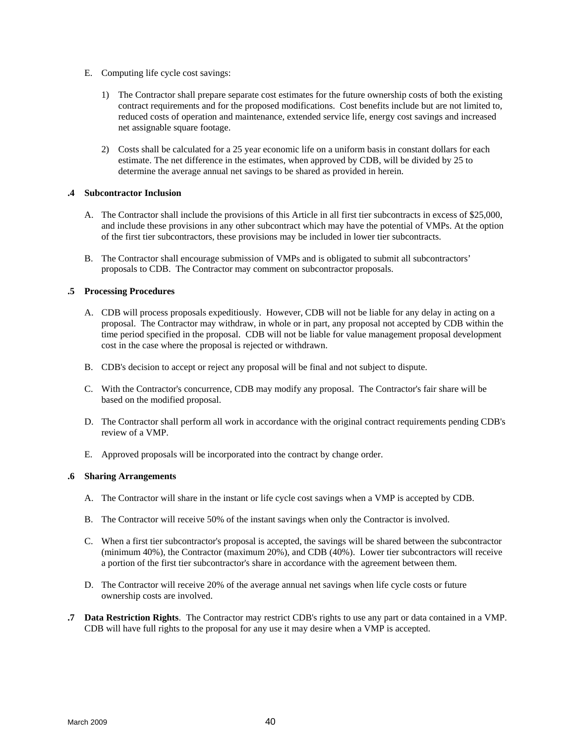- E. Computing life cycle cost savings:
	- 1) The Contractor shall prepare separate cost estimates for the future ownership costs of both the existing contract requirements and for the proposed modifications. Cost benefits include but are not limited to, reduced costs of operation and maintenance, extended service life, energy cost savings and increased net assignable square footage.
	- 2) Costs shall be calculated for a 25 year economic life on a uniform basis in constant dollars for each estimate. The net difference in the estimates, when approved by CDB, will be divided by 25 to determine the average annual net savings to be shared as provided in herein.

#### **.4 Subcontractor Inclusion**

- A. The Contractor shall include the provisions of this Article in all first tier subcontracts in excess of \$25,000, and include these provisions in any other subcontract which may have the potential of VMPs. At the option of the first tier subcontractors, these provisions may be included in lower tier subcontracts.
- B. The Contractor shall encourage submission of VMPs and is obligated to submit all subcontractors' proposals to CDB. The Contractor may comment on subcontractor proposals.

#### **.5 Processing Procedures**

- A. CDB will process proposals expeditiously. However, CDB will not be liable for any delay in acting on a proposal. The Contractor may withdraw, in whole or in part, any proposal not accepted by CDB within the time period specified in the proposal. CDB will not be liable for value management proposal development cost in the case where the proposal is rejected or withdrawn.
- B. CDB's decision to accept or reject any proposal will be final and not subject to dispute.
- C. With the Contractor's concurrence, CDB may modify any proposal. The Contractor's fair share will be based on the modified proposal.
- D. The Contractor shall perform all work in accordance with the original contract requirements pending CDB's review of a VMP.
- E. Approved proposals will be incorporated into the contract by change order.

# **.6 Sharing Arrangements**

- A. The Contractor will share in the instant or life cycle cost savings when a VMP is accepted by CDB.
- B. The Contractor will receive 50% of the instant savings when only the Contractor is involved.
- C. When a first tier subcontractor's proposal is accepted, the savings will be shared between the subcontractor (minimum 40%), the Contractor (maximum 20%), and CDB (40%). Lower tier subcontractors will receive a portion of the first tier subcontractor's share in accordance with the agreement between them.
- D. The Contractor will receive 20% of the average annual net savings when life cycle costs or future ownership costs are involved.
- **.7 Data Restriction Rights**. The Contractor may restrict CDB's rights to use any part or data contained in a VMP. CDB will have full rights to the proposal for any use it may desire when a VMP is accepted.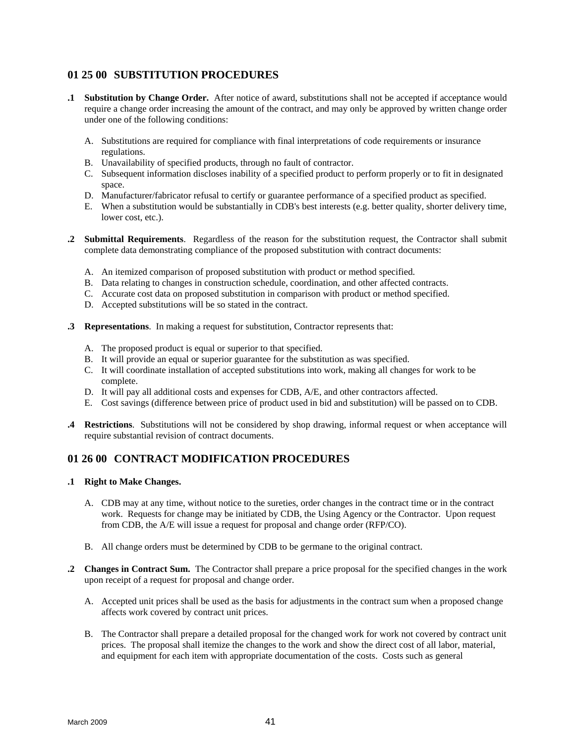# <span id="page-48-0"></span>**01 25 00 SUBSTITUTION PROCEDURES**

- **.1 Substitution by Change Order.** After notice of award, substitutions shall not be accepted if acceptance would require a change order increasing the amount of the contract, and may only be approved by written change order under one of the following conditions:
	- A. Substitutions are required for compliance with final interpretations of code requirements or insurance regulations.
	- B. Unavailability of specified products, through no fault of contractor.
	- C. Subsequent information discloses inability of a specified product to perform properly or to fit in designated space.
	- D. Manufacturer/fabricator refusal to certify or guarantee performance of a specified product as specified.
	- E. When a substitution would be substantially in CDB's best interests (e.g. better quality, shorter delivery time, lower cost, etc.).
- **.2 Submittal Requirements**. Regardless of the reason for the substitution request, the Contractor shall submit complete data demonstrating compliance of the proposed substitution with contract documents:
	- A. An itemized comparison of proposed substitution with product or method specified.
	- B. Data relating to changes in construction schedule, coordination, and other affected contracts.
	- C. Accurate cost data on proposed substitution in comparison with product or method specified.
	- D. Accepted substitutions will be so stated in the contract.
- **.3 Representations**. In making a request for substitution, Contractor represents that:
	- A. The proposed product is equal or superior to that specified.
	- B. It will provide an equal or superior guarantee for the substitution as was specified.
	- C. It will coordinate installation of accepted substitutions into work, making all changes for work to be complete.
	- D. It will pay all additional costs and expenses for CDB, A/E, and other contractors affected.
	- E. Cost savings (difference between price of product used in bid and substitution) will be passed on to CDB.
- **.4 Restrictions**. Substitutions will not be considered by shop drawing, informal request or when acceptance will require substantial revision of contract documents.

# **01 26 00 CONTRACT MODIFICATION PROCEDURES**

- **.1 Right to Make Changes.**
	- A. CDB may at any time, without notice to the sureties, order changes in the contract time or in the contract work. Requests for change may be initiated by CDB, the Using Agency or the Contractor. Upon request from CDB, the A/E will issue a request for proposal and change order (RFP/CO).
	- B. All change orders must be determined by CDB to be germane to the original contract.
- **.2 Changes in Contract Sum.** The Contractor shall prepare a price proposal for the specified changes in the work upon receipt of a request for proposal and change order.
	- A. Accepted unit prices shall be used as the basis for adjustments in the contract sum when a proposed change affects work covered by contract unit prices.
	- B. The Contractor shall prepare a detailed proposal for the changed work for work not covered by contract unit prices. The proposal shall itemize the changes to the work and show the direct cost of all labor, material, and equipment for each item with appropriate documentation of the costs. Costs such as general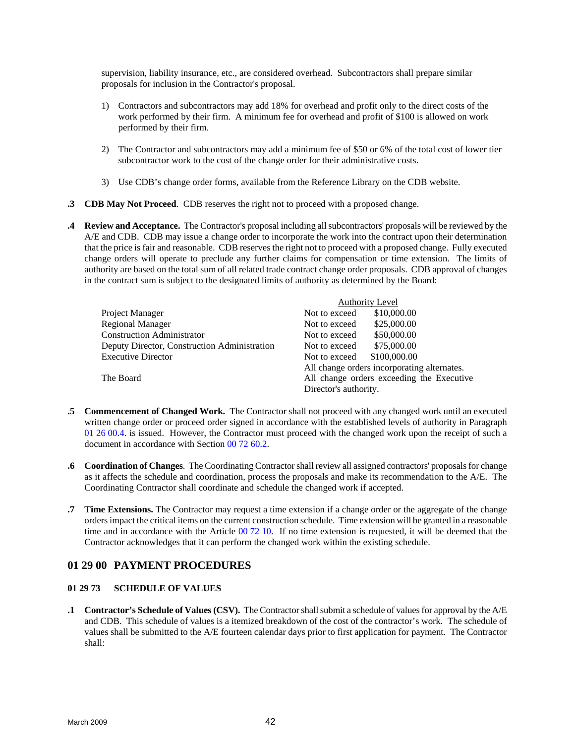supervision, liability insurance, etc., are considered overhead. Subcontractors shall prepare similar proposals for inclusion in the Contractor's proposal.

- 1) Contractors and subcontractors may add 18% for overhead and profit only to the direct costs of the work performed by their firm. A minimum fee for overhead and profit of \$100 is allowed on work performed by their firm.
- 2) The Contractor and subcontractors may add a minimum fee of \$50 or 6% of the total cost of lower tier subcontractor work to the cost of the change order for their administrative costs.
- 3) Use CDB's change order forms, available from the Reference Library on the CDB website.
- **.3 CDB May Not Proceed**. CDB reserves the right not to proceed with a proposed change.
- **.4 Review and Acceptance.** The Contractor's proposal including all subcontractors' proposals will be reviewed by the A/E and CDB. CDB may issue a change order to incorporate the work into the contract upon their determination that the price is fair and reasonable. CDB reserves the right not to proceed with a proposed change. Fully executed change orders will operate to preclude any further claims for compensation or time extension. The limits of authority are based on the total sum of all related trade contract change order proposals. CDB approval of changes in the contract sum is subject to the designated limits of authority as determined by the Board:

|                                              | <b>Authority Level</b>                                                                                            |  |
|----------------------------------------------|-------------------------------------------------------------------------------------------------------------------|--|
| Project Manager                              | \$10,000.00<br>Not to exceed                                                                                      |  |
| <b>Regional Manager</b>                      | \$25,000.00<br>Not to exceed                                                                                      |  |
| <b>Construction Administrator</b>            | \$50,000.00<br>Not to exceed                                                                                      |  |
| Deputy Director, Construction Administration | \$75,000.00<br>Not to exceed                                                                                      |  |
| <b>Executive Director</b>                    | \$100,000.00<br>Not to exceed                                                                                     |  |
| The Board                                    | All change orders incorporating alternates.<br>All change orders exceeding the Executive<br>Director's authority. |  |

- **.5 Commencement of Changed Work.** The Contractor shall not proceed with any changed work until an executed written change order or proceed order signed in accordance with the established levels of authority in Paragraph 01 26 00.4. is issued. However, the Contractor must proceed with the changed work upon the receipt of such a document in accordance with Section 00 72 60.2.
- **.6 Coordination of Changes**. The Coordinating Contractor shall review all assigned contractors' proposals for change as it affects the schedule and coordination, process the proposals and make its recommendation to the A/E. The Coordinating Contractor shall coordinate and schedule the changed work if accepted.
- **.7 Time Extensions.** The Contractor may request a time extension if a change order or the aggregate of the change orders impact the critical items on the current construction schedule. Time extension will be granted in a reasonable time and in accordance with the Article 00 72 10. If no time extension is requested, it will be deemed that the Contractor acknowledges that it can perform the changed work within the existing schedule.

# **01 29 00 PAYMENT PROCEDURES**

# **01 29 73 SCHEDULE OF VALUES**

**.1 Contractor's Schedule of Values (CSV).** The Contractor shall submit a schedule of values for approval by the A/E and CDB. This schedule of values is a itemized breakdown of the cost of the contractor's work. The schedule of values shall be submitted to the A/E fourteen calendar days prior to first application for payment. The Contractor shall: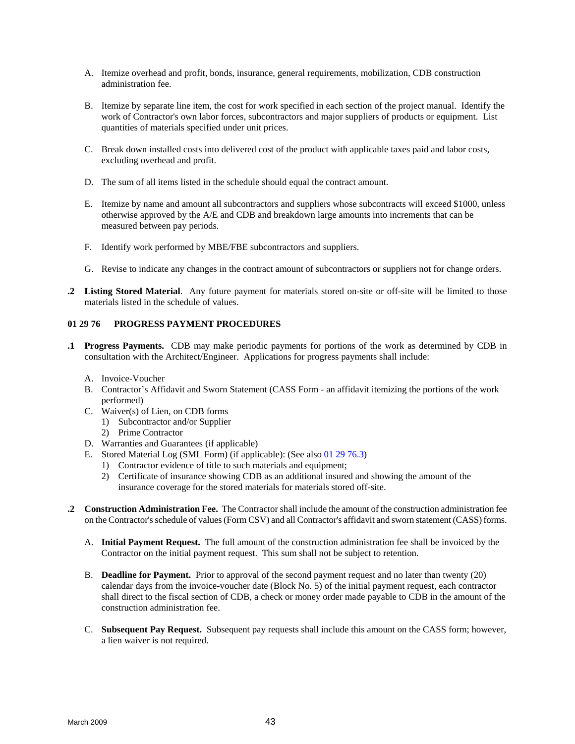- <span id="page-50-0"></span>A. Itemize overhead and profit, bonds, insurance, general requirements, mobilization, CDB construction administration fee.
- B. Itemize by separate line item, the cost for work specified in each section of the project manual. Identify the work of Contractor's own labor forces, subcontractors and major suppliers of products or equipment. List quantities of materials specified under unit prices.
- C. Break down installed costs into delivered cost of the product with applicable taxes paid and labor costs, excluding overhead and profit.
- D. The sum of all items listed in the schedule should equal the contract amount.
- E. Itemize by name and amount all subcontractors and suppliers whose subcontracts will exceed \$1000, unless otherwise approved by the A/E and CDB and breakdown large amounts into increments that can be measured between pay periods.
- F. Identify work performed by MBE/FBE subcontractors and suppliers.
- G. Revise to indicate any changes in the contract amount of subcontractors or suppliers not for change orders.
- **.2 Listing Stored Material**. Any future payment for materials stored on-site or off-site will be limited to those materials listed in the schedule of values.

# **01 29 76 PROGRESS PAYMENT PROCEDURES**

- **.1 Progress Payments.** CDB may make periodic payments for portions of the work as determined by CDB in consultation with the Architect/Engineer. Applications for progress payments shall include:
	- A. Invoice-Voucher
	- B. Contractor's Affidavit and Sworn Statement (CASS Form an affidavit itemizing the portions of the work performed)
	- C. Waiver(s) of Lien, on CDB forms
		- 1) Subcontractor and/or Supplier
		- 2) Prime Contractor
	- D. Warranties and Guarantees (if applicable)
	- E. Stored Material Log (SML Form) (if applicable): (See also 01 29 76.3)
		- 1) Contractor evidence of title to such materials and equipment;
		- 2) Certificate of insurance showing CDB as an additional insured and showing the amount of the insurance coverage for the stored materials for materials stored off-site.
- **.2 Construction Administration Fee.** The Contractor shall include the amount of the construction administration fee on the Contractor's schedule of values (Form CSV) and all Contractor's affidavit and sworn statement (CASS) forms.
	- A. **Initial Payment Request.** The full amount of the construction administration fee shall be invoiced by the Contractor on the initial payment request. This sum shall not be subject to retention.
	- B. **Deadline for Payment.** Prior to approval of the second payment request and no later than twenty (20) calendar days from the invoice-voucher date (Block No. 5) of the initial payment request, each contractor shall direct to the fiscal section of CDB, a check or money order made payable to CDB in the amount of the construction administration fee.
	- C. **Subsequent Pay Request.** Subsequent pay requests shall include this amount on the CASS form; however, a lien waiver is not required.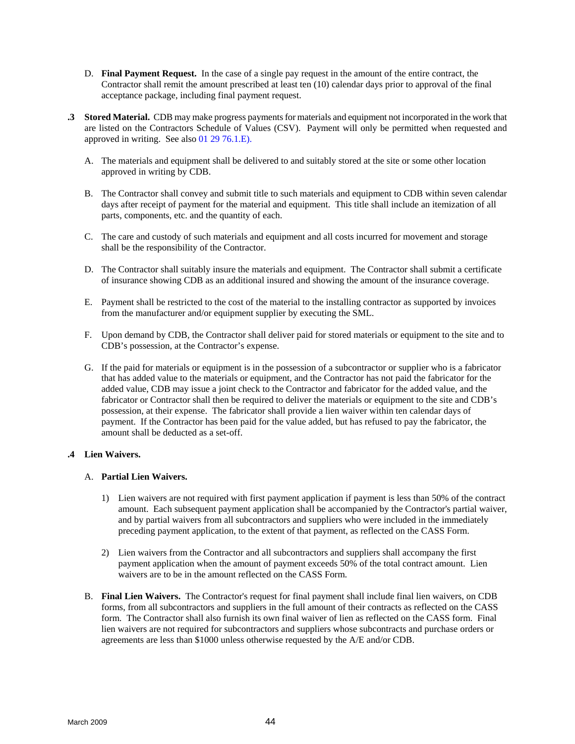- D. **Final Payment Request.** In the case of a single pay request in the amount of the entire contract, the Contractor shall remit the amount prescribed at least ten (10) calendar days prior to approval of the final acceptance package, including final payment request.
- **.3 Stored Material.** CDB may make progress payments for materials and equipment not incorporated in the work that are listed on the Contractors Schedule of Values (CSV). Payment will only be permitted when requested and approved in writing. See also 01 29 76.1.E).
	- A. The materials and equipment shall be delivered to and suitably stored at the site or some other location approved in writing by CDB.
	- B. The Contractor shall convey and submit title to such materials and equipment to CDB within seven calendar days after receipt of payment for the material and equipment. This title shall include an itemization of all parts, components, etc. and the quantity of each.
	- C. The care and custody of such materials and equipment and all costs incurred for movement and storage shall be the responsibility of the Contractor.
	- D. The Contractor shall suitably insure the materials and equipment. The Contractor shall submit a certificate of insurance showing CDB as an additional insured and showing the amount of the insurance coverage.
	- E. Payment shall be restricted to the cost of the material to the installing contractor as supported by invoices from the manufacturer and/or equipment supplier by executing the SML.
	- F. Upon demand by CDB, the Contractor shall deliver paid for stored materials or equipment to the site and to CDB's possession, at the Contractor's expense.
	- G. If the paid for materials or equipment is in the possession of a subcontractor or supplier who is a fabricator that has added value to the materials or equipment, and the Contractor has not paid the fabricator for the added value, CDB may issue a joint check to the Contractor and fabricator for the added value, and the fabricator or Contractor shall then be required to deliver the materials or equipment to the site and CDB's possession, at their expense. The fabricator shall provide a lien waiver within ten calendar days of payment. If the Contractor has been paid for the value added, but has refused to pay the fabricator, the amount shall be deducted as a set-off.

# **.4 Lien Waivers.**

#### A. **Partial Lien Waivers.**

- 1) Lien waivers are not required with first payment application if payment is less than 50% of the contract amount. Each subsequent payment application shall be accompanied by the Contractor's partial waiver, and by partial waivers from all subcontractors and suppliers who were included in the immediately preceding payment application, to the extent of that payment, as reflected on the CASS Form.
- 2) Lien waivers from the Contractor and all subcontractors and suppliers shall accompany the first payment application when the amount of payment exceeds 50% of the total contract amount. Lien waivers are to be in the amount reflected on the CASS Form.
- B. **Final Lien Waivers.** The Contractor's request for final payment shall include final lien waivers, on CDB forms, from all subcontractors and suppliers in the full amount of their contracts as reflected on the CASS form. The Contractor shall also furnish its own final waiver of lien as reflected on the CASS form. Final lien waivers are not required for subcontractors and suppliers whose subcontracts and purchase orders or agreements are less than \$1000 unless otherwise requested by the A/E and/or CDB.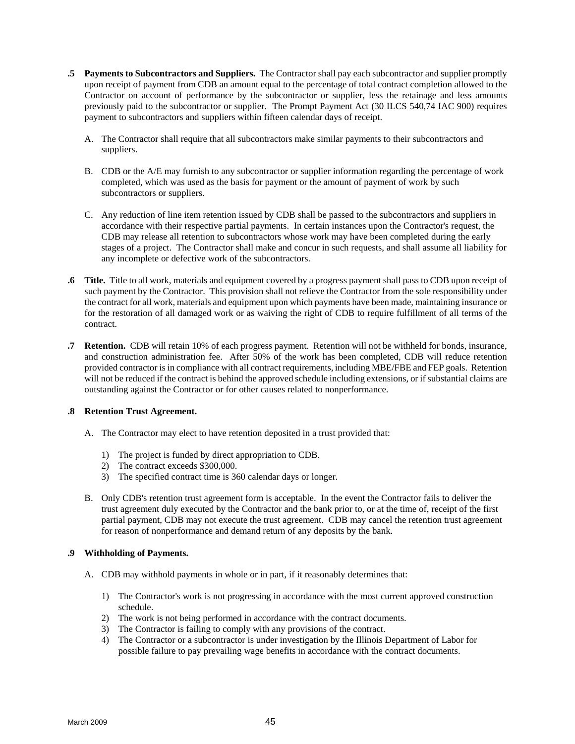- **.5 Payments to Subcontractors and Suppliers.** The Contractor shall pay each subcontractor and supplier promptly upon receipt of payment from CDB an amount equal to the percentage of total contract completion allowed to the Contractor on account of performance by the subcontractor or supplier, less the retainage and less amounts previously paid to the subcontractor or supplier. The Prompt Payment Act (30 ILCS 540,74 IAC 900) requires payment to subcontractors and suppliers within fifteen calendar days of receipt.
	- A. The Contractor shall require that all subcontractors make similar payments to their subcontractors and suppliers.
	- B. CDB or the A/E may furnish to any subcontractor or supplier information regarding the percentage of work completed, which was used as the basis for payment or the amount of payment of work by such subcontractors or suppliers.
	- C. Any reduction of line item retention issued by CDB shall be passed to the subcontractors and suppliers in accordance with their respective partial payments. In certain instances upon the Contractor's request, the CDB may release all retention to subcontractors whose work may have been completed during the early stages of a project. The Contractor shall make and concur in such requests, and shall assume all liability for any incomplete or defective work of the subcontractors.
- **.6 Title.** Title to all work, materials and equipment covered by a progress payment shall pass to CDB upon receipt of such payment by the Contractor. This provision shall not relieve the Contractor from the sole responsibility under the contract for all work, materials and equipment upon which payments have been made, maintaining insurance or for the restoration of all damaged work or as waiving the right of CDB to require fulfillment of all terms of the contract.
- **.7 Retention.** CDB will retain 10% of each progress payment. Retention will not be withheld for bonds, insurance, and construction administration fee. After 50% of the work has been completed, CDB will reduce retention provided contractor is in compliance with all contract requirements, including MBE/FBE and FEP goals. Retention will not be reduced if the contract is behind the approved schedule including extensions, or if substantial claims are outstanding against the Contractor or for other causes related to nonperformance.

# **.8 Retention Trust Agreement.**

- A. The Contractor may elect to have retention deposited in a trust provided that:
	- 1) The project is funded by direct appropriation to CDB.
	- 2) The contract exceeds \$300,000.
	- 3) The specified contract time is 360 calendar days or longer.
- B. Only CDB's retention trust agreement form is acceptable. In the event the Contractor fails to deliver the trust agreement duly executed by the Contractor and the bank prior to, or at the time of, receipt of the first partial payment, CDB may not execute the trust agreement. CDB may cancel the retention trust agreement for reason of nonperformance and demand return of any deposits by the bank.

# **.9 Withholding of Payments.**

- A. CDB may withhold payments in whole or in part, if it reasonably determines that:
	- 1) The Contractor's work is not progressing in accordance with the most current approved construction schedule.
	- 2) The work is not being performed in accordance with the contract documents.
	- 3) The Contractor is failing to comply with any provisions of the contract.
	- 4) The Contractor or a subcontractor is under investigation by the Illinois Department of Labor for possible failure to pay prevailing wage benefits in accordance with the contract documents.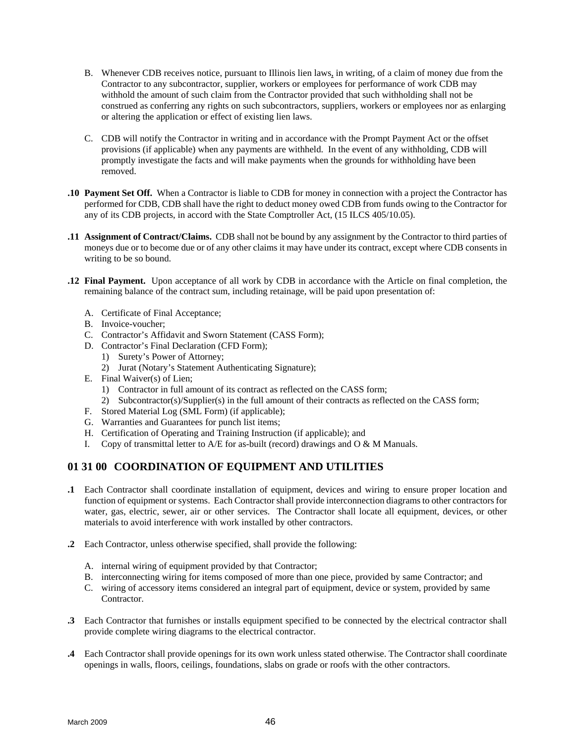- <span id="page-53-0"></span>B. Whenever CDB receives notice, pursuant to Illinois lien laws, in writing, of a claim of money due from the Contractor to any subcontractor, supplier, workers or employees for performance of work CDB may withhold the amount of such claim from the Contractor provided that such withholding shall not be construed as conferring any rights on such subcontractors, suppliers, workers or employees nor as enlarging or altering the application or effect of existing lien laws.
- C. CDB will notify the Contractor in writing and in accordance with the Prompt Payment Act or the offset provisions (if applicable) when any payments are withheld. In the event of any withholding, CDB will promptly investigate the facts and will make payments when the grounds for withholding have been removed.
- **.10 Payment Set Off.** When a Contractor is liable to CDB for money in connection with a project the Contractor has performed for CDB, CDB shall have the right to deduct money owed CDB from funds owing to the Contractor for any of its CDB projects, in accord with the State Comptroller Act, (15 ILCS 405/10.05).
- **.11 Assignment of Contract/Claims.** CDB shall not be bound by any assignment by the Contractor to third parties of moneys due or to become due or of any other claims it may have under its contract, except where CDB consents in writing to be so bound.
- **.12 Final Payment.** Upon acceptance of all work by CDB in accordance with the Article on final completion, the remaining balance of the contract sum, including retainage, will be paid upon presentation of:
	- A. Certificate of Final Acceptance;
	- B. Invoice-voucher;
	- C. Contractor's Affidavit and Sworn Statement (CASS Form);
	- D. Contractor's Final Declaration (CFD Form);
		- 1) Surety's Power of Attorney;
		- 2) Jurat (Notary's Statement Authenticating Signature);
	- E. Final Waiver(s) of Lien;
		- 1) Contractor in full amount of its contract as reflected on the CASS form;
		- 2) Subcontractor(s)/Supplier(s) in the full amount of their contracts as reflected on the CASS form;
	- F. Stored Material Log (SML Form) (if applicable);
	- G. Warranties and Guarantees for punch list items;
	- H. Certification of Operating and Training Instruction (if applicable); and
	- I. Copy of transmittal letter to  $A/E$  for as-built (record) drawings and  $O & M$  Manuals.

# **01 31 00 COORDINATION OF EQUIPMENT AND UTILITIES**

- **.1** Each Contractor shall coordinate installation of equipment, devices and wiring to ensure proper location and function of equipment or systems. Each Contractor shall provide interconnection diagrams to other contractors for water, gas, electric, sewer, air or other services. The Contractor shall locate all equipment, devices, or other materials to avoid interference with work installed by other contractors.
- **.2** Each Contractor, unless otherwise specified, shall provide the following:
	- A. internal wiring of equipment provided by that Contractor;
	- B. interconnecting wiring for items composed of more than one piece, provided by same Contractor; and
	- C. wiring of accessory items considered an integral part of equipment, device or system, provided by same **Contractor**
- **.3** Each Contractor that furnishes or installs equipment specified to be connected by the electrical contractor shall provide complete wiring diagrams to the electrical contractor.
- **.4** Each Contractor shall provide openings for its own work unless stated otherwise. The Contractor shall coordinate openings in walls, floors, ceilings, foundations, slabs on grade or roofs with the other contractors.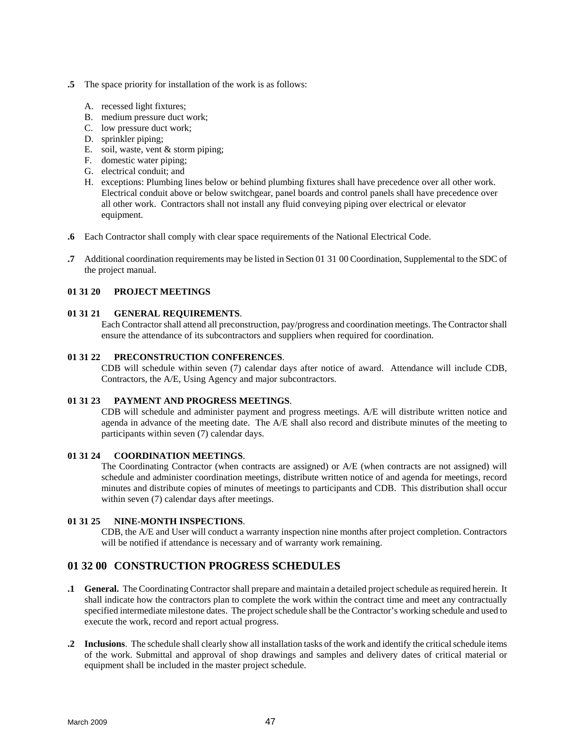- <span id="page-54-0"></span>**.5** The space priority for installation of the work is as follows:
	- A. recessed light fixtures;
	- B. medium pressure duct work;
	- C. low pressure duct work;
	- D. sprinkler piping;
	- E. soil, waste, vent & storm piping;
	- F. domestic water piping;
	- G. electrical conduit; and
	- H. exceptions: Plumbing lines below or behind plumbing fixtures shall have precedence over all other work. Electrical conduit above or below switchgear, panel boards and control panels shall have precedence over all other work. Contractors shall not install any fluid conveying piping over electrical or elevator equipment.
- **.6** Each Contractor shall comply with clear space requirements of the National Electrical Code.
- **.7** Additional coordination requirements may be listed in Section 01 31 00 Coordination, Supplemental to the SDC of the project manual.

# **01 31 20 PROJECT MEETINGS**

#### **01 31 21 GENERAL REQUIREMENTS**.

Each Contractor shall attend all preconstruction, pay/progress and coordination meetings. The Contractor shall ensure the attendance of its subcontractors and suppliers when required for coordination.

#### **01 31 22 PRECONSTRUCTION CONFERENCES**.

CDB will schedule within seven (7) calendar days after notice of award. Attendance will include CDB, Contractors, the A/E, Using Agency and major subcontractors.

#### **01 31 23 PAYMENT AND PROGRESS MEETINGS**.

CDB will schedule and administer payment and progress meetings. A/E will distribute written notice and agenda in advance of the meeting date. The A/E shall also record and distribute minutes of the meeting to participants within seven (7) calendar days.

#### **01 31 24 COORDINATION MEETINGS**.

The Coordinating Contractor (when contracts are assigned) or A/E (when contracts are not assigned) will schedule and administer coordination meetings, distribute written notice of and agenda for meetings, record minutes and distribute copies of minutes of meetings to participants and CDB. This distribution shall occur within seven (7) calendar days after meetings.

#### **01 31 25 NINE-MONTH INSPECTIONS**.

CDB, the A/E and User will conduct a warranty inspection nine months after project completion. Contractors will be notified if attendance is necessary and of warranty work remaining.

# **01 32 00 CONSTRUCTION PROGRESS SCHEDULES**

- **.1 General.** The Coordinating Contractor shall prepare and maintain a detailed project schedule as required herein. It shall indicate how the contractors plan to complete the work within the contract time and meet any contractually specified intermediate milestone dates. The project schedule shall be the Contractor's working schedule and used to execute the work, record and report actual progress.
- **.2 Inclusions**. The schedule shall clearly show all installation tasks of the work and identify the critical schedule items of the work. Submittal and approval of shop drawings and samples and delivery dates of critical material or equipment shall be included in the master project schedule.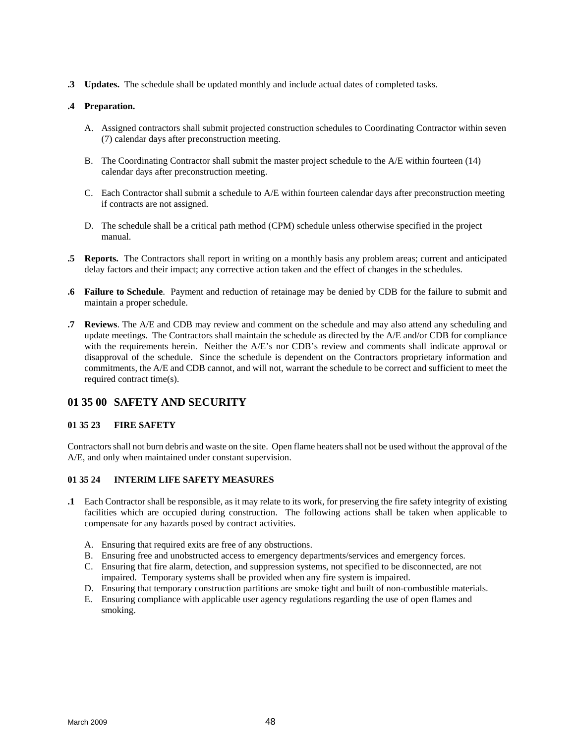<span id="page-55-0"></span>**.3 Updates.** The schedule shall be updated monthly and include actual dates of completed tasks.

### **.4 Preparation.**

- A. Assigned contractors shall submit projected construction schedules to Coordinating Contractor within seven (7) calendar days after preconstruction meeting.
- B. The Coordinating Contractor shall submit the master project schedule to the A/E within fourteen (14) calendar days after preconstruction meeting.
- C. Each Contractor shall submit a schedule to A/E within fourteen calendar days after preconstruction meeting if contracts are not assigned.
- D. The schedule shall be a critical path method (CPM) schedule unless otherwise specified in the project manual.
- **.5 Reports.** The Contractors shall report in writing on a monthly basis any problem areas; current and anticipated delay factors and their impact; any corrective action taken and the effect of changes in the schedules.
- **.6 Failure to Schedule**. Payment and reduction of retainage may be denied by CDB for the failure to submit and maintain a proper schedule.
- **.7 Reviews**. The A/E and CDB may review and comment on the schedule and may also attend any scheduling and update meetings. The Contractors shall maintain the schedule as directed by the A/E and/or CDB for compliance with the requirements herein. Neither the A/E's nor CDB's review and comments shall indicate approval or disapproval of the schedule. Since the schedule is dependent on the Contractors proprietary information and commitments, the A/E and CDB cannot, and will not, warrant the schedule to be correct and sufficient to meet the required contract time(s).

# **01 35 00 SAFETY AND SECURITY**

#### **01 35 23 FIRE SAFETY**

Contractors shall not burn debris and waste on the site. Open flame heaters shall not be used without the approval of the A/E, and only when maintained under constant supervision.

#### **01 35 24 INTERIM LIFE SAFETY MEASURES**

- **.1** Each Contractor shall be responsible, as it may relate to its work, for preserving the fire safety integrity of existing facilities which are occupied during construction. The following actions shall be taken when applicable to compensate for any hazards posed by contract activities.
	- A. Ensuring that required exits are free of any obstructions.
	- B. Ensuring free and unobstructed access to emergency departments/services and emergency forces.
	- C. Ensuring that fire alarm, detection, and suppression systems, not specified to be disconnected, are not impaired. Temporary systems shall be provided when any fire system is impaired.
	- D. Ensuring that temporary construction partitions are smoke tight and built of non-combustible materials.
	- E. Ensuring compliance with applicable user agency regulations regarding the use of open flames and smoking.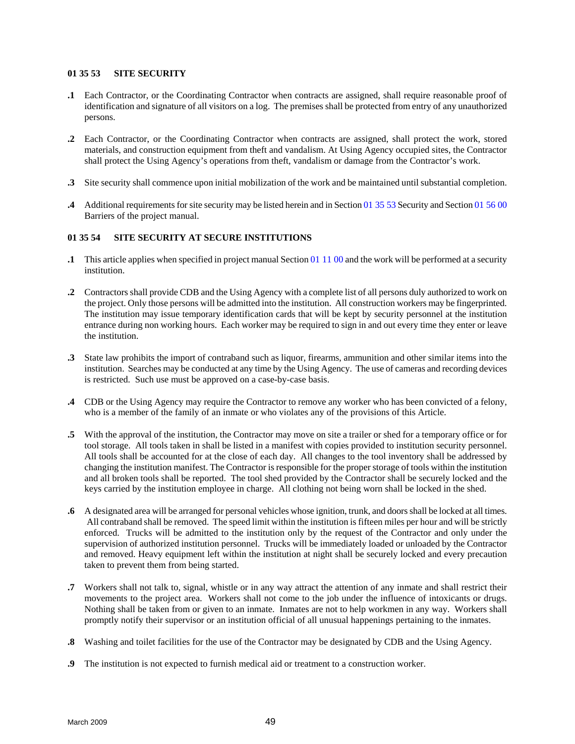### <span id="page-56-0"></span>**01 35 53 SITE SECURITY**

- **.1** Each Contractor, or the Coordinating Contractor when contracts are assigned, shall require reasonable proof of identification and signature of all visitors on a log. The premises shall be protected from entry of any unauthorized persons.
- **.2** Each Contractor, or the Coordinating Contractor when contracts are assigned, shall protect the work, stored materials, and construction equipment from theft and vandalism. At Using Agency occupied sites, the Contractor shall protect the Using Agency's operations from theft, vandalism or damage from the Contractor's work.
- **.3** Site security shall commence upon initial mobilization of the work and be maintained until substantial completion.
- **.4** Additional requirements for site security may be listed herein and in Section 01 35 53 Security and Section 01 56 00 Barriers of the project manual.

# **01 35 54 SITE SECURITY AT SECURE INSTITUTIONS**

- **.1** This article applies when specified in project manual Section 01 11 00 and the work will be performed at a security institution.
- **.2** Contractors shall provide CDB and the Using Agency with a complete list of all persons duly authorized to work on the project. Only those persons will be admitted into the institution. All construction workers may be fingerprinted. The institution may issue temporary identification cards that will be kept by security personnel at the institution entrance during non working hours. Each worker may be required to sign in and out every time they enter or leave the institution.
- **.3** State law prohibits the import of contraband such as liquor, firearms, ammunition and other similar items into the institution. Searches may be conducted at any time by the Using Agency. The use of cameras and recording devices is restricted. Such use must be approved on a case-by-case basis.
- **.4** CDB or the Using Agency may require the Contractor to remove any worker who has been convicted of a felony, who is a member of the family of an inmate or who violates any of the provisions of this Article.
- **.5** With the approval of the institution, the Contractor may move on site a trailer or shed for a temporary office or for tool storage. All tools taken in shall be listed in a manifest with copies provided to institution security personnel. All tools shall be accounted for at the close of each day. All changes to the tool inventory shall be addressed by changing the institution manifest. The Contractor is responsible for the proper storage of tools within the institution and all broken tools shall be reported. The tool shed provided by the Contractor shall be securely locked and the keys carried by the institution employee in charge. All clothing not being worn shall be locked in the shed.
- **.6** A designated area will be arranged for personal vehicles whose ignition, trunk, and doors shall be locked at all times. All contraband shall be removed. The speed limit within the institution is fifteen miles per hour and will be strictly enforced. Trucks will be admitted to the institution only by the request of the Contractor and only under the supervision of authorized institution personnel. Trucks will be immediately loaded or unloaded by the Contractor and removed. Heavy equipment left within the institution at night shall be securely locked and every precaution taken to prevent them from being started.
- **.7** Workers shall not talk to, signal, whistle or in any way attract the attention of any inmate and shall restrict their movements to the project area. Workers shall not come to the job under the influence of intoxicants or drugs. Nothing shall be taken from or given to an inmate. Inmates are not to help workmen in any way. Workers shall promptly notify their supervisor or an institution official of all unusual happenings pertaining to the inmates.
- **.8** Washing and toilet facilities for the use of the Contractor may be designated by CDB and the Using Agency.
- **.9** The institution is not expected to furnish medical aid or treatment to a construction worker.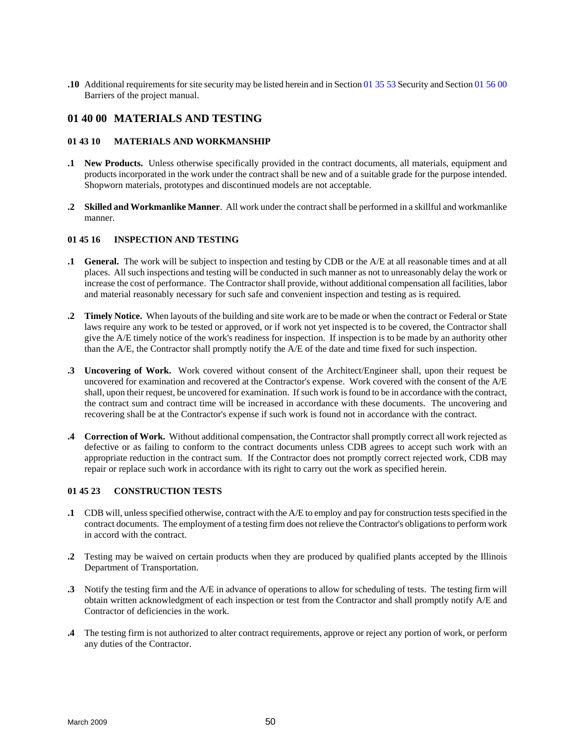<span id="page-57-0"></span>**.10** Additional requirements for site security may be listed herein and in Section 01 35 53 Security and Section 01 56 00 Barriers of the project manual.

# **01 40 00 MATERIALS AND TESTING**

#### **01 43 10 MATERIALS AND WORKMANSHIP**

- **.1 New Products.** Unless otherwise specifically provided in the contract documents, all materials, equipment and products incorporated in the work under the contract shall be new and of a suitable grade for the purpose intended. Shopworn materials, prototypes and discontinued models are not acceptable.
- **.2 Skilled and Workmanlike Manner**. All work under the contract shall be performed in a skillful and workmanlike manner.

#### **01 45 16 INSPECTION AND TESTING**

- **.1 General.** The work will be subject to inspection and testing by CDB or the A/E at all reasonable times and at all places. All such inspections and testing will be conducted in such manner as not to unreasonably delay the work or increase the cost of performance. The Contractor shall provide, without additional compensation all facilities, labor and material reasonably necessary for such safe and convenient inspection and testing as is required.
- **.2 Timely Notice.** When layouts of the building and site work are to be made or when the contract or Federal or State laws require any work to be tested or approved, or if work not yet inspected is to be covered, the Contractor shall give the A/E timely notice of the work's readiness for inspection. If inspection is to be made by an authority other than the A/E, the Contractor shall promptly notify the A/E of the date and time fixed for such inspection.
- **.3 Uncovering of Work.** Work covered without consent of the Architect/Engineer shall, upon their request be uncovered for examination and recovered at the Contractor's expense. Work covered with the consent of the A/E shall, upon their request, be uncovered for examination. If such work is found to be in accordance with the contract, the contract sum and contract time will be increased in accordance with these documents. The uncovering and recovering shall be at the Contractor's expense if such work is found not in accordance with the contract.
- **.4 Correction of Work.** Without additional compensation, the Contractor shall promptly correct all work rejected as defective or as failing to conform to the contract documents unless CDB agrees to accept such work with an appropriate reduction in the contract sum. If the Contractor does not promptly correct rejected work, CDB may repair or replace such work in accordance with its right to carry out the work as specified herein.

# **01 45 23 CONSTRUCTION TESTS**

- **.1** CDB will, unless specified otherwise, contract with the A/E to employ and pay for construction tests specified in the contract documents. The employment of a testing firm does not relieve the Contractor's obligations to perform work in accord with the contract.
- **.2** Testing may be waived on certain products when they are produced by qualified plants accepted by the Illinois Department of Transportation.
- **.3** Notify the testing firm and the A/E in advance of operations to allow for scheduling of tests. The testing firm will obtain written acknowledgment of each inspection or test from the Contractor and shall promptly notify A/E and Contractor of deficiencies in the work.
- **.4** The testing firm is not authorized to alter contract requirements, approve or reject any portion of work, or perform any duties of the Contractor.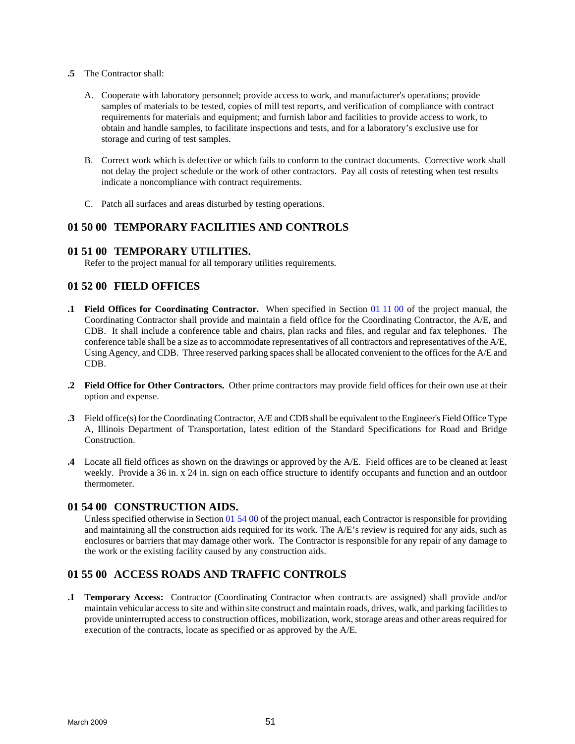- <span id="page-58-0"></span>**.5** The Contractor shall:
	- A. Cooperate with laboratory personnel; provide access to work, and manufacturer's operations; provide samples of materials to be tested, copies of mill test reports, and verification of compliance with contract requirements for materials and equipment; and furnish labor and facilities to provide access to work, to obtain and handle samples, to facilitate inspections and tests, and for a laboratory's exclusive use for storage and curing of test samples.
	- B. Correct work which is defective or which fails to conform to the contract documents. Corrective work shall not delay the project schedule or the work of other contractors. Pay all costs of retesting when test results indicate a noncompliance with contract requirements.
	- C. Patch all surfaces and areas disturbed by testing operations.

# **01 50 00 TEMPORARY FACILITIES AND CONTROLS**

# **01 51 00 TEMPORARY UTILITIES.**

Refer to the project manual for all temporary utilities requirements.

# **01 52 00 FIELD OFFICES**

- **.1 Field Offices for Coordinating Contractor.** When specified in Section 01 11 00 of the project manual, the Coordinating Contractor shall provide and maintain a field office for the Coordinating Contractor, the A/E, and CDB. It shall include a conference table and chairs, plan racks and files, and regular and fax telephones. The conference table shall be a size as to accommodate representatives of all contractors and representatives of the A/E, Using Agency, and CDB. Three reserved parking spaces shall be allocated convenient to the offices for the A/E and CDB.
- **.2 Field Office for Other Contractors.** Other prime contractors may provide field offices for their own use at their option and expense.
- **.3** Field office(s) for the Coordinating Contractor, A/E and CDB shall be equivalent to the Engineer's Field Office Type A, Illinois Department of Transportation, latest edition of the Standard Specifications for Road and Bridge Construction.
- **.4** Locate all field offices as shown on the drawings or approved by the A/E. Field offices are to be cleaned at least weekly. Provide a 36 in. x 24 in. sign on each office structure to identify occupants and function and an outdoor thermometer.

# **01 54 00 CONSTRUCTION AIDS.**

Unless specified otherwise in Section 01 54 00 of the project manual, each Contractor is responsible for providing and maintaining all the construction aids required for its work. The A/E's review is required for any aids, such as enclosures or barriers that may damage other work. The Contractor is responsible for any repair of any damage to the work or the existing facility caused by any construction aids.

# **01 55 00 ACCESS ROADS AND TRAFFIC CONTROLS**

**.1 Temporary Access:** Contractor (Coordinating Contractor when contracts are assigned) shall provide and/or maintain vehicular access to site and within site construct and maintain roads, drives, walk, and parking facilities to provide uninterrupted access to construction offices, mobilization, work, storage areas and other areas required for execution of the contracts, locate as specified or as approved by the A/E.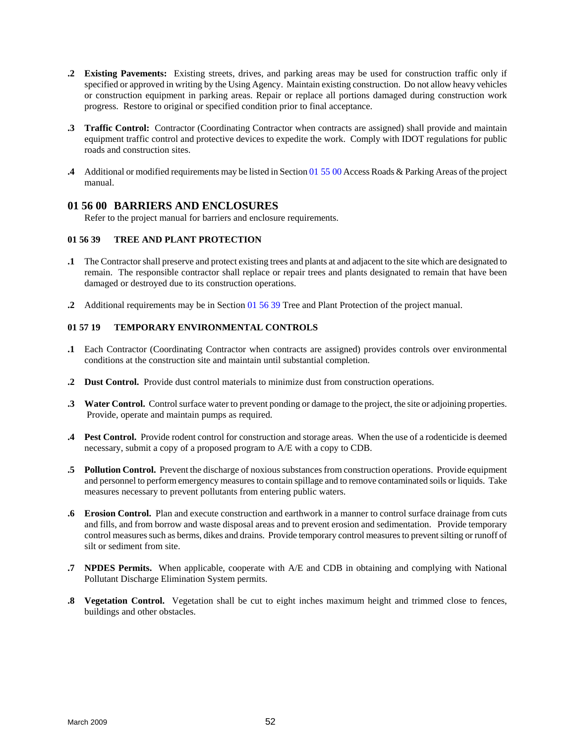- <span id="page-59-0"></span>**.2 Existing Pavements:** Existing streets, drives, and parking areas may be used for construction traffic only if specified or approved in writing by the Using Agency. Maintain existing construction. Do not allow heavy vehicles or construction equipment in parking areas. Repair or replace all portions damaged during construction work progress. Restore to original or specified condition prior to final acceptance.
- **.3 Traffic Control:** Contractor (Coordinating Contractor when contracts are assigned) shall provide and maintain equipment traffic control and protective devices to expedite the work. Comply with IDOT regulations for public roads and construction sites.
- **.4** Additional or modified requirements may be listed in Section 01 55 00 Access Roads & Parking Areas of the project manual.

# **01 56 00 BARRIERS AND ENCLOSURES**

Refer to the project manual for barriers and enclosure requirements.

# **01 56 39 TREE AND PLANT PROTECTION**

- **.1** The Contractor shall preserve and protect existing trees and plants at and adjacent to the site which are designated to remain. The responsible contractor shall replace or repair trees and plants designated to remain that have been damaged or destroyed due to its construction operations.
- **.2** Additional requirements may be in Section 01 56 39 Tree and Plant Protection of the project manual.

# **01 57 19 TEMPORARY ENVIRONMENTAL CONTROLS**

- **.1** Each Contractor (Coordinating Contractor when contracts are assigned) provides controls over environmental conditions at the construction site and maintain until substantial completion.
- **.2 Dust Control.** Provide dust control materials to minimize dust from construction operations.
- **.3 Water Control.** Control surface water to prevent ponding or damage to the project, the site or adjoining properties. Provide, operate and maintain pumps as required.
- **.4 Pest Control.** Provide rodent control for construction and storage areas. When the use of a rodenticide is deemed necessary, submit a copy of a proposed program to A/E with a copy to CDB.
- **.5 Pollution Control.** Prevent the discharge of noxious substances from construction operations. Provide equipment and personnel to perform emergency measures to contain spillage and to remove contaminated soils or liquids. Take measures necessary to prevent pollutants from entering public waters.
- **.6 Erosion Control.** Plan and execute construction and earthwork in a manner to control surface drainage from cuts and fills, and from borrow and waste disposal areas and to prevent erosion and sedimentation. Provide temporary control measures such as berms, dikes and drains. Provide temporary control measures to prevent silting or runoff of silt or sediment from site.
- **.7 NPDES Permits.** When applicable, cooperate with A/E and CDB in obtaining and complying with National Pollutant Discharge Elimination System permits.
- **.8 Vegetation Control.** Vegetation shall be cut to eight inches maximum height and trimmed close to fences, buildings and other obstacles.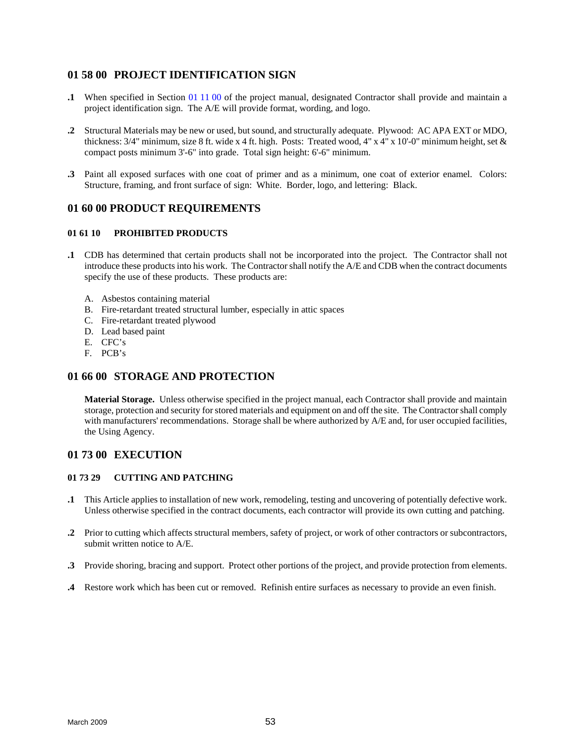# <span id="page-60-0"></span>**01 58 00 PROJECT IDENTIFICATION SIGN**

- **.1** When specified in Section 01 11 00 of the project manual, designated Contractor shall provide and maintain a project identification sign. The A/E will provide format, wording, and logo.
- **.2** Structural Materials may be new or used, but sound, and structurally adequate. Plywood: AC APA EXT or MDO, thickness: 3/4" minimum, size 8 ft. wide x 4 ft. high. Posts: Treated wood, 4" x 4" x 10'-0" minimum height, set & compact posts minimum 3'-6" into grade. Total sign height: 6'-6" minimum.
- **.3** Paint all exposed surfaces with one coat of primer and as a minimum, one coat of exterior enamel. Colors: Structure, framing, and front surface of sign: White. Border, logo, and lettering: Black.

# **01 60 00 PRODUCT REQUIREMENTS**

#### **01 61 10 PROHIBITED PRODUCTS**

- **.1** CDB has determined that certain products shall not be incorporated into the project. The Contractor shall not introduce these products into his work. The Contractor shall notify the A/E and CDB when the contract documents specify the use of these products. These products are:
	- A. Asbestos containing material
	- B. Fire-retardant treated structural lumber, especially in attic spaces
	- C. Fire-retardant treated plywood
	- D. Lead based paint
	- E. CFC's
	- F. PCB's

# **01 66 00 STORAGE AND PROTECTION**

**Material Storage.** Unless otherwise specified in the project manual, each Contractor shall provide and maintain storage, protection and security for stored materials and equipment on and off the site. The Contractor shall comply with manufacturers' recommendations. Storage shall be where authorized by A/E and, for user occupied facilities, the Using Agency.

# **01 73 00 EXECUTION**

# **01 73 29 CUTTING AND PATCHING**

- **.1** This Article applies to installation of new work, remodeling, testing and uncovering of potentially defective work. Unless otherwise specified in the contract documents, each contractor will provide its own cutting and patching.
- **.2** Prior to cutting which affects structural members, safety of project, or work of other contractors or subcontractors, submit written notice to A/E.
- **.3** Provide shoring, bracing and support. Protect other portions of the project, and provide protection from elements.
- **.4** Restore work which has been cut or removed. Refinish entire surfaces as necessary to provide an even finish.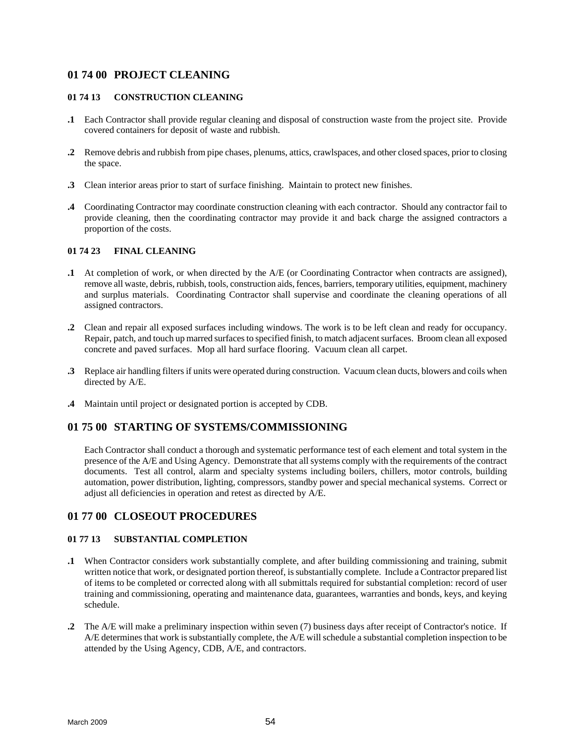# <span id="page-61-0"></span>**01 74 00 PROJECT CLEANING**

### **01 74 13 CONSTRUCTION CLEANING**

- **.1** Each Contractor shall provide regular cleaning and disposal of construction waste from the project site. Provide covered containers for deposit of waste and rubbish.
- **.2** Remove debris and rubbish from pipe chases, plenums, attics, crawlspaces, and other closed spaces, prior to closing the space.
- **.3** Clean interior areas prior to start of surface finishing. Maintain to protect new finishes.
- **.4** Coordinating Contractor may coordinate construction cleaning with each contractor. Should any contractor fail to provide cleaning, then the coordinating contractor may provide it and back charge the assigned contractors a proportion of the costs.

# **01 74 23 FINAL CLEANING**

- **.1** At completion of work, or when directed by the A/E (or Coordinating Contractor when contracts are assigned), remove all waste, debris, rubbish, tools, construction aids, fences, barriers, temporary utilities, equipment, machinery and surplus materials. Coordinating Contractor shall supervise and coordinate the cleaning operations of all assigned contractors.
- **.2** Clean and repair all exposed surfaces including windows. The work is to be left clean and ready for occupancy. Repair, patch, and touch up marred surfaces to specified finish, to match adjacent surfaces. Broom clean all exposed concrete and paved surfaces. Mop all hard surface flooring. Vacuum clean all carpet.
- **.3** Replace air handling filters if units were operated during construction. Vacuum clean ducts, blowers and coils when directed by A/E.
- **.4** Maintain until project or designated portion is accepted by CDB.

# **01 75 00 STARTING OF SYSTEMS/COMMISSIONING**

Each Contractor shall conduct a thorough and systematic performance test of each element and total system in the presence of the A/E and Using Agency. Demonstrate that all systems comply with the requirements of the contract documents. Test all control, alarm and specialty systems including boilers, chillers, motor controls, building automation, power distribution, lighting, compressors, standby power and special mechanical systems. Correct or adjust all deficiencies in operation and retest as directed by A/E.

# **01 77 00 CLOSEOUT PROCEDURES**

# **01 77 13 SUBSTANTIAL COMPLETION**

- **.1** When Contractor considers work substantially complete, and after building commissioning and training, submit written notice that work, or designated portion thereof, is substantially complete. Include a Contractor prepared list of items to be completed or corrected along with all submittals required for substantial completion: record of user training and commissioning, operating and maintenance data, guarantees, warranties and bonds, keys, and keying schedule.
- **.2** The A/E will make a preliminary inspection within seven (7) business days after receipt of Contractor's notice. If A/E determines that work is substantially complete, the A/E will schedule a substantial completion inspection to be attended by the Using Agency, CDB, A/E, and contractors.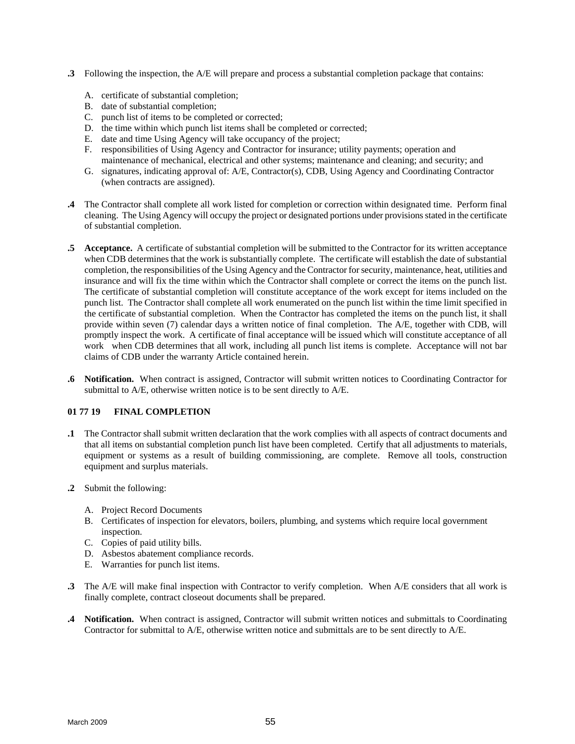- <span id="page-62-0"></span>**.3** Following the inspection, the A/E will prepare and process a substantial completion package that contains:
	- A. certificate of substantial completion;
	- B. date of substantial completion;
	- C. punch list of items to be completed or corrected;
	- D. the time within which punch list items shall be completed or corrected;
	- E. date and time Using Agency will take occupancy of the project;
	- F. responsibilities of Using Agency and Contractor for insurance; utility payments; operation and maintenance of mechanical, electrical and other systems; maintenance and cleaning; and security; and
	- G. signatures, indicating approval of: A/E, Contractor(s), CDB, Using Agency and Coordinating Contractor (when contracts are assigned).
- **.4** The Contractor shall complete all work listed for completion or correction within designated time. Perform final cleaning. The Using Agency will occupy the project or designated portions under provisions stated in the certificate of substantial completion.
- **.5 Acceptance.** A certificate of substantial completion will be submitted to the Contractor for its written acceptance when CDB determines that the work is substantially complete. The certificate will establish the date of substantial completion, the responsibilities of the Using Agency and the Contractor for security, maintenance, heat, utilities and insurance and will fix the time within which the Contractor shall complete or correct the items on the punch list. The certificate of substantial completion will constitute acceptance of the work except for items included on the punch list. The Contractor shall complete all work enumerated on the punch list within the time limit specified in the certificate of substantial completion. When the Contractor has completed the items on the punch list, it shall provide within seven (7) calendar days a written notice of final completion. The A/E, together with CDB, will promptly inspect the work. A certificate of final acceptance will be issued which will constitute acceptance of all work when CDB determines that all work, including all punch list items is complete. Acceptance will not bar claims of CDB under the warranty Article contained herein.
- **.6 Notification.** When contract is assigned, Contractor will submit written notices to Coordinating Contractor for submittal to A/E, otherwise written notice is to be sent directly to A/E.

# **01 77 19 FINAL COMPLETION**

- **.1** The Contractor shall submit written declaration that the work complies with all aspects of contract documents and that all items on substantial completion punch list have been completed. Certify that all adjustments to materials, equipment or systems as a result of building commissioning, are complete. Remove all tools, construction equipment and surplus materials.
- **.2** Submit the following:
	- A. Project Record Documents
	- B. Certificates of inspection for elevators, boilers, plumbing, and systems which require local government inspection.
	- C. Copies of paid utility bills.
	- D. Asbestos abatement compliance records.
	- E. Warranties for punch list items.
- **.3** The A/E will make final inspection with Contractor to verify completion. When A/E considers that all work is finally complete, contract closeout documents shall be prepared.
- **.4 Notification.** When contract is assigned, Contractor will submit written notices and submittals to Coordinating Contractor for submittal to A/E, otherwise written notice and submittals are to be sent directly to A/E.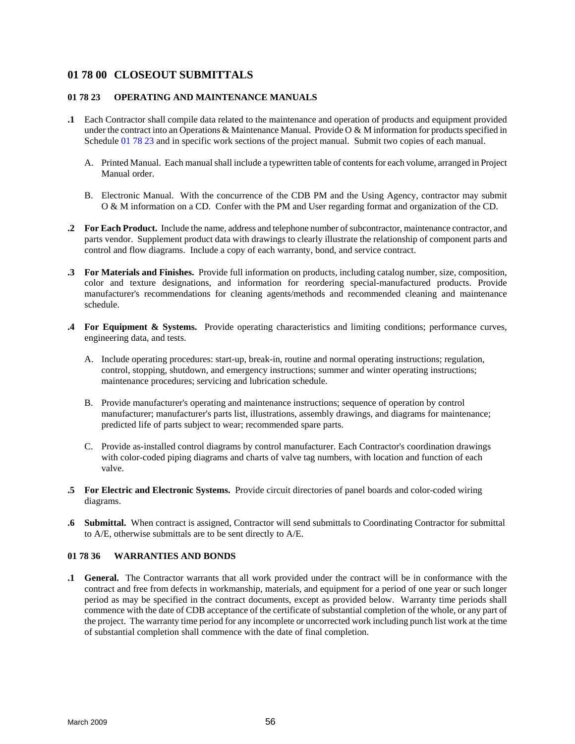# <span id="page-63-0"></span>**01 78 00 CLOSEOUT SUBMITTALS**

### **01 78 23 OPERATING AND MAINTENANCE MANUALS**

- **.1** Each Contractor shall compile data related to the maintenance and operation of products and equipment provided under the contract into an Operations & Maintenance Manual. Provide O & M information for products specified in Schedule 01 78 23 and in specific work sections of the project manual. Submit two copies of each manual.
	- A. Printed Manual. Each manual shall include a typewritten table of contents for each volume, arranged in Project Manual order.
	- B. Electronic Manual. With the concurrence of the CDB PM and the Using Agency, contractor may submit O & M information on a CD. Confer with the PM and User regarding format and organization of the CD.
- **.2 For Each Product.** Include the name, address and telephone number of subcontractor, maintenance contractor, and parts vendor. Supplement product data with drawings to clearly illustrate the relationship of component parts and control and flow diagrams. Include a copy of each warranty, bond, and service contract.
- **.3 For Materials and Finishes.** Provide full information on products, including catalog number, size, composition, color and texture designations, and information for reordering special-manufactured products. Provide manufacturer's recommendations for cleaning agents/methods and recommended cleaning and maintenance schedule.
- **.4 For Equipment & Systems.** Provide operating characteristics and limiting conditions; performance curves, engineering data, and tests.
	- A. Include operating procedures: start-up, break-in, routine and normal operating instructions; regulation, control, stopping, shutdown, and emergency instructions; summer and winter operating instructions; maintenance procedures; servicing and lubrication schedule.
	- B. Provide manufacturer's operating and maintenance instructions; sequence of operation by control manufacturer; manufacturer's parts list, illustrations, assembly drawings, and diagrams for maintenance; predicted life of parts subject to wear; recommended spare parts.
	- C. Provide as-installed control diagrams by control manufacturer. Each Contractor's coordination drawings with color-coded piping diagrams and charts of valve tag numbers, with location and function of each valve.
- **.5 For Electric and Electronic Systems.** Provide circuit directories of panel boards and color-coded wiring diagrams.
- **.6 Submittal.** When contract is assigned, Contractor will send submittals to Coordinating Contractor for submittal to A/E, otherwise submittals are to be sent directly to A/E.

# **01 78 36 WARRANTIES AND BONDS**

**.1 General.** The Contractor warrants that all work provided under the contract will be in conformance with the contract and free from defects in workmanship, materials, and equipment for a period of one year or such longer period as may be specified in the contract documents, except as provided below. Warranty time periods shall commence with the date of CDB acceptance of the certificate of substantial completion of the whole, or any part of the project. The warranty time period for any incomplete or uncorrected work including punch list work at the time of substantial completion shall commence with the date of final completion.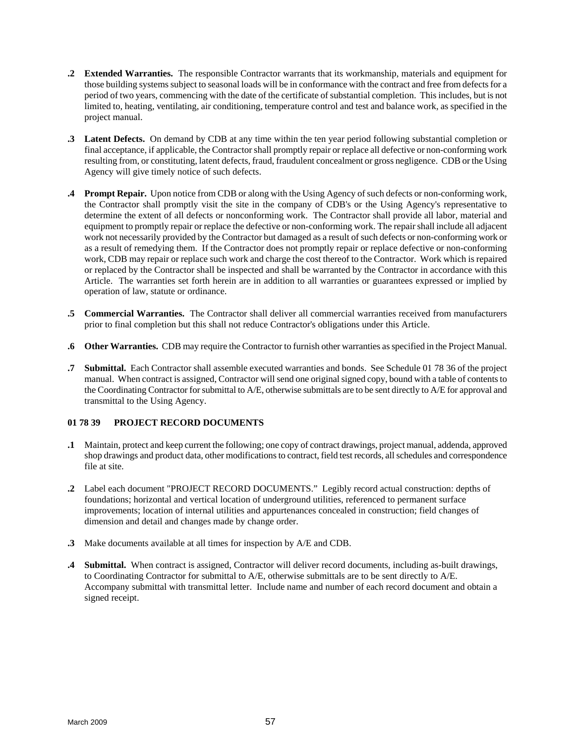- <span id="page-64-0"></span>**.2 Extended Warranties.** The responsible Contractor warrants that its workmanship, materials and equipment for those building systems subject to seasonal loads will be in conformance with the contract and free from defects for a period of two years, commencing with the date of the certificate of substantial completion. This includes, but is not limited to, heating, ventilating, air conditioning, temperature control and test and balance work, as specified in the project manual.
- **.3 Latent Defects.** On demand by CDB at any time within the ten year period following substantial completion or final acceptance, if applicable, the Contractor shall promptly repair or replace all defective or non-conforming work resulting from, or constituting, latent defects, fraud, fraudulent concealment or gross negligence. CDB or the Using Agency will give timely notice of such defects.
- **.4 Prompt Repair.** Upon notice from CDB or along with the Using Agency of such defects or non-conforming work, the Contractor shall promptly visit the site in the company of CDB's or the Using Agency's representative to determine the extent of all defects or nonconforming work. The Contractor shall provide all labor, material and equipment to promptly repair or replace the defective or non-conforming work. The repair shall include all adjacent work not necessarily provided by the Contractor but damaged as a result of such defects or non-conforming work or as a result of remedying them. If the Contractor does not promptly repair or replace defective or non-conforming work, CDB may repair or replace such work and charge the cost thereof to the Contractor. Work which is repaired or replaced by the Contractor shall be inspected and shall be warranted by the Contractor in accordance with this Article. The warranties set forth herein are in addition to all warranties or guarantees expressed or implied by operation of law, statute or ordinance.
- **.5 Commercial Warranties.** The Contractor shall deliver all commercial warranties received from manufacturers prior to final completion but this shall not reduce Contractor's obligations under this Article.
- **.6 Other Warranties.** CDB may require the Contractor to furnish other warranties as specified in the Project Manual.
- **.7 Submittal.** Each Contractor shall assemble executed warranties and bonds. See Schedule 01 78 36 of the project manual. When contract is assigned, Contractor will send one original signed copy, bound with a table of contents to the Coordinating Contractor for submittal to A/E, otherwise submittals are to be sent directly to A/E for approval and transmittal to the Using Agency.

# **01 78 39 PROJECT RECORD DOCUMENTS**

- **.1** Maintain, protect and keep current the following; one copy of contract drawings, project manual, addenda, approved shop drawings and product data, other modifications to contract, field test records, all schedules and correspondence file at site.
- **.2** Label each document "PROJECT RECORD DOCUMENTS." Legibly record actual construction: depths of foundations; horizontal and vertical location of underground utilities, referenced to permanent surface improvements; location of internal utilities and appurtenances concealed in construction; field changes of dimension and detail and changes made by change order.
- **.3** Make documents available at all times for inspection by A/E and CDB.
- **.4 Submittal.** When contract is assigned, Contractor will deliver record documents, including as-built drawings, to Coordinating Contractor for submittal to A/E, otherwise submittals are to be sent directly to A/E. Accompany submittal with transmittal letter. Include name and number of each record document and obtain a signed receipt.